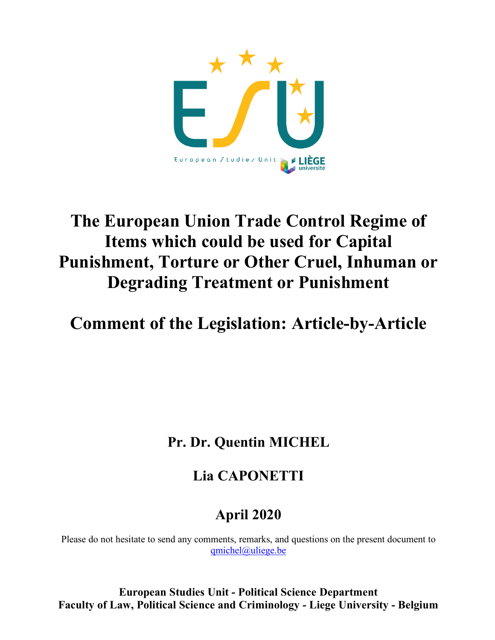

# **The European Union Trade Control Regime of Items which could be used for Capital Punishment, Torture or Other Cruel, Inhuman or Degrading Treatment or Punishment**

# **Comment of the Legislation: Article-by-Article**

## **Pr. Dr. Quentin MICHEL**

# **Lia CAPONETTI**

# **April 2020**

Please do not hesitate to send any comments, remarks, and questions on the present document to qmichel@uliege.be

**European Studies Unit - Political Science Department Faculty of Law, Political Science and Criminology - Liege University - Belgium**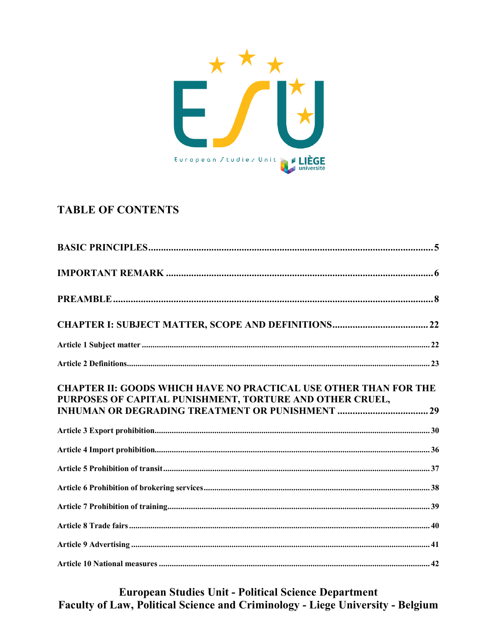

### **TABLE OF CONTENTS**

| <b>CHAPTER II: GOODS WHICH HAVE NO PRACTICAL USE OTHER THAN FOR THE</b><br>PURPOSES OF CAPITAL PUNISHMENT, TORTURE AND OTHER CRUEL, |  |
|-------------------------------------------------------------------------------------------------------------------------------------|--|
|                                                                                                                                     |  |
|                                                                                                                                     |  |
|                                                                                                                                     |  |
|                                                                                                                                     |  |
|                                                                                                                                     |  |
|                                                                                                                                     |  |
|                                                                                                                                     |  |
|                                                                                                                                     |  |

**European Studies Unit - Political Science Department** Faculty of Law, Political Science and Criminology - Liege University - Belgium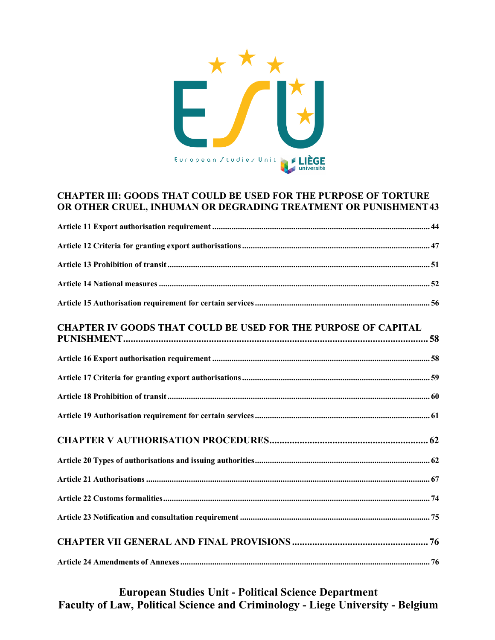

### **CHAPTER III: GOODS THAT COULD BE USED FOR THE PURPOSE OF TORTURE OR OTHER CRUEL, INHUMAN OR DEGRADING TREATMENT OR PUNISHMENT43**

| <b>CHAPTER IV GOODS THAT COULD BE USED FOR THE PURPOSE OF CAPITAL</b> |
|-----------------------------------------------------------------------|
|                                                                       |
|                                                                       |
|                                                                       |
|                                                                       |
|                                                                       |
|                                                                       |
|                                                                       |
|                                                                       |
|                                                                       |
|                                                                       |
|                                                                       |

### **European Studies Unit - Political Science Department Faculty of Law, Political Science and Criminology - Liege University - Belgium**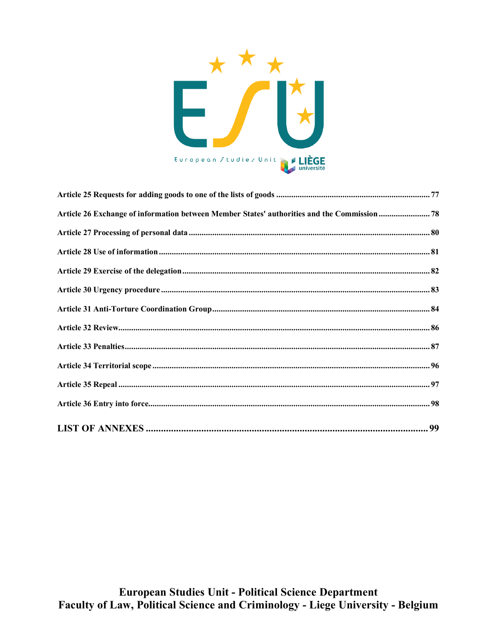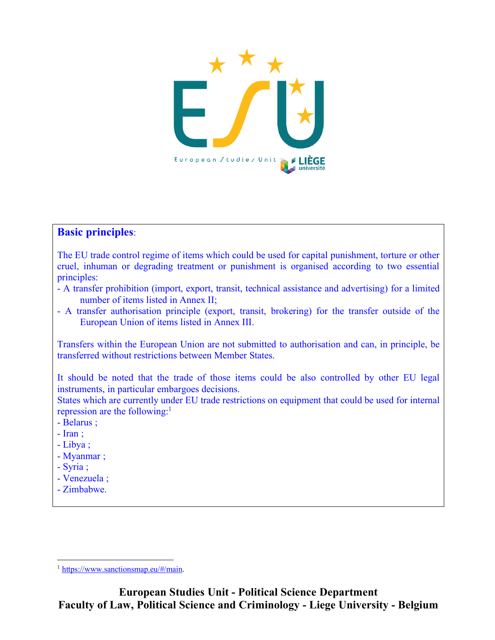

### **Basic principles**:

The EU trade control regime of items which could be used for capital punishment, torture or other cruel, inhuman or degrading treatment or punishment is organised according to two essential principles:

- A transfer prohibition (import, export, transit, technical assistance and advertising) for a limited number of items listed in Annex II;
- A transfer authorisation principle (export, transit, brokering) for the transfer outside of the European Union of items listed in Annex III.

Transfers within the European Union are not submitted to authorisation and can, in principle, be transferred without restrictions between Member States.

It should be noted that the trade of those items could be also controlled by other EU legal instruments, in particular embargoes decisions.

States which are currently under EU trade restrictions on equipment that could be used for internal repression are the following:<sup>1</sup>

- Belarus ;
- $-$  Iran ;
- Libya ;
- Myanmar ;
- Syria ;
- Venezuela ;
- Zimbabwe.

 <sup>1</sup> https://www.sanctionsmap.eu/#/main.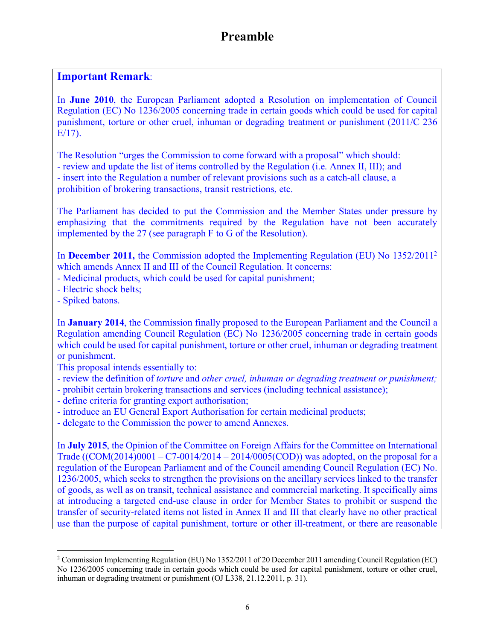### **Important Remark**:

In **June 2010**, the European Parliament adopted a Resolution on implementation of Council Regulation (EC) No 1236/2005 concerning trade in certain goods which could be used for capital punishment, torture or other cruel, inhuman or degrading treatment or punishment (2011/C 236  $E/17$ ).

The Resolution "urges the Commission to come forward with a proposal" which should: - review and update the list of items controlled by the Regulation (i.e. Annex II, III); and - insert into the Regulation a number of relevant provisions such as a catch-all clause, a prohibition of brokering transactions, transit restrictions, etc.

The Parliament has decided to put the Commission and the Member States under pressure by emphasizing that the commitments required by the Regulation have not been accurately implemented by the 27 (see paragraph F to G of the Resolution).

In **December 2011,** the Commission adopted the Implementing Regulation (EU) No 1352/20112 which amends Annex II and III of the Council Regulation. It concerns:

- Medicinal products, which could be used for capital punishment;
- Electric shock belts;
- Spiked batons.

In **January 2014**, the Commission finally proposed to the European Parliament and the Council a Regulation amending Council Regulation (EC) No 1236/2005 concerning trade in certain goods which could be used for capital punishment, torture or other cruel, inhuman or degrading treatment or punishment.

This proposal intends essentially to:

- review the definition of *torture* and *other cruel, inhuman or degrading treatment or punishment;*
- prohibit certain brokering transactions and services (including technical assistance);
- define criteria for granting export authorisation;
- introduce an EU General Export Authorisation for certain medicinal products;

- delegate to the Commission the power to amend Annexes.

In **July 2015**, the Opinion of the Committee on Foreign Affairs for the Committee on International Trade ((COM(2014)0001 – C7-0014/2014 – 2014/0005(COD)) was adopted, on the proposal for a regulation of the European Parliament and of the Council amending Council Regulation (EC) No. 1236/2005, which seeks to strengthen the provisions on the ancillary services linked to the transfer of goods, as well as on transit, technical assistance and commercial marketing. It specifically aims at introducing a targeted end-use clause in order for Member States to prohibit or suspend the transfer of security-related items not listed in Annex II and III that clearly have no other practical use than the purpose of capital punishment, torture or other ill-treatment, or there are reasonable

 <sup>2</sup> Commission Implementing Regulation (EU) No 1352/2011 of 20 December 2011 amending Council Regulation (EC) No 1236/2005 concerning trade in certain goods which could be used for capital punishment, torture or other cruel, inhuman or degrading treatment or punishment (OJ L338, 21.12.2011, p. 31).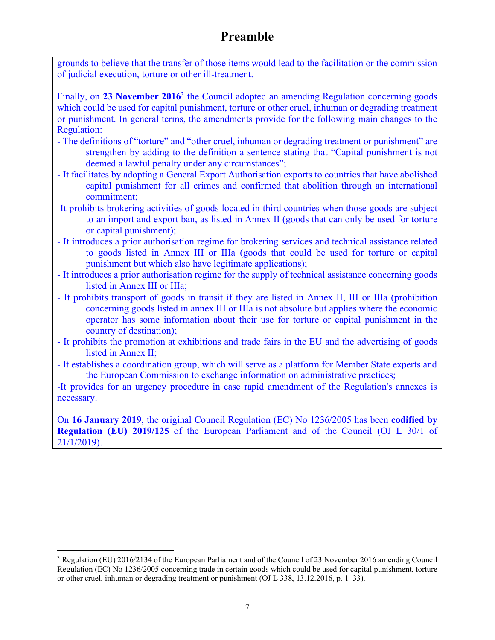grounds to believe that the transfer of those items would lead to the facilitation or the commission of judicial execution, torture or other ill-treatment.

Finally, on 23 November 2016<sup>3</sup> the Council adopted an amending Regulation concerning goods which could be used for capital punishment, torture or other cruel, inhuman or degrading treatment or punishment. In general terms, the amendments provide for the following main changes to the Regulation:

- The definitions of "torture" and "other cruel, inhuman or degrading treatment or punishment" are strengthen by adding to the definition a sentence stating that "Capital punishment is not deemed a lawful penalty under any circumstances";
- It facilitates by adopting a General Export Authorisation exports to countries that have abolished capital punishment for all crimes and confirmed that abolition through an international commitment;
- -It prohibits brokering activities of goods located in third countries when those goods are subject to an import and export ban, as listed in Annex II (goods that can only be used for torture or capital punishment);
- It introduces a prior authorisation regime for brokering services and technical assistance related to goods listed in Annex III or IIIa (goods that could be used for torture or capital punishment but which also have legitimate applications);
- It introduces a prior authorisation regime for the supply of technical assistance concerning goods listed in Annex III or IIIa;
- It prohibits transport of goods in transit if they are listed in Annex II, III or IIIa (prohibition concerning goods listed in annex III or IIIa is not absolute but applies where the economic operator has some information about their use for torture or capital punishment in the country of destination);
- It prohibits the promotion at exhibitions and trade fairs in the EU and the advertising of goods listed in Annex II;
- It establishes a coordination group, which will serve as a platform for Member State experts and the European Commission to exchange information on administrative practices;

-It provides for an urgency procedure in case rapid amendment of the Regulation's annexes is necessary.

On **16 January 2019**, the original Council Regulation (EC) No 1236/2005 has been **codified by Regulation (EU) 2019/125** of the European Parliament and of the Council (OJ L 30/1 of 21/1/2019).

<sup>3</sup> Regulation (EU) 2016/2134 of the European Parliament and of the Council of 23 November 2016 amending Council Regulation (EC) No 1236/2005 concerning trade in certain goods which could be used for capital punishment, torture or other cruel, inhuman or degrading treatment or punishment (OJ L 338, 13.12.2016, p. 1–33).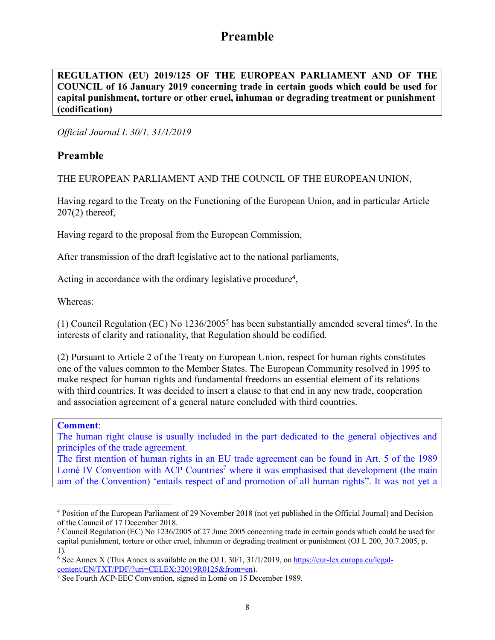#### **REGULATION (EU) 2019/125 OF THE EUROPEAN PARLIAMENT AND OF THE COUNCIL of 16 January 2019 concerning trade in certain goods which could be used for capital punishment, torture or other cruel, inhuman or degrading treatment or punishment (codification)**

*Official Journal L 30/1, 31/1/2019*

### **Preamble**

THE EUROPEAN PARLIAMENT AND THE COUNCIL OF THE EUROPEAN UNION,

Having regard to the Treaty on the Functioning of the European Union, and in particular Article 207(2) thereof,

Having regard to the proposal from the European Commission,

After transmission of the draft legislative act to the national parliaments,

Acting in accordance with the ordinary legislative procedure<sup>4</sup>,

Whereas:

(1) Council Regulation (EC) No  $1236/2005^5$  has been substantially amended several times<sup>6</sup>. In the interests of clarity and rationality, that Regulation should be codified.

(2) Pursuant to Article 2 of the Treaty on European Union, respect for human rights constitutes one of the values common to the Member States. The European Community resolved in 1995 to make respect for human rights and fundamental freedoms an essential element of its relations with third countries. It was decided to insert a clause to that end in any new trade, cooperation and association agreement of a general nature concluded with third countries.

#### **Comment**:

 

The human right clause is usually included in the part dedicated to the general objectives and principles of the trade agreement.

The first mention of human rights in an EU trade agreement can be found in Art. 5 of the 1989 Lomé IV Convention with ACP Countries<sup>7</sup> where it was emphasised that development (the main aim of the Convention) 'entails respect of and promotion of all human rights". It was not yet a

<sup>4</sup> Position of the European Parliament of 29 November 2018 (not yet published in the Official Journal) and Decision of the Council of 17 December 2018.

<sup>5</sup> Council Regulation (EC) No 1236/2005 of 27 June 2005 concerning trade in certain goods which could be used for capital punishment, torture or other cruel, inhuman or degrading treatment or punishment (OJ L 200, 30.7.2005, p. 1).

<sup>6</sup> See Annex X (This Annex is available on the OJ L 30/1, 31/1/2019, on https://eur-lex.europa.eu/legalcontent/EN/TXT/PDF/?uri=CELEX:32019R0125&from=en).

<sup>7</sup> See Fourth ACP-EEC Convention, signed in Lomé on 15 December 1989.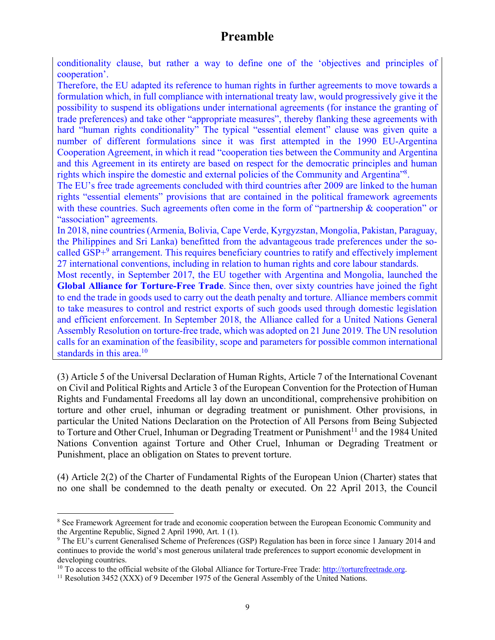conditionality clause, but rather a way to define one of the 'objectives and principles of cooperation'.

Therefore, the EU adapted its reference to human rights in further agreements to move towards a formulation which, in full compliance with international treaty law, would progressively give it the possibility to suspend its obligations under international agreements (for instance the granting of trade preferences) and take other "appropriate measures", thereby flanking these agreements with hard "human rights conditionality" The typical "essential element" clause was given quite a number of different formulations since it was first attempted in the 1990 EU-Argentina Cooperation Agreement, in which it read "cooperation ties between the Community and Argentina and this Agreement in its entirety are based on respect for the democratic principles and human rights which inspire the domestic and external policies of the Community and Argentina"8.

The EU's free trade agreements concluded with third countries after 2009 are linked to the human rights "essential elements" provisions that are contained in the political framework agreements with these countries. Such agreements often come in the form of "partnership & cooperation" or "association" agreements.

In 2018, nine countries (Armenia, Bolivia, Cape Verde, Kyrgyzstan, Mongolia, Pakistan, Paraguay, the Philippines and Sri Lanka) benefitted from the advantageous trade preferences under the socalled GSP+9 arrangement. This requires beneficiary countries to ratify and effectively implement 27 international conventions, including in relation to human rights and core labour standards.

Most recently, in September 2017, the EU together with Argentina and Mongolia, launched the **Global Alliance for Torture-Free Trade**. Since then, over sixty countries have joined the fight to end the trade in goods used to carry out the death penalty and torture. Alliance members commit to take measures to control and restrict exports of such goods used through domestic legislation and efficient enforcement. In September 2018, the Alliance called for a United Nations General Assembly Resolution on torture-free trade, which was adopted on 21 June 2019. The UN resolution calls for an examination of the feasibility, scope and parameters for possible common international standards in this area.<sup>10</sup>

(3) Article 5 of the Universal Declaration of Human Rights, Article 7 of the International Covenant on Civil and Political Rights and Article 3 of the European Convention for the Protection of Human Rights and Fundamental Freedoms all lay down an unconditional, comprehensive prohibition on torture and other cruel, inhuman or degrading treatment or punishment. Other provisions, in particular the United Nations Declaration on the Protection of All Persons from Being Subjected to Torture and Other Cruel, Inhuman or Degrading Treatment or Punishment<sup>11</sup> and the 1984 United Nations Convention against Torture and Other Cruel, Inhuman or Degrading Treatment or Punishment, place an obligation on States to prevent torture.

(4) Article 2(2) of the Charter of Fundamental Rights of the European Union (Charter) states that no one shall be condemned to the death penalty or executed. On 22 April 2013, the Council

<sup>&</sup>lt;sup>8</sup> See Framework Agreement for trade and economic cooperation between the European Economic Community and the Argentine Republic, Signed 2 April 1990, Art. 1 (1).

<sup>9</sup> The EU's current Generalised Scheme of Preferences (GSP) Regulation has been in force since 1 January 2014 and continues to provide the world's most generous unilateral trade preferences to support economic development in developing countries.

<sup>&</sup>lt;sup>10</sup> To access to the official website of the Global Alliance for Torture-Free Trade: http://torturefreetrade.org.

<sup>&</sup>lt;sup>11</sup> Resolution 3452 (XXX) of 9 December 1975 of the General Assembly of the United Nations.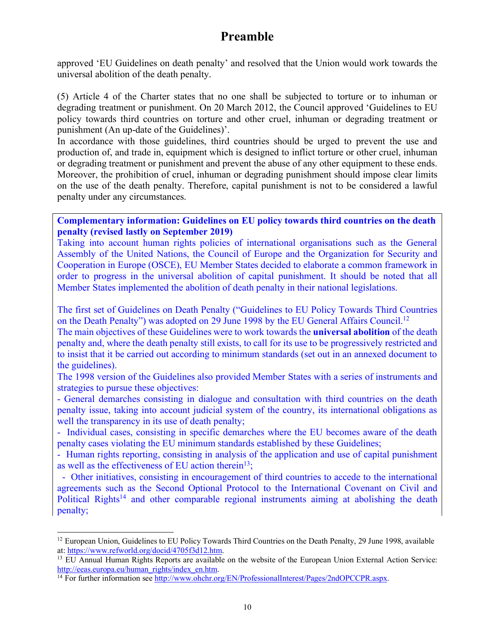approved 'EU Guidelines on death penalty' and resolved that the Union would work towards the universal abolition of the death penalty.

(5) Article 4 of the Charter states that no one shall be subjected to torture or to inhuman or degrading treatment or punishment. On 20 March 2012, the Council approved 'Guidelines to EU policy towards third countries on torture and other cruel, inhuman or degrading treatment or punishment (An up-date of the Guidelines)'.

In accordance with those guidelines, third countries should be urged to prevent the use and production of, and trade in, equipment which is designed to inflict torture or other cruel, inhuman or degrading treatment or punishment and prevent the abuse of any other equipment to these ends. Moreover, the prohibition of cruel, inhuman or degrading punishment should impose clear limits on the use of the death penalty. Therefore, capital punishment is not to be considered a lawful penalty under any circumstances.

#### **Complementary information: Guidelines on EU policy towards third countries on the death penalty (revised lastly on September 2019)**

Taking into account human rights policies of international organisations such as the General Assembly of the United Nations, the Council of Europe and the Organization for Security and Cooperation in Europe (OSCE), EU Member States decided to elaborate a common framework in order to progress in the universal abolition of capital punishment. It should be noted that all Member States implemented the abolition of death penalty in their national legislations.

The first set of Guidelines on Death Penalty ("Guidelines to EU Policy Towards Third Countries on the Death Penalty") was adopted on 29 June 1998 by the EU General Affairs Council.<sup>12</sup>

The main objectives of these Guidelines were to work towards the **universal abolition** of the death penalty and, where the death penalty still exists, to call for its use to be progressively restricted and to insist that it be carried out according to minimum standards (set out in an annexed document to the guidelines).

The 1998 version of the Guidelines also provided Member States with a series of instruments and strategies to pursue these objectives:

- General demarches consisting in dialogue and consultation with third countries on the death penalty issue, taking into account judicial system of the country, its international obligations as well the transparency in its use of death penalty;

- Individual cases, consisting in specific demarches where the EU becomes aware of the death penalty cases violating the EU minimum standards established by these Guidelines;

- Human rights reporting, consisting in analysis of the application and use of capital punishment as well as the effectiveness of EU action therein<sup>13</sup>;

 - Other initiatives, consisting in encouragement of third countries to accede to the international agreements such as the Second Optional Protocol to the International Covenant on Civil and Political Rights<sup>14</sup> and other comparable regional instruments aiming at abolishing the death penalty;

 <sup>12</sup> European Union, Guidelines to EU Policy Towards Third Countries on the Death Penalty, 29 June 1998, available at: https://www.refworld.org/docid/4705f3d12.htm.

<sup>&</sup>lt;sup>13</sup> EU Annual Human Rights Reports are available on the website of the European Union External Action Service:<br>http://eeas.europa.eu/human rights/index en.htm.

<sup>&</sup>lt;sup>14</sup> For further information see http://www.ohchr.org/EN/ProfessionalInterest/Pages/2ndOPCCPR.aspx.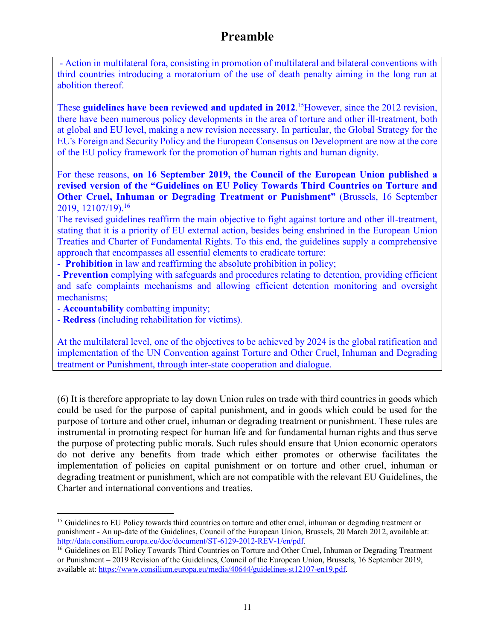- Action in multilateral fora, consisting in promotion of multilateral and bilateral conventions with third countries introducing a moratorium of the use of death penalty aiming in the long run at abolition thereof.

These **guidelines have been reviewed and updated in 2012**. 15However, since the 2012 revision, there have been numerous policy developments in the area of torture and other ill-treatment, both at global and EU level, making a new revision necessary. In particular, the Global Strategy for the EU's Foreign and Security Policy and the European Consensus on Development are now at the core of the EU policy framework for the promotion of human rights and human dignity.

For these reasons, **on 16 September 2019, the Council of the European Union published a revised version of the "Guidelines on EU Policy Towards Third Countries on Torture and Other Cruel, Inhuman or Degrading Treatment or Punishment"** (Brussels, 16 September 2019, 12107/19).<sup>16</sup>

The revised guidelines reaffirm the main objective to fight against torture and other ill-treatment, stating that it is a priority of EU external action, besides being enshrined in the European Union Treaties and Charter of Fundamental Rights. To this end, the guidelines supply a comprehensive approach that encompasses all essential elements to eradicate torture:

- **Prohibition** in law and reaffirming the absolute prohibition in policy;

- **Prevention** complying with safeguards and procedures relating to detention, providing efficient and safe complaints mechanisms and allowing efficient detention monitoring and oversight mechanisms;

- **Accountability** combatting impunity;

 

- **Redress** (including rehabilitation for victims).

At the multilateral level, one of the objectives to be achieved by 2024 is the global ratification and implementation of the UN Convention against Torture and Other Cruel, Inhuman and Degrading treatment or Punishment, through inter-state cooperation and dialogue.

(6) It is therefore appropriate to lay down Union rules on trade with third countries in goods which could be used for the purpose of capital punishment, and in goods which could be used for the purpose of torture and other cruel, inhuman or degrading treatment or punishment. These rules are instrumental in promoting respect for human life and for fundamental human rights and thus serve the purpose of protecting public morals. Such rules should ensure that Union economic operators do not derive any benefits from trade which either promotes or otherwise facilitates the implementation of policies on capital punishment or on torture and other cruel, inhuman or degrading treatment or punishment, which are not compatible with the relevant EU Guidelines, the Charter and international conventions and treaties.

<sup>&</sup>lt;sup>15</sup> Guidelines to EU Policy towards third countries on torture and other cruel, inhuman or degrading treatment or punishment - An up-date of the Guidelines, Council of the European Union, Brussels, 20 March 2012, available at: http://data.consilium.europa.eu/doc/document/ST-6129-2012-REV-1/en/pdf.

<sup>16</sup> Guidelines on EU Policy Towards Third Countries on Torture and Other Cruel, Inhuman or Degrading Treatment or Punishment – 2019 Revision of the Guidelines, Council of the European Union, Brussels, 16 September 2019, available at: https://www.consilium.europa.eu/media/40644/guidelines-st12107-en19.pdf.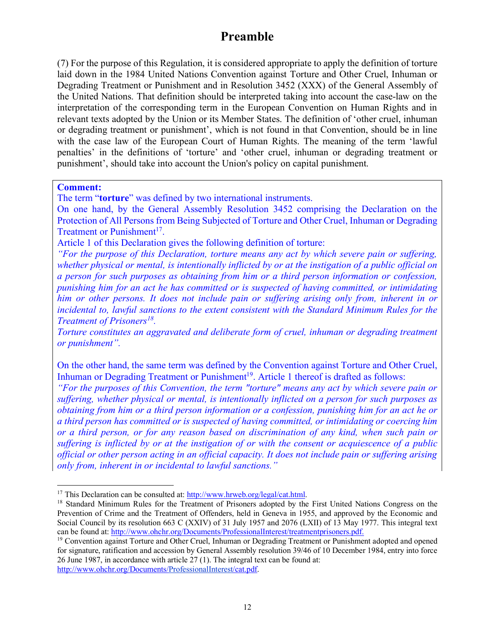(7) For the purpose of this Regulation, it is considered appropriate to apply the definition of torture laid down in the 1984 United Nations Convention against Torture and Other Cruel, Inhuman or Degrading Treatment or Punishment and in Resolution 3452 (XXX) of the General Assembly of the United Nations. That definition should be interpreted taking into account the case-law on the interpretation of the corresponding term in the European Convention on Human Rights and in relevant texts adopted by the Union or its Member States. The definition of 'other cruel, inhuman or degrading treatment or punishment', which is not found in that Convention, should be in line with the case law of the European Court of Human Rights. The meaning of the term 'lawful penalties' in the definitions of 'torture' and 'other cruel, inhuman or degrading treatment or punishment', should take into account the Union's policy on capital punishment.

#### **Comment:**

The term "**torture**" was defined by two international instruments.

On one hand, by the General Assembly Resolution 3452 comprising the Declaration on the Protection of All Persons from Being Subjected of Torture and Other Cruel, Inhuman or Degrading Treatment or Punishment<sup>17</sup>.

Article 1 of this Declaration gives the following definition of torture:

*"For the purpose of this Declaration, torture means any act by which severe pain or suffering, whether physical or mental, is intentionally inflicted by or at the instigation of a public official on a person for such purposes as obtaining from him or a third person information or confession, punishing him for an act he has committed or is suspected of having committed, or intimidating him or other persons. It does not include pain or suffering arising only from, inherent in or incidental to, lawful sanctions to the extent consistent with the Standard Minimum Rules for the Treatment of Prisoners*<sup>18</sup>.

*Torture constitutes an aggravated and deliberate form of cruel, inhuman or degrading treatment or punishment".*

On the other hand, the same term was defined by the Convention against Torture and Other Cruel, Inhuman or Degrading Treatment or Punishment<sup>19</sup>. Article 1 thereof is drafted as follows:

*"For the purposes of this Convention, the term "torture" means any act by which severe pain or suffering, whether physical or mental, is intentionally inflicted on a person for such purposes as obtaining from him or a third person information or a confession, punishing him for an act he or a third person has committed or is suspected of having committed, or intimidating or coercing him or a third person, or for any reason based on discrimination of any kind, when such pain or suffering is inflicted by or at the instigation of or with the consent or acquiescence of a public official or other person acting in an official capacity. It does not include pain or suffering arising only from, inherent in or incidental to lawful sanctions."*

<sup>17</sup> This Declaration can be consulted at: http://www.hrweb.org/legal/cat.html.

<sup>&</sup>lt;sup>18</sup> Standard Minimum Rules for the Treatment of Prisoners adopted by the First United Nations Congress on the Prevention of Crime and the Treatment of Offenders, held in Geneva in 1955, and approved by the Economic and Social Council by its resolution 663 C (XXIV) of 31 July 1957 and 2076 (LXII) of 13 May 1977. This integral text can be found at: http://www.ohchr.org/Documents/ProfessionalInterest/treatmentprisoners.pdf.

<sup>19</sup> Convention against Torture and Other Cruel, Inhuman or Degrading Treatment or Punishment adopted and opened for signature, ratification and accession by General Assembly resolution 39/46 of 10 December 1984, entry into force 26 June 1987, in accordance with article 27 (1). The integral text can be found at: http://www.ohchr.org/Documents/ProfessionalInterest/cat.pdf.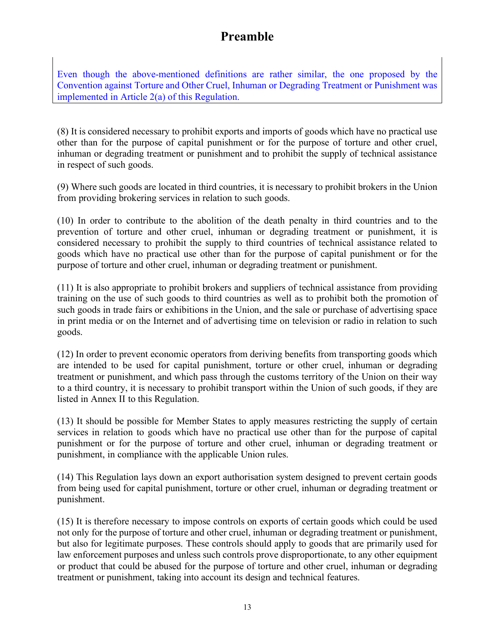Even though the above-mentioned definitions are rather similar, the one proposed by the Convention against Torture and Other Cruel, Inhuman or Degrading Treatment or Punishment was implemented in Article 2(a) of this Regulation.

(8) It is considered necessary to prohibit exports and imports of goods which have no practical use other than for the purpose of capital punishment or for the purpose of torture and other cruel, inhuman or degrading treatment or punishment and to prohibit the supply of technical assistance in respect of such goods.

(9) Where such goods are located in third countries, it is necessary to prohibit brokers in the Union from providing brokering services in relation to such goods.

(10) In order to contribute to the abolition of the death penalty in third countries and to the prevention of torture and other cruel, inhuman or degrading treatment or punishment, it is considered necessary to prohibit the supply to third countries of technical assistance related to goods which have no practical use other than for the purpose of capital punishment or for the purpose of torture and other cruel, inhuman or degrading treatment or punishment.

(11) It is also appropriate to prohibit brokers and suppliers of technical assistance from providing training on the use of such goods to third countries as well as to prohibit both the promotion of such goods in trade fairs or exhibitions in the Union, and the sale or purchase of advertising space in print media or on the Internet and of advertising time on television or radio in relation to such goods.

(12) In order to prevent economic operators from deriving benefits from transporting goods which are intended to be used for capital punishment, torture or other cruel, inhuman or degrading treatment or punishment, and which pass through the customs territory of the Union on their way to a third country, it is necessary to prohibit transport within the Union of such goods, if they are listed in Annex II to this Regulation.

(13) It should be possible for Member States to apply measures restricting the supply of certain services in relation to goods which have no practical use other than for the purpose of capital punishment or for the purpose of torture and other cruel, inhuman or degrading treatment or punishment, in compliance with the applicable Union rules.

(14) This Regulation lays down an export authorisation system designed to prevent certain goods from being used for capital punishment, torture or other cruel, inhuman or degrading treatment or punishment.

(15) It is therefore necessary to impose controls on exports of certain goods which could be used not only for the purpose of torture and other cruel, inhuman or degrading treatment or punishment, but also for legitimate purposes. These controls should apply to goods that are primarily used for law enforcement purposes and unless such controls prove disproportionate, to any other equipment or product that could be abused for the purpose of torture and other cruel, inhuman or degrading treatment or punishment, taking into account its design and technical features.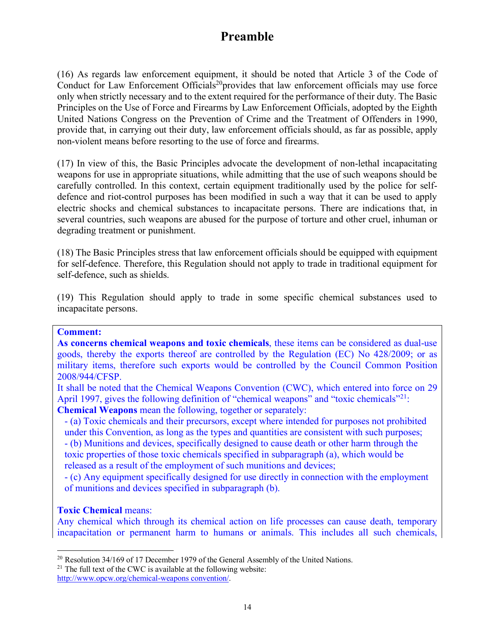(16) As regards law enforcement equipment, it should be noted that Article 3 of the Code of Conduct for Law Enforcement Officials<sup>20</sup>provides that law enforcement officials may use force only when strictly necessary and to the extent required for the performance of their duty. The Basic Principles on the Use of Force and Firearms by Law Enforcement Officials, adopted by the Eighth United Nations Congress on the Prevention of Crime and the Treatment of Offenders in 1990, provide that, in carrying out their duty, law enforcement officials should, as far as possible, apply non-violent means before resorting to the use of force and firearms.

(17) In view of this, the Basic Principles advocate the development of non-lethal incapacitating weapons for use in appropriate situations, while admitting that the use of such weapons should be carefully controlled. In this context, certain equipment traditionally used by the police for selfdefence and riot-control purposes has been modified in such a way that it can be used to apply electric shocks and chemical substances to incapacitate persons. There are indications that, in several countries, such weapons are abused for the purpose of torture and other cruel, inhuman or degrading treatment or punishment.

(18) The Basic Principles stress that law enforcement officials should be equipped with equipment for self-defence. Therefore, this Regulation should not apply to trade in traditional equipment for self-defence, such as shields.

(19) This Regulation should apply to trade in some specific chemical substances used to incapacitate persons.

#### **Comment:**

**As concerns chemical weapons and toxic chemicals**, these items can be considered as dual-use goods, thereby the exports thereof are controlled by the Regulation (EC) No 428/2009; or as military items, therefore such exports would be controlled by the Council Common Position 2008/944/CFSP.

It shall be noted that the Chemical Weapons Convention (CWC), which entered into force on 29 April 1997, gives the following definition of "chemical weapons" and "toxic chemicals"<sup>21</sup>: **Chemical Weapons** mean the following, together or separately:

 - (a) Toxic chemicals and their precursors, except where intended for purposes not prohibited under this Convention, as long as the types and quantities are consistent with such purposes; - (b) Munitions and devices, specifically designed to cause death or other harm through the toxic properties of those toxic chemicals specified in subparagraph (a), which would be

released as a result of the employment of such munitions and devices;

 - (c) Any equipment specifically designed for use directly in connection with the employment of munitions and devices specified in subparagraph (b).

#### **Toxic Chemical** means:

Any chemical which through its chemical action on life processes can cause death, temporary incapacitation or permanent harm to humans or animals. This includes all such chemicals,

 <sup>20</sup> Resolution 34/169 of 17 December 1979 of the General Assembly of the United Nations.

 $21$  The full text of the CWC is available at the following website: http://www.opcw.org/chemical-weapons convention/.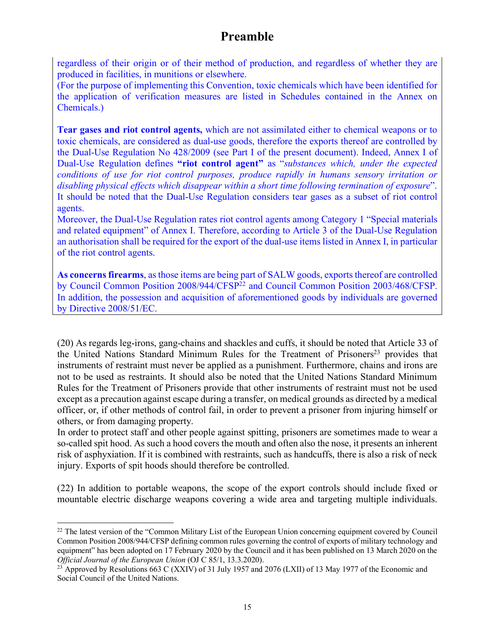regardless of their origin or of their method of production, and regardless of whether they are produced in facilities, in munitions or elsewhere.

(For the purpose of implementing this Convention, toxic chemicals which have been identified for the application of verification measures are listed in Schedules contained in the Annex on Chemicals.)

**Tear gases and riot control agents,** which are not assimilated either to chemical weapons or to toxic chemicals, are considered as dual-use goods, therefore the exports thereof are controlled by the Dual-Use Regulation No 428/2009 (see Part I of the present document). Indeed, Annex I of Dual-Use Regulation defines **"riot control agent"** as "*substances which, under the expected conditions of use for riot control purposes, produce rapidly in humans sensory irritation or disabling physical effects which disappear within a short time following termination of exposure*". It should be noted that the Dual-Use Regulation considers tear gases as a subset of riot control agents.

Moreover, the Dual-Use Regulation rates riot control agents among Category 1 "Special materials and related equipment" of Annex I. Therefore, according to Article 3 of the Dual-Use Regulation an authorisation shall be required for the export of the dual-use items listed in Annex I, in particular of the riot control agents.

**As concerns firearms**, as those items are being part of SALW goods, exports thereof are controlled by Council Common Position 2008/944/CFSP22 and Council Common Position 2003/468/CFSP. In addition, the possession and acquisition of aforementioned goods by individuals are governed by Directive 2008/51/EC.

(20) As regards leg-irons, gang-chains and shackles and cuffs, it should be noted that Article 33 of the United Nations Standard Minimum Rules for the Treatment of Prisoners<sup>23</sup> provides that instruments of restraint must never be applied as a punishment. Furthermore, chains and irons are not to be used as restraints. It should also be noted that the United Nations Standard Minimum Rules for the Treatment of Prisoners provide that other instruments of restraint must not be used except as a precaution against escape during a transfer, on medical grounds as directed by a medical officer, or, if other methods of control fail, in order to prevent a prisoner from injuring himself or others, or from damaging property.

In order to protect staff and other people against spitting, prisoners are sometimes made to wear a so-called spit hood. As such a hood covers the mouth and often also the nose, it presents an inherent risk of asphyxiation. If it is combined with restraints, such as handcuffs, there is also a risk of neck injury. Exports of spit hoods should therefore be controlled.

(22) In addition to portable weapons, the scope of the export controls should include fixed or mountable electric discharge weapons covering a wide area and targeting multiple individuals.

<sup>&</sup>lt;sup>22</sup> The latest version of the "Common Military List of the European Union concerning equipment covered by Council Common Position 2008/944/CFSP defining common rules governing the control of exports of military technology and equipment" has been adopted on 17 February 2020 by the Council and it has been published on 13 March 2020 on the *Official Journal of the European Union* (OJ C 85/1, 13.3.2020).

 $^{23}$  Approved by Resolutions 663 C (XXIV) of 31 July 1957 and 2076 (LXII) of 13 May 1977 of the Economic and Social Council of the United Nations.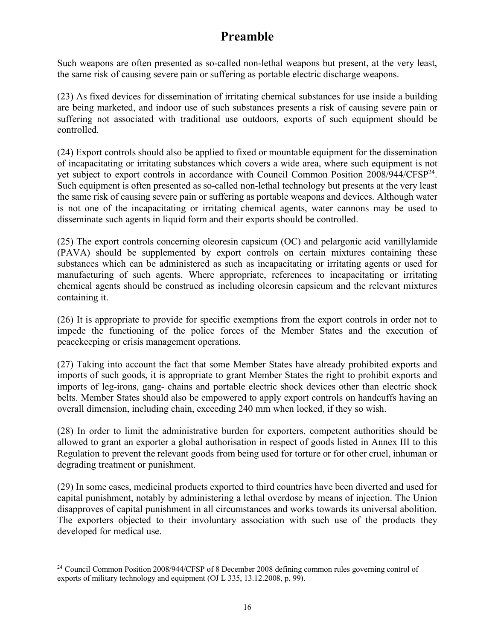Such weapons are often presented as so-called non-lethal weapons but present, at the very least, the same risk of causing severe pain or suffering as portable electric discharge weapons.

(23) As fixed devices for dissemination of irritating chemical substances for use inside a building are being marketed, and indoor use of such substances presents a risk of causing severe pain or suffering not associated with traditional use outdoors, exports of such equipment should be controlled.

(24) Export controls should also be applied to fixed or mountable equipment for the dissemination of incapacitating or irritating substances which covers a wide area, where such equipment is not yet subject to export controls in accordance with Council Common Position 2008/944/CFSP24. Such equipment is often presented as so-called non-lethal technology but presents at the very least the same risk of causing severe pain or suffering as portable weapons and devices. Although water is not one of the incapacitating or irritating chemical agents, water cannons may be used to disseminate such agents in liquid form and their exports should be controlled.

(25) The export controls concerning oleoresin capsicum (OC) and pelargonic acid vanillylamide (PAVA) should be supplemented by export controls on certain mixtures containing these substances which can be administered as such as incapacitating or irritating agents or used for manufacturing of such agents. Where appropriate, references to incapacitating or irritating chemical agents should be construed as including oleoresin capsicum and the relevant mixtures containing it.

(26) It is appropriate to provide for specific exemptions from the export controls in order not to impede the functioning of the police forces of the Member States and the execution of peacekeeping or crisis management operations.

(27) Taking into account the fact that some Member States have already prohibited exports and imports of such goods, it is appropriate to grant Member States the right to prohibit exports and imports of leg-irons, gang- chains and portable electric shock devices other than electric shock belts. Member States should also be empowered to apply export controls on handcuffs having an overall dimension, including chain, exceeding 240 mm when locked, if they so wish.

(28) In order to limit the administrative burden for exporters, competent authorities should be allowed to grant an exporter a global authorisation in respect of goods listed in Annex III to this Regulation to prevent the relevant goods from being used for torture or for other cruel, inhuman or degrading treatment or punishment.

(29) In some cases, medicinal products exported to third countries have been diverted and used for capital punishment, notably by administering a lethal overdose by means of injection. The Union disapproves of capital punishment in all circumstances and works towards its universal abolition. The exporters objected to their involuntary association with such use of the products they developed for medical use.

 <sup>24</sup> Council Common Position 2008/944/CFSP of 8 December 2008 defining common rules governing control of exports of military technology and equipment (OJ L 335, 13.12.2008, p. 99).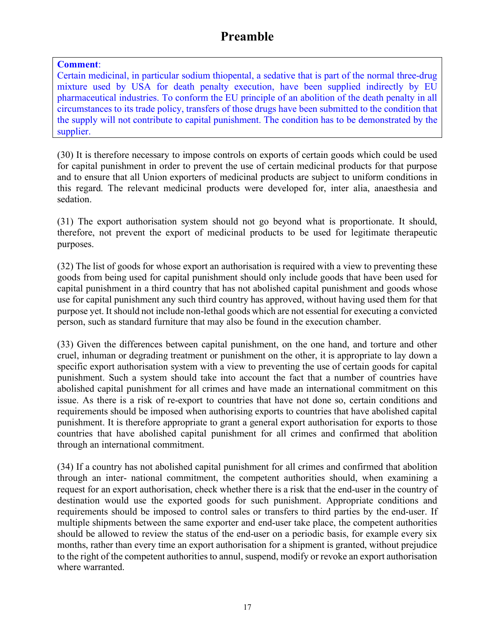#### **Comment**:

Certain medicinal, in particular sodium thiopental, a sedative that is part of the normal three-drug mixture used by USA for death penalty execution, have been supplied indirectly by EU pharmaceutical industries. To conform the EU principle of an abolition of the death penalty in all circumstances to its trade policy, transfers of those drugs have been submitted to the condition that the supply will not contribute to capital punishment. The condition has to be demonstrated by the supplier.

(30) It is therefore necessary to impose controls on exports of certain goods which could be used for capital punishment in order to prevent the use of certain medicinal products for that purpose and to ensure that all Union exporters of medicinal products are subject to uniform conditions in this regard. The relevant medicinal products were developed for, inter alia, anaesthesia and sedation.

(31) The export authorisation system should not go beyond what is proportionate. It should, therefore, not prevent the export of medicinal products to be used for legitimate therapeutic purposes.

(32) The list of goods for whose export an authorisation is required with a view to preventing these goods from being used for capital punishment should only include goods that have been used for capital punishment in a third country that has not abolished capital punishment and goods whose use for capital punishment any such third country has approved, without having used them for that purpose yet. It should not include non-lethal goods which are not essential for executing a convicted person, such as standard furniture that may also be found in the execution chamber.

(33) Given the differences between capital punishment, on the one hand, and torture and other cruel, inhuman or degrading treatment or punishment on the other, it is appropriate to lay down a specific export authorisation system with a view to preventing the use of certain goods for capital punishment. Such a system should take into account the fact that a number of countries have abolished capital punishment for all crimes and have made an international commitment on this issue. As there is a risk of re-export to countries that have not done so, certain conditions and requirements should be imposed when authorising exports to countries that have abolished capital punishment. It is therefore appropriate to grant a general export authorisation for exports to those countries that have abolished capital punishment for all crimes and confirmed that abolition through an international commitment.

(34) If a country has not abolished capital punishment for all crimes and confirmed that abolition through an inter- national commitment, the competent authorities should, when examining a request for an export authorisation, check whether there is a risk that the end-user in the country of destination would use the exported goods for such punishment. Appropriate conditions and requirements should be imposed to control sales or transfers to third parties by the end-user. If multiple shipments between the same exporter and end-user take place, the competent authorities should be allowed to review the status of the end-user on a periodic basis, for example every six months, rather than every time an export authorisation for a shipment is granted, without prejudice to the right of the competent authorities to annul, suspend, modify or revoke an export authorisation where warranted.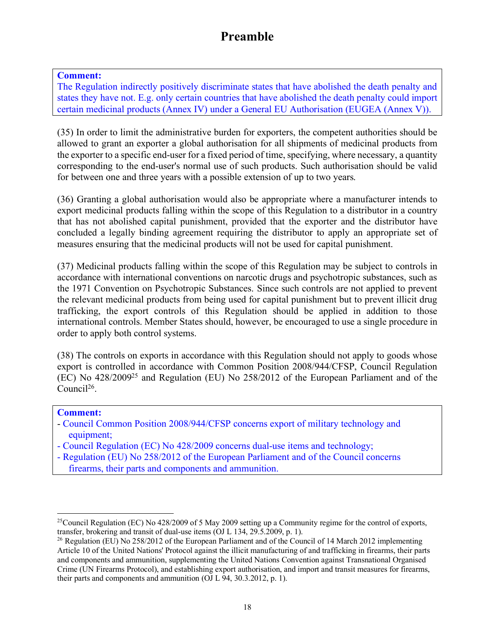#### **Comment:**

The Regulation indirectly positively discriminate states that have abolished the death penalty and states they have not. E.g. only certain countries that have abolished the death penalty could import certain medicinal products (Annex IV) under a General EU Authorisation (EUGEA (Annex V)).

(35) In order to limit the administrative burden for exporters, the competent authorities should be allowed to grant an exporter a global authorisation for all shipments of medicinal products from the exporter to a specific end-user for a fixed period of time, specifying, where necessary, a quantity corresponding to the end-user's normal use of such products. Such authorisation should be valid for between one and three years with a possible extension of up to two years.

(36) Granting a global authorisation would also be appropriate where a manufacturer intends to export medicinal products falling within the scope of this Regulation to a distributor in a country that has not abolished capital punishment, provided that the exporter and the distributor have concluded a legally binding agreement requiring the distributor to apply an appropriate set of measures ensuring that the medicinal products will not be used for capital punishment.

(37) Medicinal products falling within the scope of this Regulation may be subject to controls in accordance with international conventions on narcotic drugs and psychotropic substances, such as the 1971 Convention on Psychotropic Substances. Since such controls are not applied to prevent the relevant medicinal products from being used for capital punishment but to prevent illicit drug trafficking, the export controls of this Regulation should be applied in addition to those international controls. Member States should, however, be encouraged to use a single procedure in order to apply both control systems.

(38) The controls on exports in accordance with this Regulation should not apply to goods whose export is controlled in accordance with Common Position 2008/944/CFSP, Council Regulation (EC) No 428/200925 and Regulation (EU) No 258/2012 of the European Parliament and of the Council<sup>26</sup>

#### **Comment:**

- Council Common Position 2008/944/CFSP concerns export of military technology and equipment;
- Council Regulation (EC) No 428/2009 concerns dual-use items and technology;
- Regulation (EU) No 258/2012 of the European Parliament and of the Council concerns firearms, their parts and components and ammunition.

<sup>&</sup>lt;sup>25</sup>Council Regulation (EC) No 428/2009 of 5 May 2009 setting up a Community regime for the control of exports, transfer, brokering and transit of dual-use items (OJ L 134, 29.5.2009, p. 1).

<sup>&</sup>lt;sup>26</sup> Regulation (EU) No 258/2012 of the European Parliament and of the Council of 14 March 2012 implementing Article 10 of the United Nations' Protocol against the illicit manufacturing of and trafficking in firearms, their parts and components and ammunition, supplementing the United Nations Convention against Transnational Organised Crime (UN Firearms Protocol), and establishing export authorisation, and import and transit measures for firearms, their parts and components and ammunition (OJ L 94, 30.3.2012, p. 1).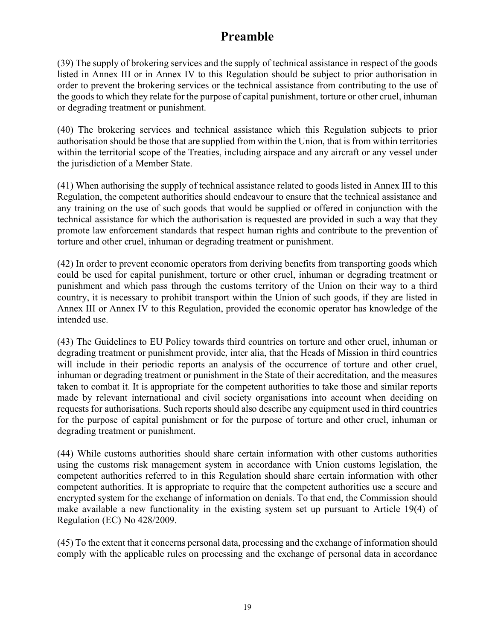(39) The supply of brokering services and the supply of technical assistance in respect of the goods listed in Annex III or in Annex IV to this Regulation should be subject to prior authorisation in order to prevent the brokering services or the technical assistance from contributing to the use of the goods to which they relate for the purpose of capital punishment, torture or other cruel, inhuman or degrading treatment or punishment.

(40) The brokering services and technical assistance which this Regulation subjects to prior authorisation should be those that are supplied from within the Union, that is from within territories within the territorial scope of the Treaties, including airspace and any aircraft or any vessel under the jurisdiction of a Member State.

(41) When authorising the supply of technical assistance related to goods listed in Annex III to this Regulation, the competent authorities should endeavour to ensure that the technical assistance and any training on the use of such goods that would be supplied or offered in conjunction with the technical assistance for which the authorisation is requested are provided in such a way that they promote law enforcement standards that respect human rights and contribute to the prevention of torture and other cruel, inhuman or degrading treatment or punishment.

(42) In order to prevent economic operators from deriving benefits from transporting goods which could be used for capital punishment, torture or other cruel, inhuman or degrading treatment or punishment and which pass through the customs territory of the Union on their way to a third country, it is necessary to prohibit transport within the Union of such goods, if they are listed in Annex III or Annex IV to this Regulation, provided the economic operator has knowledge of the intended use.

(43) The Guidelines to EU Policy towards third countries on torture and other cruel, inhuman or degrading treatment or punishment provide, inter alia, that the Heads of Mission in third countries will include in their periodic reports an analysis of the occurrence of torture and other cruel, inhuman or degrading treatment or punishment in the State of their accreditation, and the measures taken to combat it. It is appropriate for the competent authorities to take those and similar reports made by relevant international and civil society organisations into account when deciding on requests for authorisations. Such reports should also describe any equipment used in third countries for the purpose of capital punishment or for the purpose of torture and other cruel, inhuman or degrading treatment or punishment.

(44) While customs authorities should share certain information with other customs authorities using the customs risk management system in accordance with Union customs legislation, the competent authorities referred to in this Regulation should share certain information with other competent authorities. It is appropriate to require that the competent authorities use a secure and encrypted system for the exchange of information on denials. To that end, the Commission should make available a new functionality in the existing system set up pursuant to Article 19(4) of Regulation (EC) No 428/2009.

(45) To the extent that it concerns personal data, processing and the exchange of information should comply with the applicable rules on processing and the exchange of personal data in accordance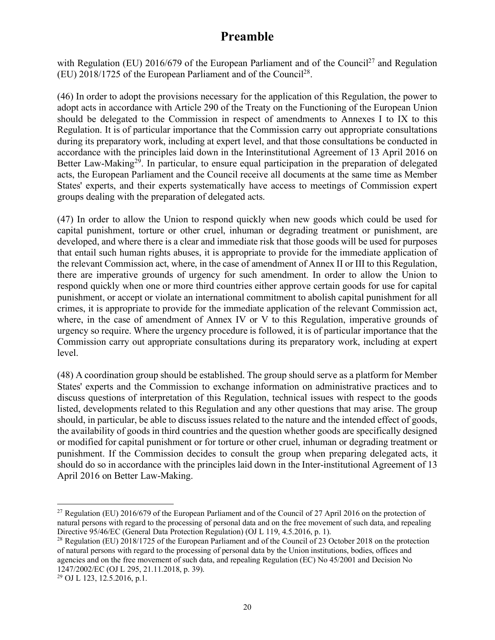with Regulation (EU) 2016/679 of the European Parliament and of the Council<sup>27</sup> and Regulation (EU) 2018/1725 of the European Parliament and of the Council28.

(46) In order to adopt the provisions necessary for the application of this Regulation, the power to adopt acts in accordance with Article 290 of the Treaty on the Functioning of the European Union should be delegated to the Commission in respect of amendments to Annexes I to IX to this Regulation. It is of particular importance that the Commission carry out appropriate consultations during its preparatory work, including at expert level, and that those consultations be conducted in accordance with the principles laid down in the Interinstitutional Agreement of 13 April 2016 on Better Law-Making<sup>29</sup>. In particular, to ensure equal participation in the preparation of delegated acts, the European Parliament and the Council receive all documents at the same time as Member States' experts, and their experts systematically have access to meetings of Commission expert groups dealing with the preparation of delegated acts.

(47) In order to allow the Union to respond quickly when new goods which could be used for capital punishment, torture or other cruel, inhuman or degrading treatment or punishment, are developed, and where there is a clear and immediate risk that those goods will be used for purposes that entail such human rights abuses, it is appropriate to provide for the immediate application of the relevant Commission act, where, in the case of amendment of Annex II or III to this Regulation, there are imperative grounds of urgency for such amendment. In order to allow the Union to respond quickly when one or more third countries either approve certain goods for use for capital punishment, or accept or violate an international commitment to abolish capital punishment for all crimes, it is appropriate to provide for the immediate application of the relevant Commission act, where, in the case of amendment of Annex IV or V to this Regulation, imperative grounds of urgency so require. Where the urgency procedure is followed, it is of particular importance that the Commission carry out appropriate consultations during its preparatory work, including at expert level.

(48) A coordination group should be established. The group should serve as a platform for Member States' experts and the Commission to exchange information on administrative practices and to discuss questions of interpretation of this Regulation, technical issues with respect to the goods listed, developments related to this Regulation and any other questions that may arise. The group should, in particular, be able to discuss issues related to the nature and the intended effect of goods, the availability of goods in third countries and the question whether goods are specifically designed or modified for capital punishment or for torture or other cruel, inhuman or degrading treatment or punishment. If the Commission decides to consult the group when preparing delegated acts, it should do so in accordance with the principles laid down in the Inter-institutional Agreement of 13 April 2016 on Better Law-Making.

<sup>&</sup>lt;sup>27</sup> Regulation (EU) 2016/679 of the European Parliament and of the Council of 27 April 2016 on the protection of natural persons with regard to the processing of personal data and on the free movement of such data, and repealing Directive 95/46/EC (General Data Protection Regulation) (OJ L 119, 4.5.2016, p. 1).

<sup>&</sup>lt;sup>28</sup> Regulation (EU) 2018/1725 of the European Parliament and of the Council of 23 October 2018 on the protection of natural persons with regard to the processing of personal data by the Union institutions, bodies, offices and agencies and on the free movement of such data, and repealing Regulation (EC) No 45/2001 and Decision No 1247/2002/EC (OJ L 295, 21.11.2018, p. 39).

<sup>29</sup> OJ L 123, 12.5.2016, p.1.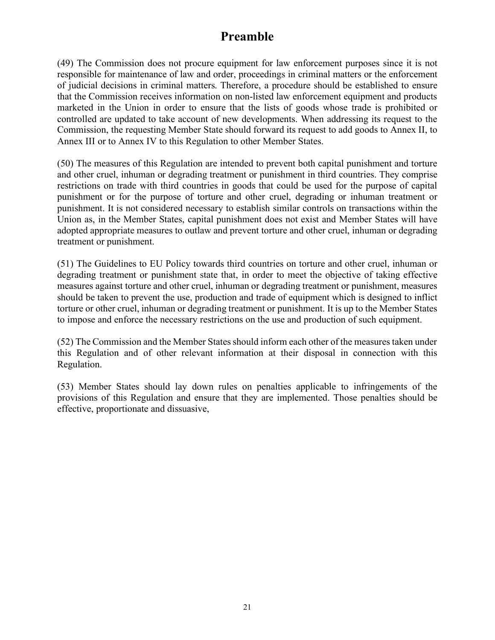(49) The Commission does not procure equipment for law enforcement purposes since it is not responsible for maintenance of law and order, proceedings in criminal matters or the enforcement of judicial decisions in criminal matters. Therefore, a procedure should be established to ensure that the Commission receives information on non-listed law enforcement equipment and products marketed in the Union in order to ensure that the lists of goods whose trade is prohibited or controlled are updated to take account of new developments. When addressing its request to the Commission, the requesting Member State should forward its request to add goods to Annex II, to Annex III or to Annex IV to this Regulation to other Member States.

(50) The measures of this Regulation are intended to prevent both capital punishment and torture and other cruel, inhuman or degrading treatment or punishment in third countries. They comprise restrictions on trade with third countries in goods that could be used for the purpose of capital punishment or for the purpose of torture and other cruel, degrading or inhuman treatment or punishment. It is not considered necessary to establish similar controls on transactions within the Union as, in the Member States, capital punishment does not exist and Member States will have adopted appropriate measures to outlaw and prevent torture and other cruel, inhuman or degrading treatment or punishment.

(51) The Guidelines to EU Policy towards third countries on torture and other cruel, inhuman or degrading treatment or punishment state that, in order to meet the objective of taking effective measures against torture and other cruel, inhuman or degrading treatment or punishment, measures should be taken to prevent the use, production and trade of equipment which is designed to inflict torture or other cruel, inhuman or degrading treatment or punishment. It is up to the Member States to impose and enforce the necessary restrictions on the use and production of such equipment.

(52) The Commission and the Member States should inform each other of the measures taken under this Regulation and of other relevant information at their disposal in connection with this Regulation.

(53) Member States should lay down rules on penalties applicable to infringements of the provisions of this Regulation and ensure that they are implemented. Those penalties should be effective, proportionate and dissuasive,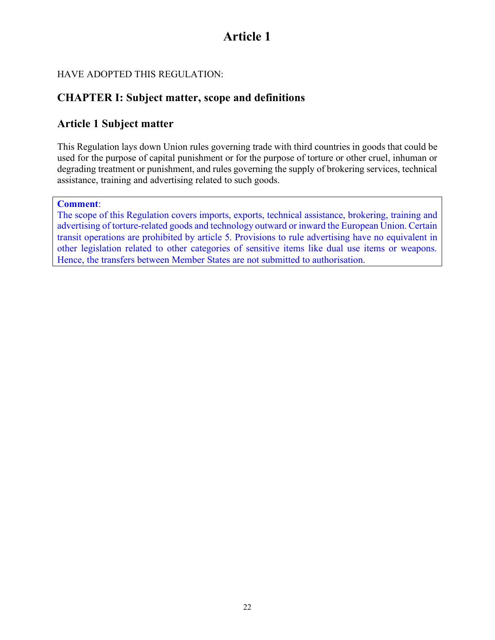### HAVE ADOPTED THIS REGULATION:

### **CHAPTER I: Subject matter, scope and definitions**

### **Article 1 Subject matter**

This Regulation lays down Union rules governing trade with third countries in goods that could be used for the purpose of capital punishment or for the purpose of torture or other cruel, inhuman or degrading treatment or punishment, and rules governing the supply of brokering services, technical assistance, training and advertising related to such goods.

#### **Comment**:

The scope of this Regulation covers imports, exports, technical assistance, brokering, training and advertising of torture-related goods and technology outward or inward the European Union. Certain transit operations are prohibited by article 5. Provisions to rule advertising have no equivalent in other legislation related to other categories of sensitive items like dual use items or weapons. Hence, the transfers between Member States are not submitted to authorisation.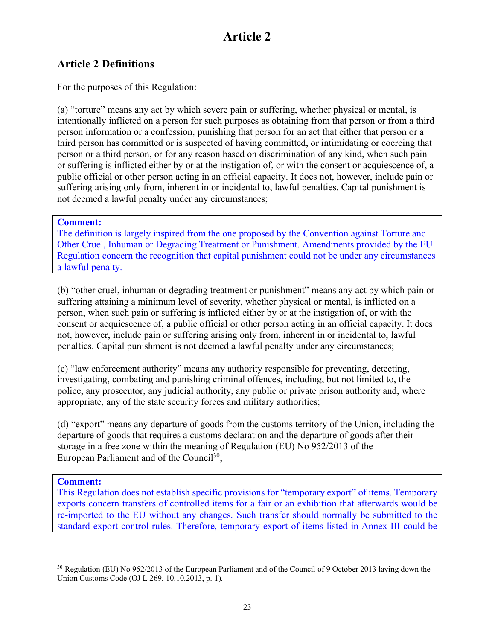### **Article 2 Definitions**

For the purposes of this Regulation:

(a) "torture" means any act by which severe pain or suffering, whether physical or mental, is intentionally inflicted on a person for such purposes as obtaining from that person or from a third person information or a confession, punishing that person for an act that either that person or a third person has committed or is suspected of having committed, or intimidating or coercing that person or a third person, or for any reason based on discrimination of any kind, when such pain or suffering is inflicted either by or at the instigation of, or with the consent or acquiescence of, a public official or other person acting in an official capacity. It does not, however, include pain or suffering arising only from, inherent in or incidental to, lawful penalties. Capital punishment is not deemed a lawful penalty under any circumstances;

#### **Comment:**

The definition is largely inspired from the one proposed by the Convention against Torture and Other Cruel, Inhuman or Degrading Treatment or Punishment. Amendments provided by the EU Regulation concern the recognition that capital punishment could not be under any circumstances a lawful penalty.

(b) "other cruel, inhuman or degrading treatment or punishment" means any act by which pain or suffering attaining a minimum level of severity, whether physical or mental, is inflicted on a person, when such pain or suffering is inflicted either by or at the instigation of, or with the consent or acquiescence of, a public official or other person acting in an official capacity. It does not, however, include pain or suffering arising only from, inherent in or incidental to, lawful penalties. Capital punishment is not deemed a lawful penalty under any circumstances;

(c) "law enforcement authority" means any authority responsible for preventing, detecting, investigating, combating and punishing criminal offences, including, but not limited to, the police, any prosecutor, any judicial authority, any public or private prison authority and, where appropriate, any of the state security forces and military authorities;

(d) "export" means any departure of goods from the customs territory of the Union, including the departure of goods that requires a customs declaration and the departure of goods after their storage in a free zone within the meaning of Regulation (EU) No 952/2013 of the European Parliament and of the Council<sup>30</sup>;

**Comment:**

This Regulation does not establish specific provisions for "temporary export" of items. Temporary exports concern transfers of controlled items for a fair or an exhibition that afterwards would be re-imported to the EU without any changes. Such transfer should normally be submitted to the standard export control rules. Therefore, temporary export of items listed in Annex III could be

 <sup>30</sup> Regulation (EU) No 952/2013 of the European Parliament and of the Council of 9 October 2013 laying down the Union Customs Code (OJ L 269, 10.10.2013, p. 1).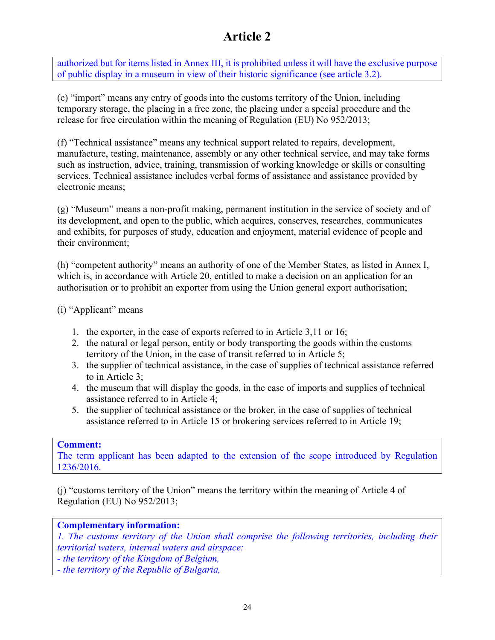authorized but for items listed in Annex III, it is prohibited unless it will have the exclusive purpose of public display in a museum in view of their historic significance (see article 3.2).

(e) "import" means any entry of goods into the customs territory of the Union, including temporary storage, the placing in a free zone, the placing under a special procedure and the release for free circulation within the meaning of Regulation (EU) No 952/2013;

(f) "Technical assistance" means any technical support related to repairs, development, manufacture, testing, maintenance, assembly or any other technical service, and may take forms such as instruction, advice, training, transmission of working knowledge or skills or consulting services. Technical assistance includes verbal forms of assistance and assistance provided by electronic means;

(g) "Museum" means a non-profit making, permanent institution in the service of society and of its development, and open to the public, which acquires, conserves, researches, communicates and exhibits, for purposes of study, education and enjoyment, material evidence of people and their environment;

(h) "competent authority" means an authority of one of the Member States, as listed in Annex I, which is, in accordance with Article 20, entitled to make a decision on an application for an authorisation or to prohibit an exporter from using the Union general export authorisation;

(i) "Applicant" means

- 1. the exporter, in the case of exports referred to in Article 3,11 or 16;
- 2. the natural or legal person, entity or body transporting the goods within the customs territory of the Union, in the case of transit referred to in Article 5;
- 3. the supplier of technical assistance, in the case of supplies of technical assistance referred to in Article 3;
- 4. the museum that will display the goods, in the case of imports and supplies of technical assistance referred to in Article 4;
- 5. the supplier of technical assistance or the broker, in the case of supplies of technical assistance referred to in Article 15 or brokering services referred to in Article 19;

#### **Comment:**

The term applicant has been adapted to the extension of the scope introduced by Regulation 1236/2016.

(j) "customs territory of the Union" means the territory within the meaning of Article 4 of Regulation (EU) No 952/2013;

#### **Complementary information:**

*1. The customs territory of the Union shall comprise the following territories, including their territorial waters, internal waters and airspace:* 

*- the territory of the Kingdom of Belgium,* 

*- the territory of the Republic of Bulgaria,*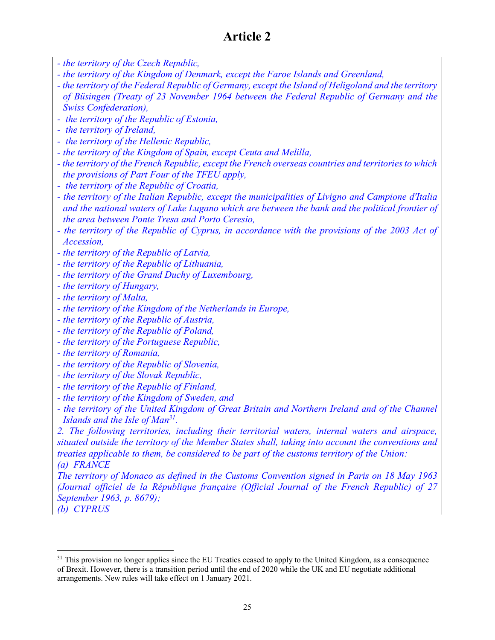- *- the territory of the Czech Republic,*
- *- the territory of the Kingdom of Denmark, except the Faroe Islands and Greenland,*
- *- the territory of the Federal Republic of Germany, except the Island of Heligoland and the territory of Büsingen (Treaty of 23 November 1964 between the Federal Republic of Germany and the Swiss Confederation),*
- *- the territory of the Republic of Estonia,*
- *- the territory of Ireland,*
- *- the territory of the Hellenic Republic,*
- *- the territory of the Kingdom of Spain, except Ceuta and Melilla,*
- *- the territory of the French Republic, except the French overseas countries and territories to which the provisions of Part Four of the TFEU apply,*
- *the territory of the Republic of Croatia,*
- *- the territory of the Italian Republic, except the municipalities of Livigno and Campione d'Italia and the national waters of Lake Lugano which are between the bank and the political frontier of the area between Ponte Tresa and Porto Ceresio,*
- *- the territory of the Republic of Cyprus, in accordance with the provisions of the 2003 Act of Accession,*
- *- the territory of the Republic of Latvia,*
- *- the territory of the Republic of Lithuania,*
- *- the territory of the Grand Duchy of Luxembourg,*
- *- the territory of Hungary,*
- *- the territory of Malta,*
- *- the territory of the Kingdom of the Netherlands in Europe,*
- *- the territory of the Republic of Austria,*
- *- the territory of the Republic of Poland,*
- *- the territory of the Portuguese Republic,*
- *- the territory of Romania,*
- *- the territory of the Republic of Slovenia,*
- *- the territory of the Slovak Republic,*
- *- the territory of the Republic of Finland,*
- *- the territory of the Kingdom of Sweden, and*
- *- the territory of the United Kingdom of Great Britain and Northern Ireland and of the Channel Islands and the Isle of Man31.*

*2. The following territories, including their territorial waters, internal waters and airspace, situated outside the territory of the Member States shall, taking into account the conventions and treaties applicable to them, be considered to be part of the customs territory of the Union: (a) FRANCE* 

*The territory of Monaco as defined in the Customs Convention signed in Paris on 18 May 1963 (Journal officiel de la République française (Official Journal of the French Republic) of 27 September 1963, p. 8679);* 

*(b) CYPRUS* 

<sup>&</sup>lt;sup>31</sup> This provision no longer applies since the EU Treaties ceased to apply to the United Kingdom, as a consequence of Brexit. However, there is a transition period until the end of 2020 while the UK and EU negotiate additional arrangements. New rules will take effect on 1 January 2021.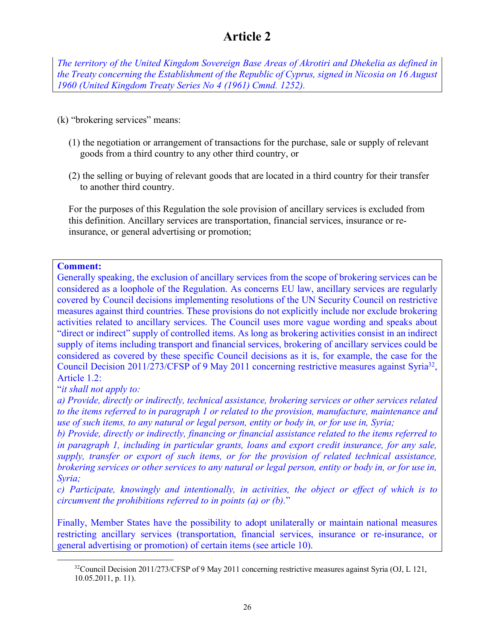*The territory of the United Kingdom Sovereign Base Areas of Akrotiri and Dhekelia as defined in the Treaty concerning the Establishment of the Republic of Cyprus, signed in Nicosia on 16 August 1960 (United Kingdom Treaty Series No 4 (1961) Cmnd. 1252).* 

- (k) "brokering services" means:
	- (1) the negotiation or arrangement of transactions for the purchase, sale or supply of relevant goods from a third country to any other third country, or
	- (2) the selling or buying of relevant goods that are located in a third country for their transfer to another third country.

For the purposes of this Regulation the sole provision of ancillary services is excluded from this definition. Ancillary services are transportation, financial services, insurance or reinsurance, or general advertising or promotion;

#### **Comment:**

Generally speaking, the exclusion of ancillary services from the scope of brokering services can be considered as a loophole of the Regulation. As concerns EU law, ancillary services are regularly covered by Council decisions implementing resolutions of the UN Security Council on restrictive measures against third countries. These provisions do not explicitly include nor exclude brokering activities related to ancillary services. The Council uses more vague wording and speaks about "direct or indirect" supply of controlled items. As long as brokering activities consist in an indirect supply of items including transport and financial services, brokering of ancillary services could be considered as covered by these specific Council decisions as it is, for example, the case for the Council Decision 2011/273/CFSP of 9 May 2011 concerning restrictive measures against Syria<sup>32</sup>, Article 1.2:

"*it shall not apply to:*

 

*a) Provide, directly or indirectly, technical assistance, brokering services or other services related to the items referred to in paragraph 1 or related to the provision, manufacture, maintenance and use of such items, to any natural or legal person, entity or body in, or for use in, Syria;*

*b) Provide, directly or indirectly, financing or financial assistance related to the items referred to in paragraph 1, including in particular grants, loans and export credit insurance, for any sale, supply, transfer or export of such items, or for the provision of related technical assistance, brokering services or other services to any natural or legal person, entity or body in, or for use in, Syria;*

*c) Participate, knowingly and intentionally, in activities, the object or effect of which is to circumvent the prohibitions referred to in points (a) or (b).*"

Finally, Member States have the possibility to adopt unilaterally or maintain national measures restricting ancillary services (transportation, financial services, insurance or re-insurance, or general advertising or promotion) of certain items (see article 10).

<sup>&</sup>lt;sup>32</sup>Council Decision 2011/273/CFSP of 9 May 2011 concerning restrictive measures against Syria (OJ, L 121, 10.05.2011, p. 11).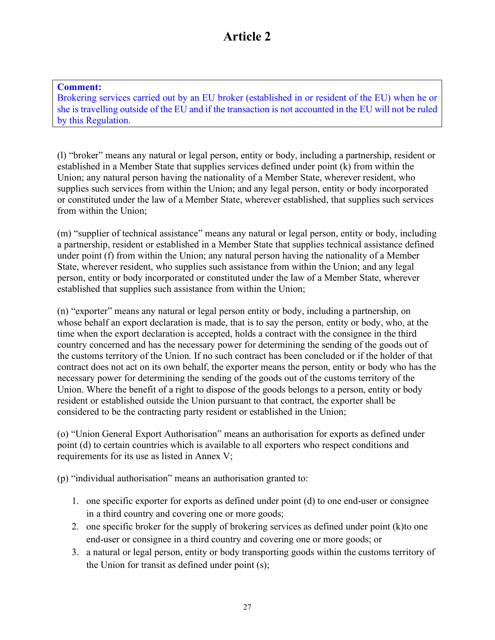#### **Comment:**

Brokering services carried out by an EU broker (established in or resident of the EU) when he or she is travelling outside of the EU and if the transaction is not accounted in the EU will not be ruled by this Regulation.

(l) "broker" means any natural or legal person, entity or body, including a partnership, resident or established in a Member State that supplies services defined under point (k) from within the Union; any natural person having the nationality of a Member State, wherever resident, who supplies such services from within the Union; and any legal person, entity or body incorporated or constituted under the law of a Member State, wherever established, that supplies such services from within the Union;

(m) "supplier of technical assistance" means any natural or legal person, entity or body, including a partnership, resident or established in a Member State that supplies technical assistance defined under point (f) from within the Union; any natural person having the nationality of a Member State, wherever resident, who supplies such assistance from within the Union; and any legal person, entity or body incorporated or constituted under the law of a Member State, wherever established that supplies such assistance from within the Union;

(n) "exporter" means any natural or legal person entity or body, including a partnership, on whose behalf an export declaration is made, that is to say the person, entity or body, who, at the time when the export declaration is accepted, holds a contract with the consignee in the third country concerned and has the necessary power for determining the sending of the goods out of the customs territory of the Union. If no such contract has been concluded or if the holder of that contract does not act on its own behalf, the exporter means the person, entity or body who has the necessary power for determining the sending of the goods out of the customs territory of the Union. Where the benefit of a right to dispose of the goods belongs to a person, entity or body resident or established outside the Union pursuant to that contract, the exporter shall be considered to be the contracting party resident or established in the Union;

(o) "Union General Export Authorisation" means an authorisation for exports as defined under point (d) to certain countries which is available to all exporters who respect conditions and requirements for its use as listed in Annex V;

(p) "individual authorisation" means an authorisation granted to:

- 1. one specific exporter for exports as defined under point (d) to one end-user or consignee in a third country and covering one or more goods;
- 2. one specific broker for the supply of brokering services as defined under point (k)to one end-user or consignee in a third country and covering one or more goods; or
- 3. a natural or legal person, entity or body transporting goods within the customs territory of the Union for transit as defined under point (s);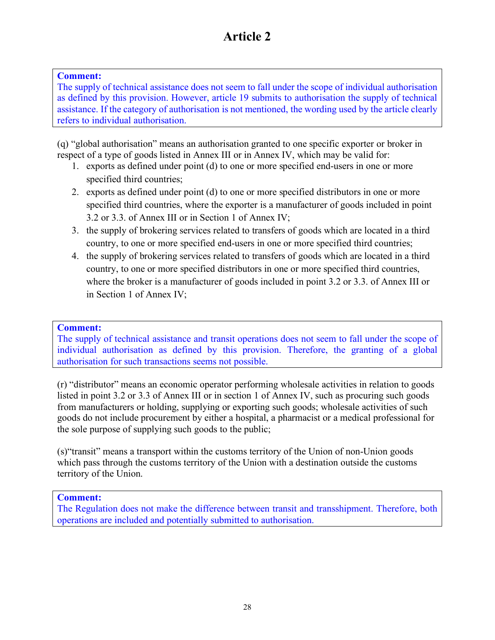#### **Comment:**

The supply of technical assistance does not seem to fall under the scope of individual authorisation as defined by this provision. However, article 19 submits to authorisation the supply of technical assistance. If the category of authorisation is not mentioned, the wording used by the article clearly refers to individual authorisation.

(q) "global authorisation" means an authorisation granted to one specific exporter or broker in respect of a type of goods listed in Annex III or in Annex IV, which may be valid for:

- 1. exports as defined under point (d) to one or more specified end-users in one or more specified third countries;
- 2. exports as defined under point (d) to one or more specified distributors in one or more specified third countries, where the exporter is a manufacturer of goods included in point 3.2 or 3.3. of Annex III or in Section 1 of Annex IV;
- 3. the supply of brokering services related to transfers of goods which are located in a third country, to one or more specified end-users in one or more specified third countries;
- 4. the supply of brokering services related to transfers of goods which are located in a third country, to one or more specified distributors in one or more specified third countries, where the broker is a manufacturer of goods included in point 3.2 or 3.3. of Annex III or in Section 1 of Annex IV;

#### **Comment:**

The supply of technical assistance and transit operations does not seem to fall under the scope of individual authorisation as defined by this provision. Therefore, the granting of a global authorisation for such transactions seems not possible.

(r) "distributor" means an economic operator performing wholesale activities in relation to goods listed in point 3.2 or 3.3 of Annex III or in section 1 of Annex IV, such as procuring such goods from manufacturers or holding, supplying or exporting such goods; wholesale activities of such goods do not include procurement by either a hospital, a pharmacist or a medical professional for the sole purpose of supplying such goods to the public;

(s)"transit" means a transport within the customs territory of the Union of non-Union goods which pass through the customs territory of the Union with a destination outside the customs territory of the Union.

#### **Comment:**

The Regulation does not make the difference between transit and transshipment. Therefore, both operations are included and potentially submitted to authorisation.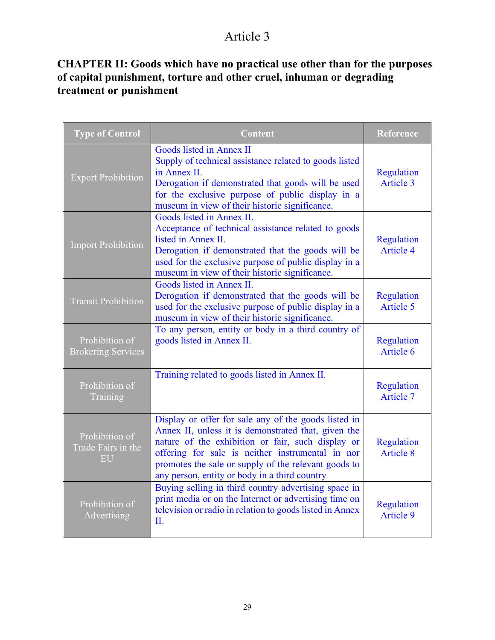### **CHAPTER II: Goods which have no practical use other than for the purposes of capital punishment, torture and other cruel, inhuman or degrading treatment or punishment**

| <b>Type of Control</b>                            | <b>Content</b>                                                                                                                                                                                                                                                                                                                | Reference                             |
|---------------------------------------------------|-------------------------------------------------------------------------------------------------------------------------------------------------------------------------------------------------------------------------------------------------------------------------------------------------------------------------------|---------------------------------------|
| <b>Export Prohibition</b>                         | Goods listed in Annex II<br>Supply of technical assistance related to goods listed<br>in Annex II.<br>Derogation if demonstrated that goods will be used<br>for the exclusive purpose of public display in a<br>museum in view of their historic significance.                                                                | Regulation<br>Article 3               |
| <b>Import Prohibition</b>                         | Goods listed in Annex II.<br>Acceptance of technical assistance related to goods<br>listed in Annex II.<br>Derogation if demonstrated that the goods will be<br>used for the exclusive purpose of public display in a<br>museum in view of their historic significance.                                                       | Regulation<br><b>Article 4</b>        |
| <b>Transit Prohibition</b>                        | Goods listed in Annex II.<br>Derogation if demonstrated that the goods will be<br>used for the exclusive purpose of public display in a<br>museum in view of their historic significance.                                                                                                                                     | Regulation<br><b>Article 5</b>        |
| Prohibition of<br><b>Brokering Services</b>       | To any person, entity or body in a third country of<br>goods listed in Annex II.                                                                                                                                                                                                                                              | Regulation<br>Article 6               |
| Prohibition of<br>Training                        | Training related to goods listed in Annex II.                                                                                                                                                                                                                                                                                 | Regulation<br>Article 7               |
| Prohibition of<br>Trade Fairs in the<br><b>EU</b> | Display or offer for sale any of the goods listed in<br>Annex II, unless it is demonstrated that, given the<br>nature of the exhibition or fair, such display or<br>offering for sale is neither instrumental in nor<br>promotes the sale or supply of the relevant goods to<br>any person, entity or body in a third country | <b>Regulation</b><br><b>Article 8</b> |
| Prohibition of<br><b>Advertising</b>              | Buying selling in third country advertising space in<br>print media or on the Internet or advertising time on<br>television or radio in relation to goods listed in Annex<br>Π.                                                                                                                                               | Regulation<br><b>Article 9</b>        |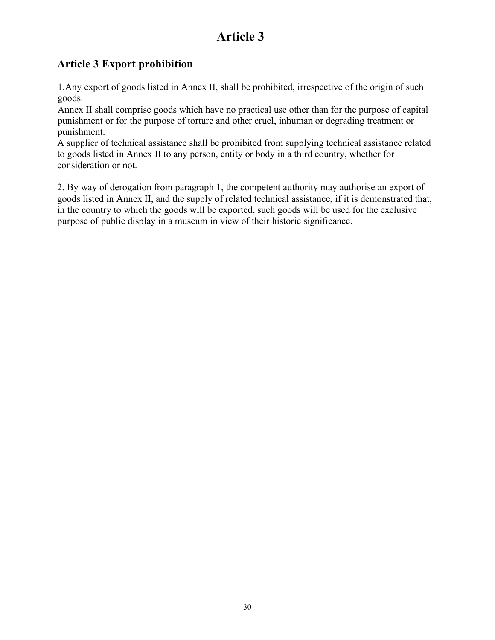### **Article 3 Export prohibition**

1.Any export of goods listed in Annex II, shall be prohibited, irrespective of the origin of such goods.

Annex II shall comprise goods which have no practical use other than for the purpose of capital punishment or for the purpose of torture and other cruel, inhuman or degrading treatment or punishment.

A supplier of technical assistance shall be prohibited from supplying technical assistance related to goods listed in Annex II to any person, entity or body in a third country, whether for consideration or not.

2. By way of derogation from paragraph 1, the competent authority may authorise an export of goods listed in Annex II, and the supply of related technical assistance, if it is demonstrated that, in the country to which the goods will be exported, such goods will be used for the exclusive purpose of public display in a museum in view of their historic significance.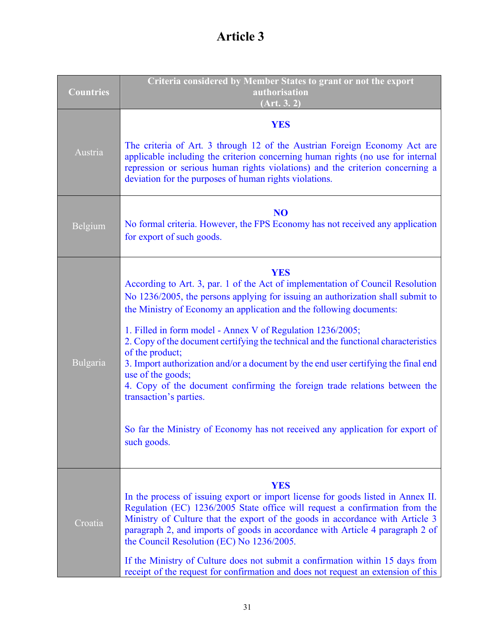| <b>Countries</b> | Criteria considered by Member States to grant or not the export<br>authorisation<br>(Art. 3. 2)                                                                                                                                                                                                                                                                                |
|------------------|--------------------------------------------------------------------------------------------------------------------------------------------------------------------------------------------------------------------------------------------------------------------------------------------------------------------------------------------------------------------------------|
|                  | <b>YES</b>                                                                                                                                                                                                                                                                                                                                                                     |
| Austria          | The criteria of Art. 3 through 12 of the Austrian Foreign Economy Act are<br>applicable including the criterion concerning human rights (no use for internal<br>repression or serious human rights violations) and the criterion concerning a<br>deviation for the purposes of human rights violations.                                                                        |
| Belgium          | N <sub>O</sub><br>No formal criteria. However, the FPS Economy has not received any application<br>for export of such goods.                                                                                                                                                                                                                                                   |
|                  | <b>YES</b>                                                                                                                                                                                                                                                                                                                                                                     |
| Bulgaria         | According to Art. 3, par. 1 of the Act of implementation of Council Resolution<br>No 1236/2005, the persons applying for issuing an authorization shall submit to<br>the Ministry of Economy an application and the following documents:                                                                                                                                       |
|                  | 1. Filled in form model - Annex V of Regulation 1236/2005;<br>2. Copy of the document certifying the technical and the functional characteristics<br>of the product;<br>3. Import authorization and/or a document by the end user certifying the final end<br>use of the goods;                                                                                                |
|                  | 4. Copy of the document confirming the foreign trade relations between the<br>transaction's parties.                                                                                                                                                                                                                                                                           |
|                  | So far the Ministry of Economy has not received any application for export of<br>such goods.                                                                                                                                                                                                                                                                                   |
|                  | <b>YES</b>                                                                                                                                                                                                                                                                                                                                                                     |
| Croatia          | In the process of issuing export or import license for goods listed in Annex II.<br>Regulation (EC) 1236/2005 State office will request a confirmation from the<br>Ministry of Culture that the export of the goods in accordance with Article 3<br>paragraph 2, and imports of goods in accordance with Article 4 paragraph 2 of<br>the Council Resolution (EC) No 1236/2005. |
|                  | If the Ministry of Culture does not submit a confirmation within 15 days from<br>receipt of the request for confirmation and does not request an extension of this                                                                                                                                                                                                             |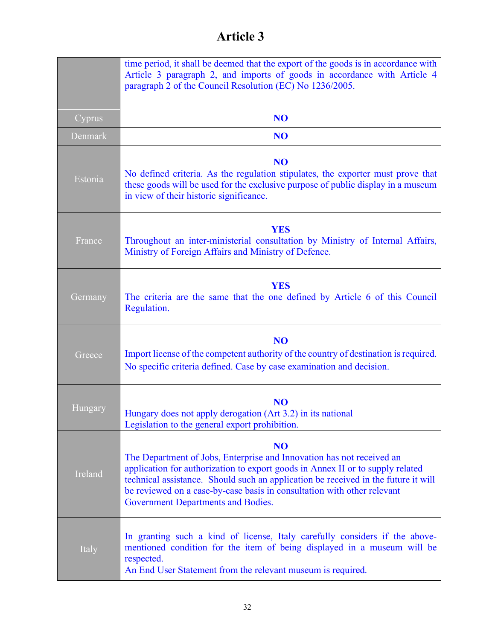|         | time period, it shall be deemed that the export of the goods is in accordance with<br>Article 3 paragraph 2, and imports of goods in accordance with Article 4<br>paragraph 2 of the Council Resolution (EC) No 1236/2005.                                                                                                                                                       |
|---------|----------------------------------------------------------------------------------------------------------------------------------------------------------------------------------------------------------------------------------------------------------------------------------------------------------------------------------------------------------------------------------|
| Cyprus  | N <sub>O</sub>                                                                                                                                                                                                                                                                                                                                                                   |
| Denmark | N <sub>O</sub>                                                                                                                                                                                                                                                                                                                                                                   |
| Estonia | N <sub>O</sub><br>No defined criteria. As the regulation stipulates, the exporter must prove that<br>these goods will be used for the exclusive purpose of public display in a museum<br>in view of their historic significance.                                                                                                                                                 |
| France  | <b>YES</b><br>Throughout an inter-ministerial consultation by Ministry of Internal Affairs,<br>Ministry of Foreign Affairs and Ministry of Defence.                                                                                                                                                                                                                              |
| Germany | <b>YES</b><br>The criteria are the same that the one defined by Article 6 of this Council<br>Regulation.                                                                                                                                                                                                                                                                         |
| Greece  | N <sub>O</sub><br>Import license of the competent authority of the country of destination is required.<br>No specific criteria defined. Case by case examination and decision.                                                                                                                                                                                                   |
| Hungary | N <sub>O</sub><br>Hungary does not apply derogation (Art 3.2) in its national<br>Legislation to the general export prohibition.                                                                                                                                                                                                                                                  |
| Ireland | N <sub>O</sub><br>The Department of Jobs, Enterprise and Innovation has not received an<br>application for authorization to export goods in Annex II or to supply related<br>technical assistance. Should such an application be received in the future it will<br>be reviewed on a case-by-case basis in consultation with other relevant<br>Government Departments and Bodies. |
| Italy   | In granting such a kind of license, Italy carefully considers if the above-<br>mentioned condition for the item of being displayed in a museum will be<br>respected.<br>An End User Statement from the relevant museum is required.                                                                                                                                              |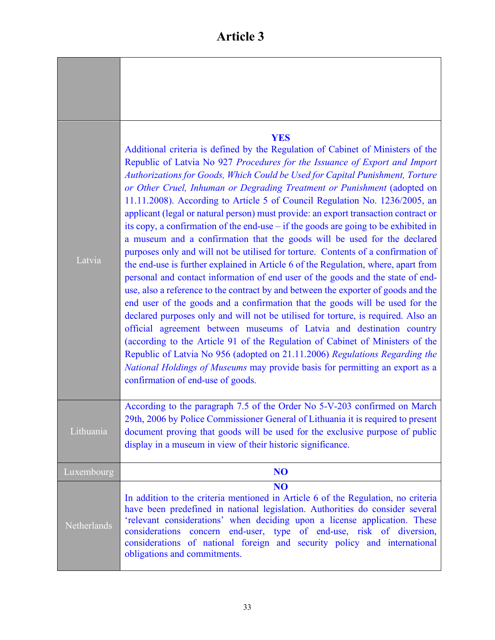| Latvia      | <b>YES</b><br>Additional criteria is defined by the Regulation of Cabinet of Ministers of the<br>Republic of Latvia No 927 Procedures for the Issuance of Export and Import<br>Authorizations for Goods, Which Could be Used for Capital Punishment, Torture<br>or Other Cruel, Inhuman or Degrading Treatment or Punishment (adopted on<br>11.11.2008). According to Article 5 of Council Regulation No. 1236/2005, an<br>applicant (legal or natural person) must provide: an export transaction contract or<br>its copy, a confirmation of the end-use – if the goods are going to be exhibited in<br>a museum and a confirmation that the goods will be used for the declared<br>purposes only and will not be utilised for torture. Contents of a confirmation of<br>the end-use is further explained in Article 6 of the Regulation, where, apart from<br>personal and contact information of end user of the goods and the state of end-<br>use, also a reference to the contract by and between the exporter of goods and the<br>end user of the goods and a confirmation that the goods will be used for the<br>declared purposes only and will not be utilised for torture, is required. Also an<br>official agreement between museums of Latvia and destination country<br>(according to the Article 91 of the Regulation of Cabinet of Ministers of the<br>Republic of Latvia No 956 (adopted on 21.11.2006) Regulations Regarding the<br>National Holdings of Museums may provide basis for permitting an export as a<br>confirmation of end-use of goods. |
|-------------|-------------------------------------------------------------------------------------------------------------------------------------------------------------------------------------------------------------------------------------------------------------------------------------------------------------------------------------------------------------------------------------------------------------------------------------------------------------------------------------------------------------------------------------------------------------------------------------------------------------------------------------------------------------------------------------------------------------------------------------------------------------------------------------------------------------------------------------------------------------------------------------------------------------------------------------------------------------------------------------------------------------------------------------------------------------------------------------------------------------------------------------------------------------------------------------------------------------------------------------------------------------------------------------------------------------------------------------------------------------------------------------------------------------------------------------------------------------------------------------------------------------------------------------------------------------------------|
| Lithuania   | According to the paragraph 7.5 of the Order No 5-V-203 confirmed on March<br>29th, 2006 by Police Commissioner General of Lithuania it is required to present<br>document proving that goods will be used for the exclusive purpose of public<br>display in a museum in view of their historic significance.                                                                                                                                                                                                                                                                                                                                                                                                                                                                                                                                                                                                                                                                                                                                                                                                                                                                                                                                                                                                                                                                                                                                                                                                                                                            |
| Luxembourg  | NO <sub>1</sub>                                                                                                                                                                                                                                                                                                                                                                                                                                                                                                                                                                                                                                                                                                                                                                                                                                                                                                                                                                                                                                                                                                                                                                                                                                                                                                                                                                                                                                                                                                                                                         |
| Netherlands | N <sub>O</sub><br>In addition to the criteria mentioned in Article 6 of the Regulation, no criteria<br>have been predefined in national legislation. Authorities do consider several<br>'relevant considerations' when deciding upon a license application. These<br>considerations concern<br>end-user, type of end-use, risk of diversion,<br>considerations of national foreign and security policy and international<br>obligations and commitments.                                                                                                                                                                                                                                                                                                                                                                                                                                                                                                                                                                                                                                                                                                                                                                                                                                                                                                                                                                                                                                                                                                                |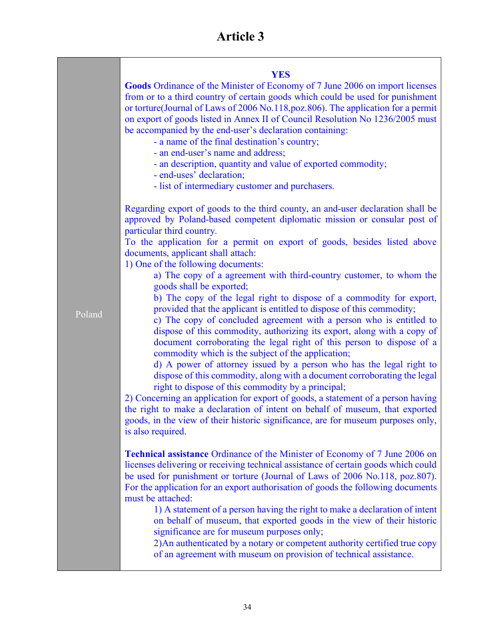| . . |
|-----|
|     |

**Goods** Ordinance of the Minister of Economy of 7 June 2006 on import licenses from or to a third country of certain goods which could be used for punishment or torture(Journal of Laws of 2006 No.118,poz.806). The application for a permit on export of goods listed in Annex II of Council Resolution No 1236/2005 must be accompanied by the end-user's declaration containing:

- a name of the final destination's country;
- an end-user's name and address;
- an description, quantity and value of exported commodity;
- end-uses' declaration;
- list of intermediary customer and purchasers.

Regarding export of goods to the third county, an and-user declaration shall be approved by Poland-based competent diplomatic mission or consular post of particular third country.

To the application for a permit on export of goods, besides listed above documents, applicant shall attach:

1) One of the following documents:

a) The copy of a agreement with third-country customer, to whom the goods shall be exported;

b) The copy of the legal right to dispose of a commodity for export, provided that the applicant is entitled to dispose of this commodity;

c) The copy of concluded agreement with a person who is entitled to dispose of this commodity, authorizing its export, along with a copy of document corroborating the legal right of this person to dispose of a commodity which is the subject of the application;

d) A power of attorney issued by a person who has the legal right to dispose of this commodity, along with a document corroborating the legal right to dispose of this commodity by a principal;

2) Concerning an application for export of goods, a statement of a person having the right to make a declaration of intent on behalf of museum, that exported goods, in the view of their historic significance, are for museum purposes only, is also required.

**Technical assistance** Ordinance of the Minister of Economy of 7 June 2006 on licenses delivering or receiving technical assistance of certain goods which could be used for punishment or torture (Journal of Laws of 2006 No.118, poz.807). For the application for an export authorisation of goods the following documents must be attached:

1) A statement of a person having the right to make a declaration of intent on behalf of museum, that exported goods in the view of their historic significance are for museum purposes only;

2)An authenticated by a notary or competent authority certified true copy of an agreement with museum on provision of technical assistance.

Poland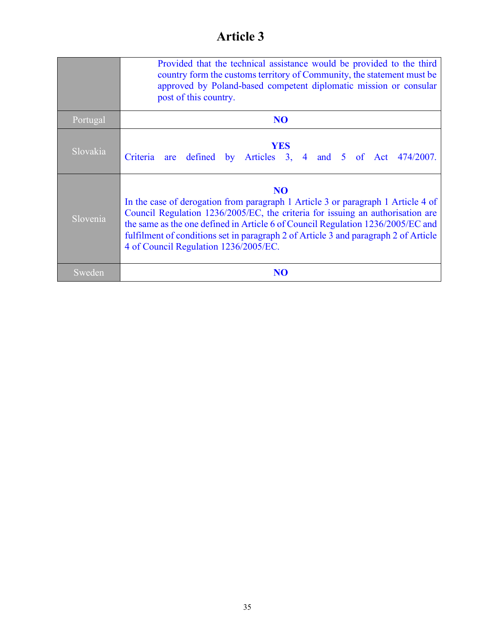|          | Provided that the technical assistance would be provided to the third<br>country form the customs territory of Community, the statement must be<br>approved by Poland-based competent diplomatic mission or consular<br>post of this country.                                                                                                                                                      |  |
|----------|----------------------------------------------------------------------------------------------------------------------------------------------------------------------------------------------------------------------------------------------------------------------------------------------------------------------------------------------------------------------------------------------------|--|
| Portugal | N <sub>O</sub>                                                                                                                                                                                                                                                                                                                                                                                     |  |
| Slovakia | <b>YES</b><br>defined by Articles 3, 4 and 5 of Act $474/2007$ .<br>Criteria are                                                                                                                                                                                                                                                                                                                   |  |
| Slovenia | <b>NO</b><br>In the case of derogation from paragraph 1 Article 3 or paragraph 1 Article 4 of<br>Council Regulation 1236/2005/EC, the criteria for issuing an authorisation are<br>the same as the one defined in Article 6 of Council Regulation 1236/2005/EC and<br>fulfilment of conditions set in paragraph 2 of Article 3 and paragraph 2 of Article<br>4 of Council Regulation 1236/2005/EC. |  |
| Sweden   | NO                                                                                                                                                                                                                                                                                                                                                                                                 |  |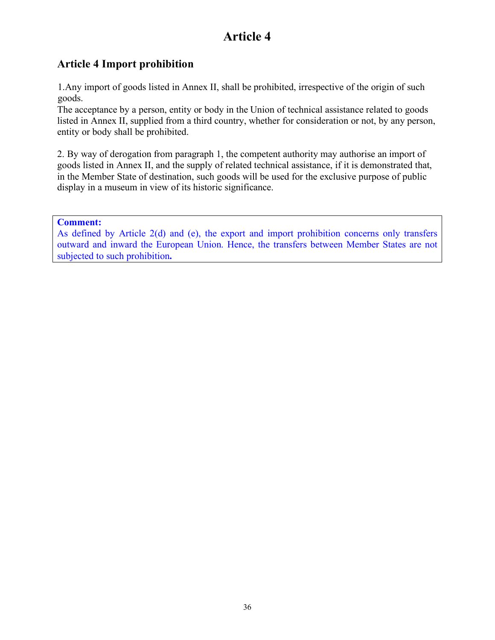### **Article 4 Import prohibition**

1.Any import of goods listed in Annex II, shall be prohibited, irrespective of the origin of such goods.

The acceptance by a person, entity or body in the Union of technical assistance related to goods listed in Annex II, supplied from a third country, whether for consideration or not, by any person, entity or body shall be prohibited.

2. By way of derogation from paragraph 1, the competent authority may authorise an import of goods listed in Annex II, and the supply of related technical assistance, if it is demonstrated that, in the Member State of destination, such goods will be used for the exclusive purpose of public display in a museum in view of its historic significance.

**Comment:** 

As defined by Article 2(d) and (e), the export and import prohibition concerns only transfers outward and inward the European Union. Hence, the transfers between Member States are not subjected to such prohibition**.**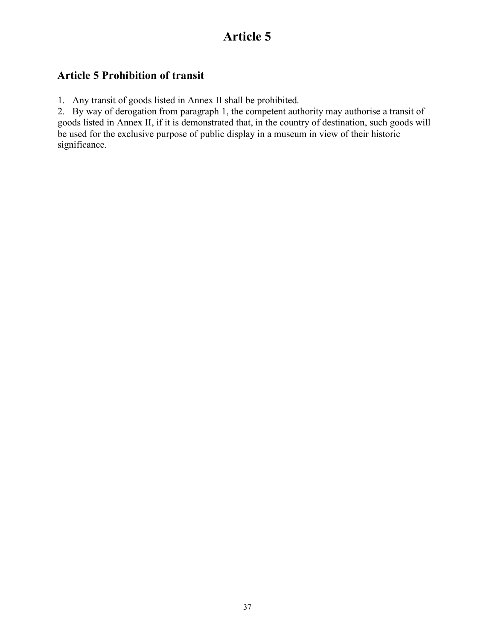### **Article 5 Prohibition of transit**

1. Any transit of goods listed in Annex II shall be prohibited.

2. By way of derogation from paragraph 1, the competent authority may authorise a transit of goods listed in Annex II, if it is demonstrated that, in the country of destination, such goods will be used for the exclusive purpose of public display in a museum in view of their historic significance.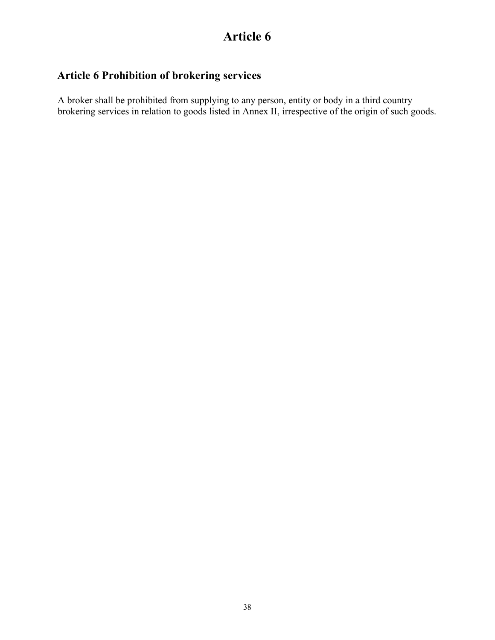### **Article 6 Prohibition of brokering services**

A broker shall be prohibited from supplying to any person, entity or body in a third country brokering services in relation to goods listed in Annex II, irrespective of the origin of such goods.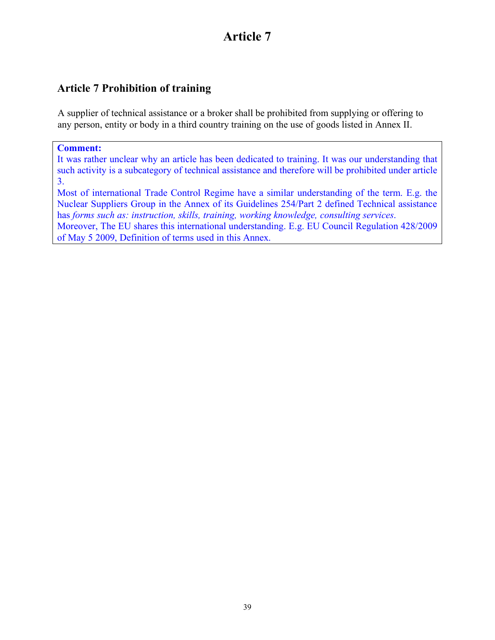### **Article 7 Prohibition of training**

A supplier of technical assistance or a broker shall be prohibited from supplying or offering to any person, entity or body in a third country training on the use of goods listed in Annex II.

#### **Comment:**

It was rather unclear why an article has been dedicated to training. It was our understanding that such activity is a subcategory of technical assistance and therefore will be prohibited under article 3.

Most of international Trade Control Regime have a similar understanding of the term. E.g. the Nuclear Suppliers Group in the Annex of its Guidelines 254/Part 2 defined Technical assistance has *forms such as: instruction, skills, training, working knowledge, consulting services*.

Moreover, The EU shares this international understanding. E.g. EU Council Regulation 428/2009 of May 5 2009, Definition of terms used in this Annex.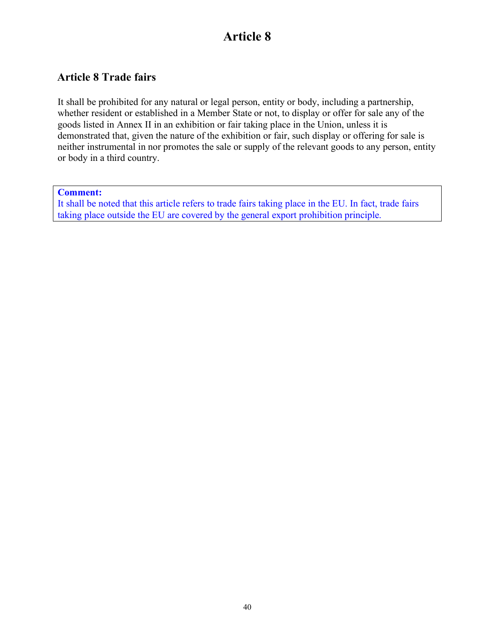### **Article 8 Trade fairs**

It shall be prohibited for any natural or legal person, entity or body, including a partnership, whether resident or established in a Member State or not, to display or offer for sale any of the goods listed in Annex II in an exhibition or fair taking place in the Union, unless it is demonstrated that, given the nature of the exhibition or fair, such display or offering for sale is neither instrumental in nor promotes the sale or supply of the relevant goods to any person, entity or body in a third country.

**Comment:**

It shall be noted that this article refers to trade fairs taking place in the EU. In fact, trade fairs taking place outside the EU are covered by the general export prohibition principle.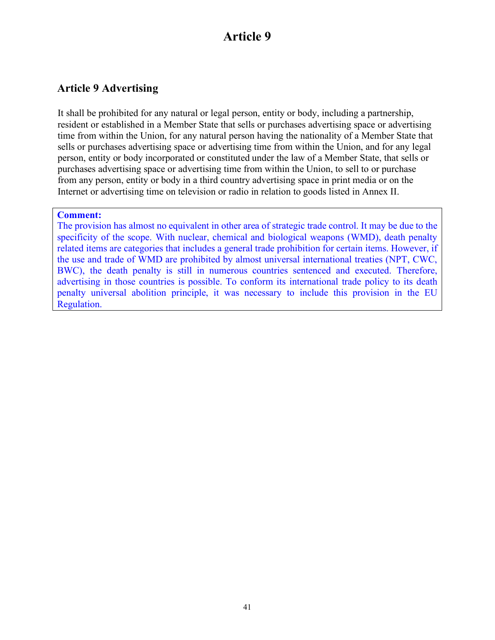### **Article 9 Advertising**

It shall be prohibited for any natural or legal person, entity or body, including a partnership, resident or established in a Member State that sells or purchases advertising space or advertising time from within the Union, for any natural person having the nationality of a Member State that sells or purchases advertising space or advertising time from within the Union, and for any legal person, entity or body incorporated or constituted under the law of a Member State, that sells or purchases advertising space or advertising time from within the Union, to sell to or purchase from any person, entity or body in a third country advertising space in print media or on the Internet or advertising time on television or radio in relation to goods listed in Annex II.

#### **Comment:**

The provision has almost no equivalent in other area of strategic trade control. It may be due to the specificity of the scope. With nuclear, chemical and biological weapons (WMD), death penalty related items are categories that includes a general trade prohibition for certain items. However, if the use and trade of WMD are prohibited by almost universal international treaties (NPT, CWC, BWC), the death penalty is still in numerous countries sentenced and executed. Therefore, advertising in those countries is possible. To conform its international trade policy to its death penalty universal abolition principle, it was necessary to include this provision in the EU Regulation.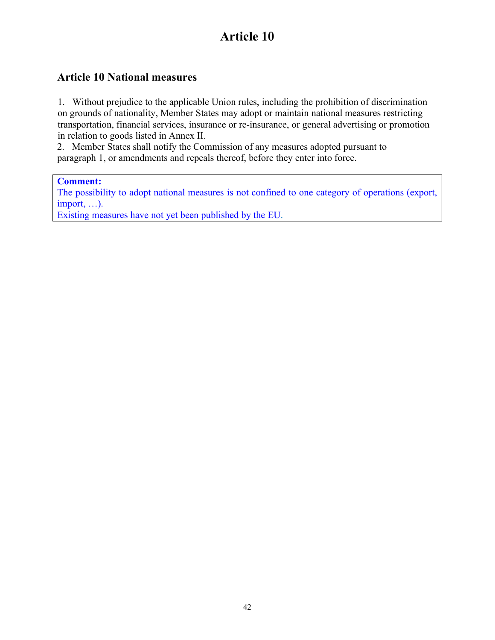### **Article 10 National measures**

1. Without prejudice to the applicable Union rules, including the prohibition of discrimination on grounds of nationality, Member States may adopt or maintain national measures restricting transportation, financial services, insurance or re-insurance, or general advertising or promotion in relation to goods listed in Annex II.

2. Member States shall notify the Commission of any measures adopted pursuant to paragraph 1, or amendments and repeals thereof, before they enter into force.

**Comment:**

The possibility to adopt national measures is not confined to one category of operations (export, import, …).

Existing measures have not yet been published by the EU.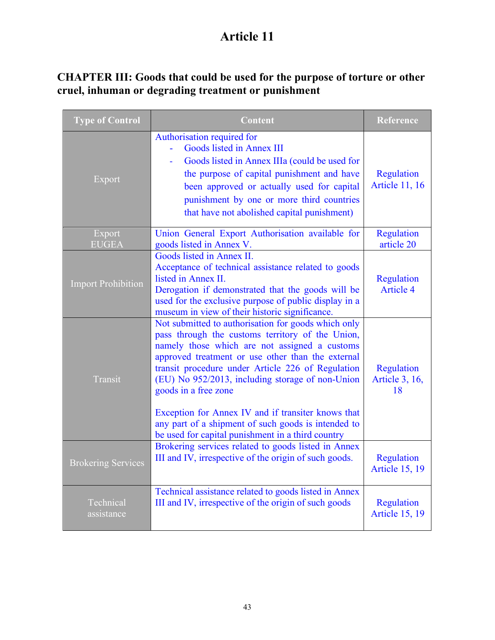### **CHAPTER III: Goods that could be used for the purpose of torture or other cruel, inhuman or degrading treatment or punishment**

| <b>Type of Control</b>    | <b>Content</b>                                                                                                                                                                                                                                                                                                                                                                                                                                                                                                   | <b>Reference</b>                           |
|---------------------------|------------------------------------------------------------------------------------------------------------------------------------------------------------------------------------------------------------------------------------------------------------------------------------------------------------------------------------------------------------------------------------------------------------------------------------------------------------------------------------------------------------------|--------------------------------------------|
| Export                    | Authorisation required for<br>Goods listed in Annex III<br>Goods listed in Annex IIIa (could be used for<br>the purpose of capital punishment and have<br>been approved or actually used for capital<br>punishment by one or more third countries<br>that have not abolished capital punishment)                                                                                                                                                                                                                 | Regulation<br><b>Article 11, 16</b>        |
| Export<br><b>EUGEA</b>    | Union General Export Authorisation available for<br>goods listed in Annex V.                                                                                                                                                                                                                                                                                                                                                                                                                                     | Regulation<br>article 20                   |
| <b>Import Prohibition</b> | Goods listed in Annex II.<br>Acceptance of technical assistance related to goods<br>listed in Annex II.<br>Derogation if demonstrated that the goods will be<br>used for the exclusive purpose of public display in a<br>museum in view of their historic significance.                                                                                                                                                                                                                                          | <b>Regulation</b><br><b>Article 4</b>      |
| Transit                   | Not submitted to authorisation for goods which only<br>pass through the customs territory of the Union,<br>namely those which are not assigned a customs<br>approved treatment or use other than the external<br>transit procedure under Article 226 of Regulation<br>(EU) No 952/2013, including storage of non-Union<br>goods in a free zone<br>Exception for Annex IV and if transiter knows that<br>any part of a shipment of such goods is intended to<br>be used for capital punishment in a third country | Regulation<br>Article 3, 16,<br>18         |
| <b>Brokering Services</b> | Brokering services related to goods listed in Annex<br>III and IV, irrespective of the origin of such goods.                                                                                                                                                                                                                                                                                                                                                                                                     | <b>Regulation</b><br><b>Article 15, 19</b> |
| Technical<br>assistance   | Technical assistance related to goods listed in Annex<br>III and IV, irrespective of the origin of such goods                                                                                                                                                                                                                                                                                                                                                                                                    | Regulation<br><b>Article 15, 19</b>        |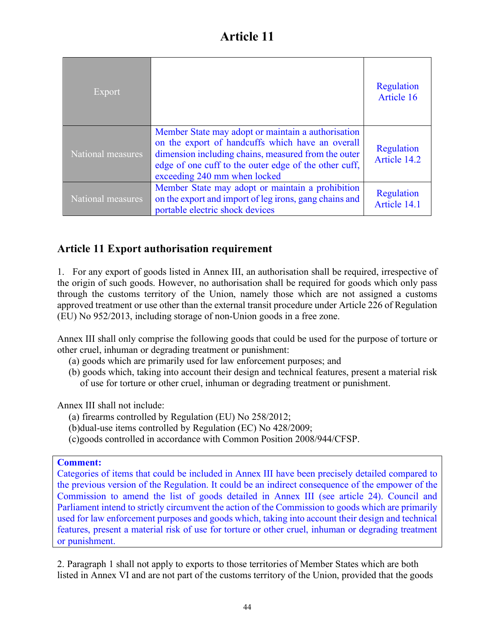**Article 11**

| Export            |                                                                                                                                                                                                                                                        | Regulation<br>Article 16          |
|-------------------|--------------------------------------------------------------------------------------------------------------------------------------------------------------------------------------------------------------------------------------------------------|-----------------------------------|
| National measures | Member State may adopt or maintain a authorisation<br>on the export of handcuffs which have an overall<br>dimension including chains, measured from the outer<br>edge of one cuff to the outer edge of the other cuff,<br>exceeding 240 mm when locked | Regulation<br>Article 14.2        |
| National measures | Member State may adopt or maintain a prohibition<br>on the export and import of leg irons, gang chains and<br>portable electric shock devices                                                                                                          | <b>Regulation</b><br>Article 14.1 |

### **Article 11 Export authorisation requirement**

1. For any export of goods listed in Annex III, an authorisation shall be required, irrespective of the origin of such goods. However, no authorisation shall be required for goods which only pass through the customs territory of the Union, namely those which are not assigned a customs approved treatment or use other than the external transit procedure under Article 226 of Regulation (EU) No 952/2013, including storage of non-Union goods in a free zone.

Annex III shall only comprise the following goods that could be used for the purpose of torture or other cruel, inhuman or degrading treatment or punishment:

- (a) goods which are primarily used for law enforcement purposes; and
- (b) goods which, taking into account their design and technical features, present a material risk of use for torture or other cruel, inhuman or degrading treatment or punishment.

Annex III shall not include:

- (a) firearms controlled by Regulation (EU) No 258/2012;
- (b)dual-use items controlled by Regulation (EC) No 428/2009;
- (c)goods controlled in accordance with Common Position 2008/944/CFSP.

#### **Comment:**

Categories of items that could be included in Annex III have been precisely detailed compared to the previous version of the Regulation. It could be an indirect consequence of the empower of the Commission to amend the list of goods detailed in Annex III (see article 24). Council and Parliament intend to strictly circumvent the action of the Commission to goods which are primarily used for law enforcement purposes and goods which, taking into account their design and technical features, present a material risk of use for torture or other cruel, inhuman or degrading treatment or punishment.

2. Paragraph 1 shall not apply to exports to those territories of Member States which are both listed in Annex VI and are not part of the customs territory of the Union, provided that the goods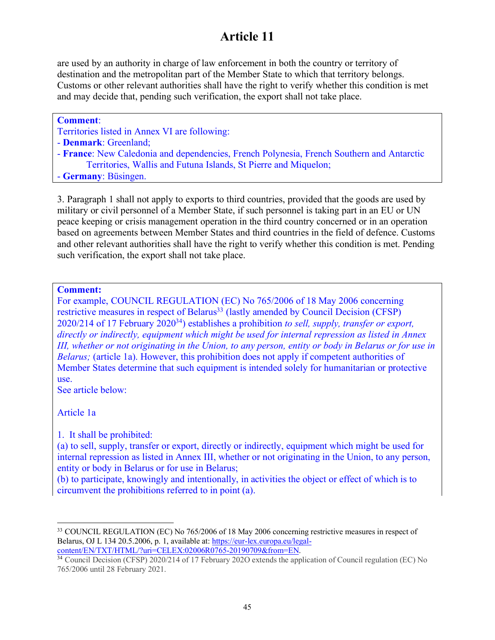are used by an authority in charge of law enforcement in both the country or territory of destination and the metropolitan part of the Member State to which that territory belongs. Customs or other relevant authorities shall have the right to verify whether this condition is met and may decide that, pending such verification, the export shall not take place.

#### **Comment**:

- Territories listed in Annex VI are following:
- **Denmark**: Greenland;
- **France**: New Caledonia and dependencies, French Polynesia, French Southern and Antarctic Territories, Wallis and Futuna Islands, St Pierre and Miquelon;
- **Germany**: Büsingen.

3. Paragraph 1 shall not apply to exports to third countries, provided that the goods are used by military or civil personnel of a Member State, if such personnel is taking part in an EU or UN peace keeping or crisis management operation in the third country concerned or in an operation based on agreements between Member States and third countries in the field of defence. Customs and other relevant authorities shall have the right to verify whether this condition is met. Pending such verification, the export shall not take place.

#### **Comment:**

For example, COUNCIL REGULATION (EC) No 765/2006 of 18 May 2006 concerning restrictive measures in respect of Belarus<sup>33</sup> (lastly amended by Council Decision (CFSP) 2020/214 of 17 February 202034) establishes a prohibition *to sell, supply, transfer or export, directly or indirectly, equipment which might be used for internal repression as listed in Annex III, whether or not originating in the Union, to any person, entity or body in Belarus or for use in Belarus;* (article 1a). However, this prohibition does not apply if competent authorities of Member States determine that such equipment is intended solely for humanitarian or protective use.

See article below:

Article 1a

1. It shall be prohibited:

 

(a) to sell, supply, transfer or export, directly or indirectly, equipment which might be used for internal repression as listed in Annex III, whether or not originating in the Union, to any person, entity or body in Belarus or for use in Belarus;

(b) to participate, knowingly and intentionally, in activities the object or effect of which is to circumvent the prohibitions referred to in point (a).

<sup>&</sup>lt;sup>33</sup> COUNCIL REGULATION (EC) No 765/2006 of 18 May 2006 concerning restrictive measures in respect of Belarus, OJ L 134 20.5.2006, p. 1, available at: https://eur-lex.europa.eu/legalcontent/EN/TXT/HTML/?uri=CELEX:02006R0765-20190709&from=EN.

<sup>&</sup>lt;sup>34</sup> Council Decision (CFSP) 2020/214 of 17 February 2020 extends the application of Council regulation (EC) No 765/2006 until 28 February 2021.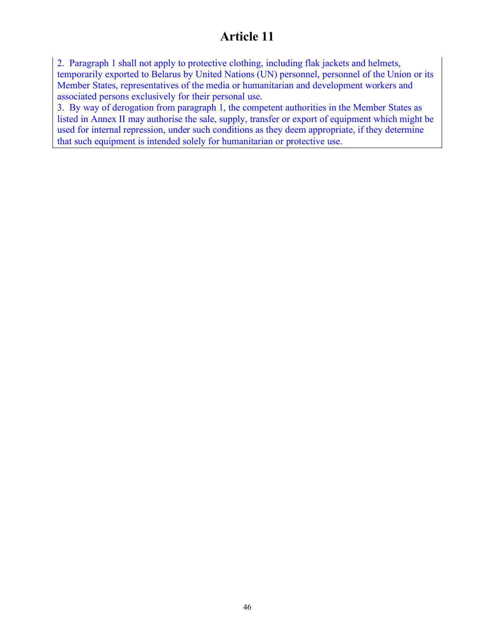2. Paragraph 1 shall not apply to protective clothing, including flak jackets and helmets, temporarily exported to Belarus by United Nations (UN) personnel, personnel of the Union or its Member States, representatives of the media or humanitarian and development workers and associated persons exclusively for their personal use.

3. By way of derogation from paragraph 1, the competent authorities in the Member States as listed in Annex II may authorise the sale, supply, transfer or export of equipment which might be used for internal repression, under such conditions as they deem appropriate, if they determine that such equipment is intended solely for humanitarian or protective use.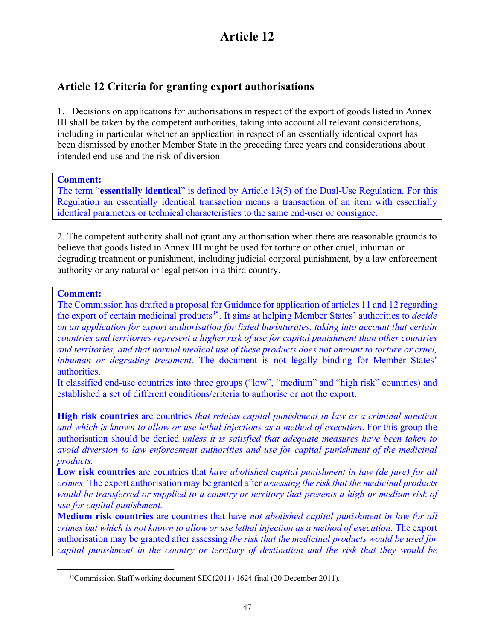### **Article 12 Criteria for granting export authorisations**

1. Decisions on applications for authorisations in respect of the export of goods listed in Annex III shall be taken by the competent authorities, taking into account all relevant considerations, including in particular whether an application in respect of an essentially identical export has been dismissed by another Member State in the preceding three years and considerations about intended end-use and the risk of diversion.

#### **Comment:**

The term "**essentially identical**" is defined by Article 13(5) of the Dual-Use Regulation. For this Regulation an essentially identical transaction means a transaction of an item with essentially identical parameters or technical characteristics to the same end-user or consignee.

2. The competent authority shall not grant any authorisation when there are reasonable grounds to believe that goods listed in Annex III might be used for torture or other cruel, inhuman or degrading treatment or punishment, including judicial corporal punishment, by a law enforcement authority or any natural or legal person in a third country.

#### **Comment:**

The Commission has drafted a proposal for Guidance for application of articles 11 and 12 regarding the export of certain medicinal products<sup>35</sup>. It aims at helping Member States' authorities to *decide on an application for export authorisation for listed barbiturates, taking into account that certain countries and territories represent a higher risk of use for capital punishment than other countries and territories, and that normal medical use of these products does not amount to torture or cruel, inhuman or degrading treatment.* The document is not legally binding for Member States' authorities.

It classified end-use countries into three groups ("low", "medium" and "high risk" countries) and established a set of different conditions/criteria to authorise or not the export.

**High risk countries** are countries *that retains capital punishment in law as a criminal sanction and which is known to allow or use lethal injections as a method of execution*. For this group the authorisation should be denied *unless it is satisfied that adequate measures have been taken to avoid diversion to law enforcement authorities and use for capital punishment of the medicinal products.*

**Low risk countries** are countries that *have abolished capital punishment in law (de jure) for all crimes*. The export authorisation may be granted after *assessing the risk that the medicinal products would be transferred or supplied to a country or territory that presents a high or medium risk of use for capital punishment.*

**Medium risk countries** are countries that have *not abolished capital punishment in law for all crimes but which is not known to allow or use lethal injection as a method of execution.* The export authorisation may be granted after assessing *the risk that the medicinal products would be used for capital punishment in the country or territory of destination and the risk that they would be* 

 

<sup>35</sup>Commission Staff working document SEC(2011) 1624 final (20 December 2011).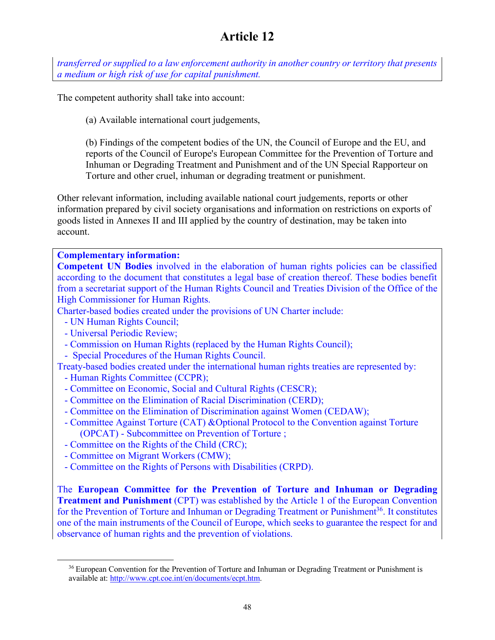*transferred or supplied to a law enforcement authority in another country or territory that presents a medium or high risk of use for capital punishment.*

The competent authority shall take into account:

(a) Available international court judgements,

(b) Findings of the competent bodies of the UN, the Council of Europe and the EU, and reports of the Council of Europe's European Committee for the Prevention of Torture and Inhuman or Degrading Treatment and Punishment and of the UN Special Rapporteur on Torture and other cruel, inhuman or degrading treatment or punishment.

Other relevant information, including available national court judgements, reports or other information prepared by civil society organisations and information on restrictions on exports of goods listed in Annexes II and III applied by the country of destination, may be taken into account.

### **Complementary information:**

**Competent UN Bodies** involved in the elaboration of human rights policies can be classified according to the document that constitutes a legal base of creation thereof. These bodies benefit from a secretariat support of the Human Rights Council and Treaties Division of the Office of the High Commissioner for Human Rights.

Charter-based bodies created under the provisions of UN Charter include:

- UN Human Rights Council;
- Universal Periodic Review;

 

- Commission on Human Rights (replaced by the Human Rights Council);
- Special Procedures of the Human Rights Council.

Treaty-based bodies created under the international human rights treaties are represented by:

- Human Rights Committee (CCPR);
- Committee on Economic, Social and Cultural Rights (CESCR);
- Committee on the Elimination of Racial Discrimination (CERD);
- Committee on the Elimination of Discrimination against Women (CEDAW);
- Committee Against Torture (CAT) &Optional Protocol to the Convention against Torture (OPCAT) - Subcommittee on Prevention of Torture ;
- Committee on the Rights of the Child (CRC);
- Committee on Migrant Workers (CMW);
- Committee on the Rights of Persons with Disabilities (CRPD).

The **European Committee for the Prevention of Torture and Inhuman or Degrading Treatment and Punishment** (CPT) was established by the Article 1 of the European Convention for the Prevention of Torture and Inhuman or Degrading Treatment or Punishment<sup>36</sup>. It constitutes one of the main instruments of the Council of Europe, which seeks to guarantee the respect for and observance of human rights and the prevention of violations.

<sup>&</sup>lt;sup>36</sup> European Convention for the Prevention of Torture and Inhuman or Degrading Treatment or Punishment is available at: http://www.cpt.coe.int/en/documents/ecpt.htm.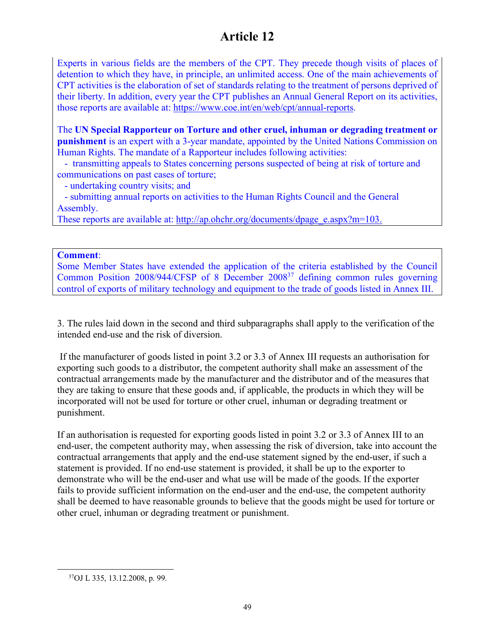Experts in various fields are the members of the CPT. They precede though visits of places of detention to which they have, in principle, an unlimited access. One of the main achievements of CPT activities is the elaboration of set of standards relating to the treatment of persons deprived of their liberty. In addition, every year the CPT publishes an Annual General Report on its activities, those reports are available at: https://www.coe.int/en/web/cpt/annual-reports.

The **UN Special Rapporteur on Torture and other cruel, inhuman or degrading treatment or punishment** is an expert with a 3-year mandate, appointed by the United Nations Commission on Human Rights. The mandate of a Rapporteur includes following activities:

 - transmitting appeals to States concerning persons suspected of being at risk of torture and communications on past cases of torture;

- undertaking country visits; and

 - submitting annual reports on activities to the Human Rights Council and the General Assembly.

These reports are available at: http://ap.ohchr.org/documents/dpage\_e.aspx?m=103.

#### **Comment**:

Some Member States have extended the application of the criteria established by the Council Common Position 2008/944/CFSP of 8 December 200837 defining common rules governing control of exports of military technology and equipment to the trade of goods listed in Annex III.

3. The rules laid down in the second and third subparagraphs shall apply to the verification of the intended end-use and the risk of diversion.

If the manufacturer of goods listed in point 3.2 or 3.3 of Annex III requests an authorisation for exporting such goods to a distributor, the competent authority shall make an assessment of the contractual arrangements made by the manufacturer and the distributor and of the measures that they are taking to ensure that these goods and, if applicable, the products in which they will be incorporated will not be used for torture or other cruel, inhuman or degrading treatment or punishment.

If an authorisation is requested for exporting goods listed in point 3.2 or 3.3 of Annex III to an end-user, the competent authority may, when assessing the risk of diversion, take into account the contractual arrangements that apply and the end-use statement signed by the end-user, if such a statement is provided. If no end-use statement is provided, it shall be up to the exporter to demonstrate who will be the end-user and what use will be made of the goods. If the exporter fails to provide sufficient information on the end-user and the end-use, the competent authority shall be deemed to have reasonable grounds to believe that the goods might be used for torture or other cruel, inhuman or degrading treatment or punishment.

 37OJ L 335, 13.12.2008, p. 99.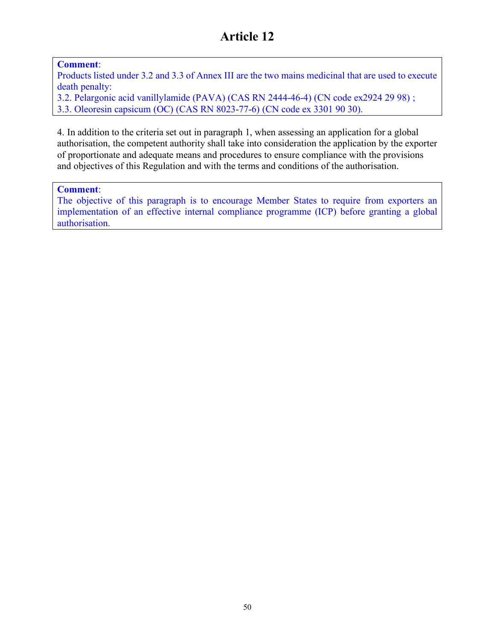#### **Comment**:

Products listed under 3.2 and 3.3 of Annex III are the two mains medicinal that are used to execute death penalty:

3.2. Pelargonic acid vanillylamide (PAVA) (CAS RN 2444-46-4) (CN code ex2924 29 98) ; 3.3. Oleoresin capsicum (OC) (CAS RN 8023-77-6) (CN code ex 3301 90 30).

4. In addition to the criteria set out in paragraph 1, when assessing an application for a global authorisation, the competent authority shall take into consideration the application by the exporter of proportionate and adequate means and procedures to ensure compliance with the provisions and objectives of this Regulation and with the terms and conditions of the authorisation.

#### **Comment**:

The objective of this paragraph is to encourage Member States to require from exporters an implementation of an effective internal compliance programme (ICP) before granting a global authorisation.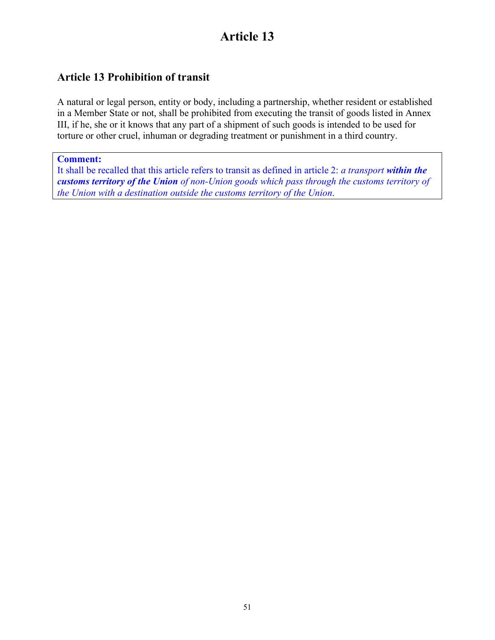### **Article 13 Prohibition of transit**

A natural or legal person, entity or body, including a partnership, whether resident or established in a Member State or not, shall be prohibited from executing the transit of goods listed in Annex III, if he, she or it knows that any part of a shipment of such goods is intended to be used for torture or other cruel, inhuman or degrading treatment or punishment in a third country.

**Comment:** 

It shall be recalled that this article refers to transit as defined in article 2: *a transport within the customs territory of the Union of non-Union goods which pass through the customs territory of the Union with a destination outside the customs territory of the Union*.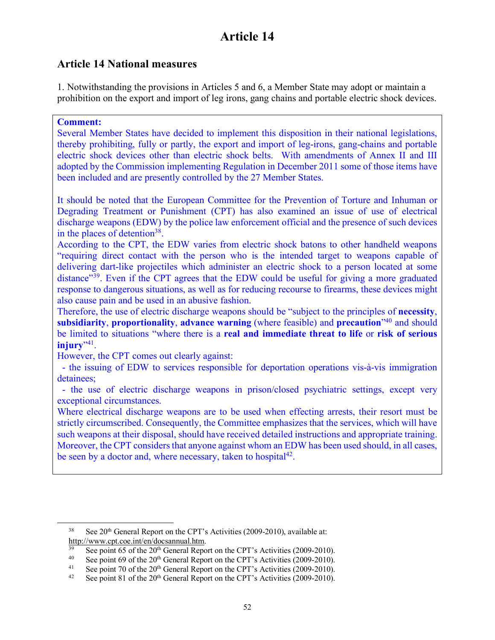### **Article 14 National measures**

1. Notwithstanding the provisions in Articles 5 and 6, a Member State may adopt or maintain a prohibition on the export and import of leg irons, gang chains and portable electric shock devices.

#### **Comment:**

Several Member States have decided to implement this disposition in their national legislations, thereby prohibiting, fully or partly, the export and import of leg-irons, gang-chains and portable electric shock devices other than electric shock belts. With amendments of Annex II and III adopted by the Commission implementing Regulation in December 2011 some of those items have been included and are presently controlled by the 27 Member States.

It should be noted that the European Committee for the Prevention of Torture and Inhuman or Degrading Treatment or Punishment (CPT) has also examined an issue of use of electrical discharge weapons (EDW) by the police law enforcement official and the presence of such devices in the places of detention<sup>38</sup>.

According to the CPT, the EDW varies from electric shock batons to other handheld weapons "requiring direct contact with the person who is the intended target to weapons capable of delivering dart-like projectiles which administer an electric shock to a person located at some distance"39. Even if the CPT agrees that the EDW could be useful for giving a more graduated response to dangerous situations, as well as for reducing recourse to firearms, these devices might also cause pain and be used in an abusive fashion.

Therefore, the use of electric discharge weapons should be "subject to the principles of **necessity**, **subsidiarity**, **proportionality**, **advance warning** (where feasible) and **precaution**"40 and should be limited to situations "where there is a **real and immediate threat to life** or **risk of serious**   $injury$ <sup>241</sup>.

However, the CPT comes out clearly against:

 - the issuing of EDW to services responsible for deportation operations vis-à-vis immigration detainees;

 - the use of electric discharge weapons in prison/closed psychiatric settings, except very exceptional circumstances.

Where electrical discharge weapons are to be used when effecting arrests, their resort must be strictly circumscribed. Consequently, the Committee emphasizes that the services, which will have such weapons at their disposal, should have received detailed instructions and appropriate training. Moreover, the CPT considers that anyone against whom an EDW has been used should, in all cases, be seen by a doctor and, where necessary, taken to hospital $42$ .

 <sup>38</sup> See 20<sup>th</sup> General Report on the CPT's Activities (2009-2010), available at: http://www.cpt.coe.int/en/docsannual.htm.

<sup>&</sup>lt;sup>39</sup> See point 65 of the 20<sup>th</sup> General Report on the CPT's Activities (2009-2010).<br><sup>40</sup> See point 69 of the 20<sup>th</sup> General Report on the CPT's Activities (2009-2010).<br><sup>41</sup> See point 70 of the 20<sup>th</sup> General Report on the

<sup>&</sup>lt;sup>41</sup> See point 70 of the 20<sup>th</sup> General Report on the CPT's Activities (2009-2010).<br><sup>42</sup> See point 81 of the 20<sup>th</sup> General Report on the CPT's Activities (2009-2010).

See point 81 of the  $20<sup>th</sup>$  General Report on the CPT's Activities (2009-2010).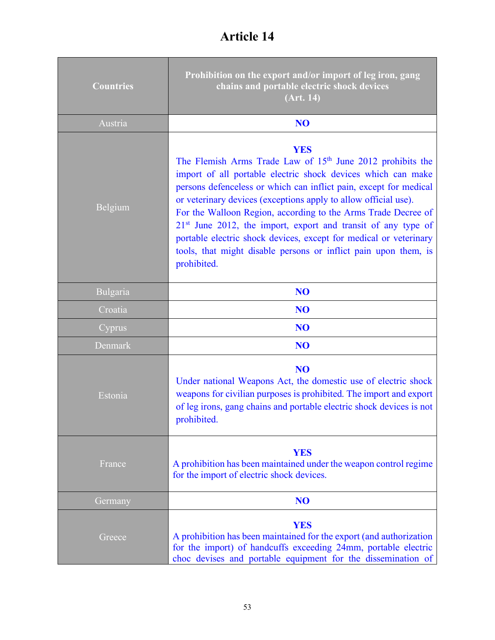| <b>Countries</b> | Prohibition on the export and/or import of leg iron, gang<br>chains and portable electric shock devices<br>$\overline{Art. 14}$                                                                                                                                                                                                                                                                                                                                                                                                                                                         |
|------------------|-----------------------------------------------------------------------------------------------------------------------------------------------------------------------------------------------------------------------------------------------------------------------------------------------------------------------------------------------------------------------------------------------------------------------------------------------------------------------------------------------------------------------------------------------------------------------------------------|
| Austria          | N <sub>O</sub>                                                                                                                                                                                                                                                                                                                                                                                                                                                                                                                                                                          |
| Belgium          | <b>YES</b><br>The Flemish Arms Trade Law of 15 <sup>th</sup> June 2012 prohibits the<br>import of all portable electric shock devices which can make<br>persons defenceless or which can inflict pain, except for medical<br>or veterinary devices (exceptions apply to allow official use).<br>For the Walloon Region, according to the Arms Trade Decree of<br>$21st$ June 2012, the import, export and transit of any type of<br>portable electric shock devices, except for medical or veterinary<br>tools, that might disable persons or inflict pain upon them, is<br>prohibited. |
| Bulgaria         | N <sub>O</sub>                                                                                                                                                                                                                                                                                                                                                                                                                                                                                                                                                                          |
| Croatia          | N <sub>O</sub>                                                                                                                                                                                                                                                                                                                                                                                                                                                                                                                                                                          |
| Cyprus           | N <sub>O</sub>                                                                                                                                                                                                                                                                                                                                                                                                                                                                                                                                                                          |
| Denmark          | N <sub>O</sub>                                                                                                                                                                                                                                                                                                                                                                                                                                                                                                                                                                          |
| Estonia          | N <sub>O</sub><br>Under national Weapons Act, the domestic use of electric shock<br>weapons for civilian purposes is prohibited. The import and export<br>of leg irons, gang chains and portable electric shock devices is not<br>prohibited.                                                                                                                                                                                                                                                                                                                                           |
| France           | <b>YES</b><br>A prohibition has been maintained under the weapon control regime<br>for the import of electric shock devices.                                                                                                                                                                                                                                                                                                                                                                                                                                                            |
| Germany          | N <sub>O</sub>                                                                                                                                                                                                                                                                                                                                                                                                                                                                                                                                                                          |
| Greece           | <b>YES</b><br>A prohibition has been maintained for the export (and authorization<br>for the import) of handcuffs exceeding 24mm, portable electric<br>choc devises and portable equipment for the dissemination of                                                                                                                                                                                                                                                                                                                                                                     |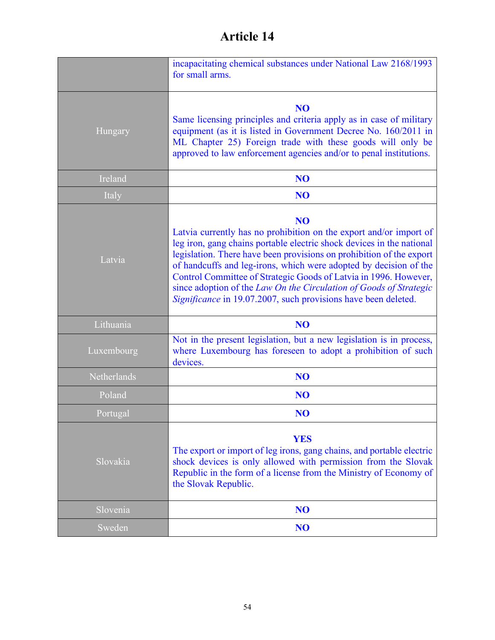|             | incapacitating chemical substances under National Law 2168/1993<br>for small arms.                                                                                                                                                                                                                                                                                                                                                                                                                                     |
|-------------|------------------------------------------------------------------------------------------------------------------------------------------------------------------------------------------------------------------------------------------------------------------------------------------------------------------------------------------------------------------------------------------------------------------------------------------------------------------------------------------------------------------------|
| Hungary     | N <sub>O</sub><br>Same licensing principles and criteria apply as in case of military<br>equipment (as it is listed in Government Decree No. 160/2011 in<br>ML Chapter 25) Foreign trade with these goods will only be<br>approved to law enforcement agencies and/or to penal institutions.                                                                                                                                                                                                                           |
| Ireland     | N <sub>O</sub>                                                                                                                                                                                                                                                                                                                                                                                                                                                                                                         |
| Italy       | N <sub>O</sub>                                                                                                                                                                                                                                                                                                                                                                                                                                                                                                         |
| Latvia      | N <sub>O</sub><br>Latvia currently has no prohibition on the export and/or import of<br>leg iron, gang chains portable electric shock devices in the national<br>legislation. There have been provisions on prohibition of the export<br>of handcuffs and leg-irons, which were adopted by decision of the<br>Control Committee of Strategic Goods of Latvia in 1996. However,<br>since adoption of the Law On the Circulation of Goods of Strategic<br>Significance in 19.07.2007, such provisions have been deleted. |
| Lithuania   | N <sub>O</sub>                                                                                                                                                                                                                                                                                                                                                                                                                                                                                                         |
| Luxembourg  | Not in the present legislation, but a new legislation is in process,<br>where Luxembourg has foreseen to adopt a prohibition of such<br>devices.                                                                                                                                                                                                                                                                                                                                                                       |
|             |                                                                                                                                                                                                                                                                                                                                                                                                                                                                                                                        |
| Netherlands | N <sub>O</sub>                                                                                                                                                                                                                                                                                                                                                                                                                                                                                                         |
| Poland      | NO                                                                                                                                                                                                                                                                                                                                                                                                                                                                                                                     |
| Portugal    | NO                                                                                                                                                                                                                                                                                                                                                                                                                                                                                                                     |
| Slovakia    | <b>YES</b><br>The export or import of leg irons, gang chains, and portable electric<br>shock devices is only allowed with permission from the Slovak<br>Republic in the form of a license from the Ministry of Economy of<br>the Slovak Republic.                                                                                                                                                                                                                                                                      |
| Slovenia    | NO                                                                                                                                                                                                                                                                                                                                                                                                                                                                                                                     |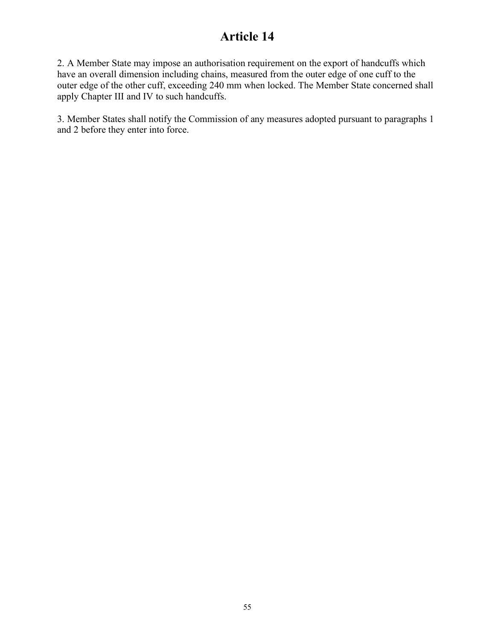2. A Member State may impose an authorisation requirement on the export of handcuffs which have an overall dimension including chains, measured from the outer edge of one cuff to the outer edge of the other cuff, exceeding 240 mm when locked. The Member State concerned shall apply Chapter III and IV to such handcuffs.

3. Member States shall notify the Commission of any measures adopted pursuant to paragraphs 1 and 2 before they enter into force.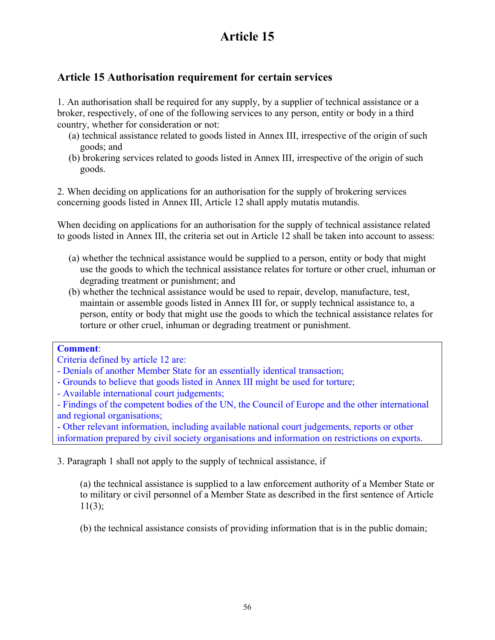### **Article 15 Authorisation requirement for certain services**

1. An authorisation shall be required for any supply, by a supplier of technical assistance or a broker, respectively, of one of the following services to any person, entity or body in a third country, whether for consideration or not:

- (a) technical assistance related to goods listed in Annex III, irrespective of the origin of such goods; and
- (b) brokering services related to goods listed in Annex III, irrespective of the origin of such goods.

2. When deciding on applications for an authorisation for the supply of brokering services concerning goods listed in Annex III, Article 12 shall apply mutatis mutandis.

When deciding on applications for an authorisation for the supply of technical assistance related to goods listed in Annex III, the criteria set out in Article 12 shall be taken into account to assess:

- (a) whether the technical assistance would be supplied to a person, entity or body that might use the goods to which the technical assistance relates for torture or other cruel, inhuman or degrading treatment or punishment; and
- (b) whether the technical assistance would be used to repair, develop, manufacture, test, maintain or assemble goods listed in Annex III for, or supply technical assistance to, a person, entity or body that might use the goods to which the technical assistance relates for torture or other cruel, inhuman or degrading treatment or punishment.

#### **Comment**:

- Grounds to believe that goods listed in Annex III might be used for torture;
- Available international court judgements;
- Findings of the competent bodies of the UN, the Council of Europe and the other international and regional organisations;

- Other relevant information, including available national court judgements, reports or other information prepared by civil society organisations and information on restrictions on exports.

3. Paragraph 1 shall not apply to the supply of technical assistance, if

(a) the technical assistance is supplied to a law enforcement authority of a Member State or to military or civil personnel of a Member State as described in the first sentence of Article  $11(3);$ 

(b) the technical assistance consists of providing information that is in the public domain;

Criteria defined by article 12 are:

<sup>-</sup> Denials of another Member State for an essentially identical transaction;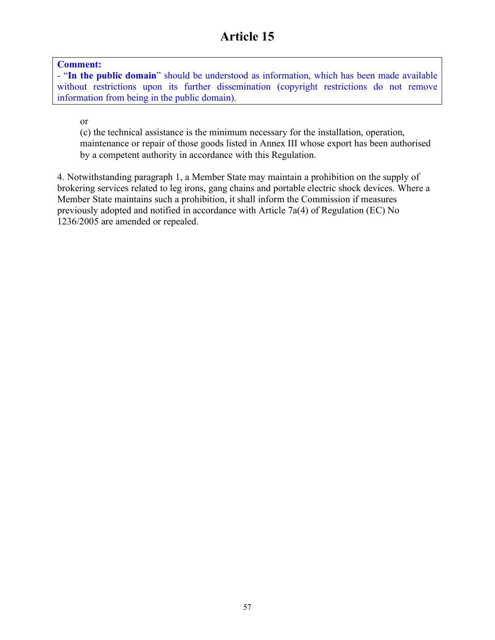#### **Comment:**

- "**In the public domain**" should be understood as information, which has been made available without restrictions upon its further dissemination (copyright restrictions do not remove information from being in the public domain).

or

(c) the technical assistance is the minimum necessary for the installation, operation, maintenance or repair of those goods listed in Annex III whose export has been authorised by a competent authority in accordance with this Regulation.

4. Notwithstanding paragraph 1, a Member State may maintain a prohibition on the supply of brokering services related to leg irons, gang chains and portable electric shock devices. Where a Member State maintains such a prohibition, it shall inform the Commission if measures previously adopted and notified in accordance with Article 7a(4) of Regulation (EC) No 1236/2005 are amended or repealed.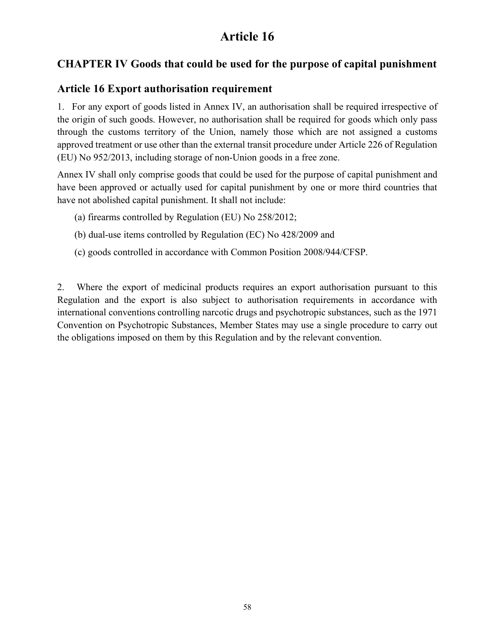### **CHAPTER IV Goods that could be used for the purpose of capital punishment**

### **Article 16 Export authorisation requirement**

1. For any export of goods listed in Annex IV, an authorisation shall be required irrespective of the origin of such goods. However, no authorisation shall be required for goods which only pass through the customs territory of the Union, namely those which are not assigned a customs approved treatment or use other than the external transit procedure under Article 226 of Regulation (EU) No 952/2013, including storage of non-Union goods in a free zone.

Annex IV shall only comprise goods that could be used for the purpose of capital punishment and have been approved or actually used for capital punishment by one or more third countries that have not abolished capital punishment. It shall not include:

- (a) firearms controlled by Regulation (EU) No 258/2012;
- (b) dual-use items controlled by Regulation (EC) No 428/2009 and
- (c) goods controlled in accordance with Common Position 2008/944/CFSP.

2. Where the export of medicinal products requires an export authorisation pursuant to this Regulation and the export is also subject to authorisation requirements in accordance with international conventions controlling narcotic drugs and psychotropic substances, such as the 1971 Convention on Psychotropic Substances, Member States may use a single procedure to carry out the obligations imposed on them by this Regulation and by the relevant convention.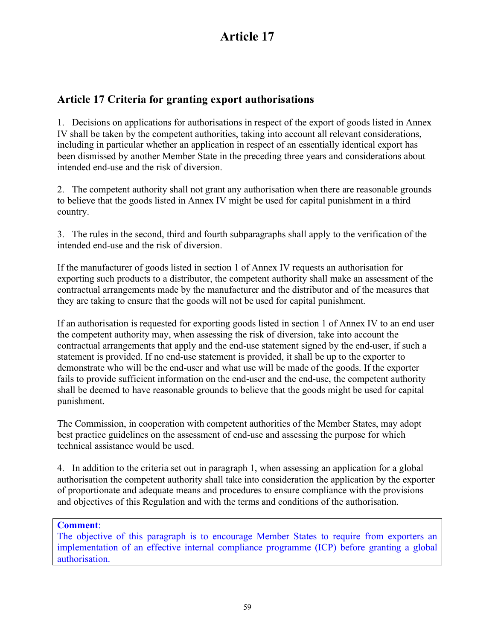### **Article 17 Criteria for granting export authorisations**

1. Decisions on applications for authorisations in respect of the export of goods listed in Annex IV shall be taken by the competent authorities, taking into account all relevant considerations, including in particular whether an application in respect of an essentially identical export has been dismissed by another Member State in the preceding three years and considerations about intended end-use and the risk of diversion.

2. The competent authority shall not grant any authorisation when there are reasonable grounds to believe that the goods listed in Annex IV might be used for capital punishment in a third country.

3. The rules in the second, third and fourth subparagraphs shall apply to the verification of the intended end-use and the risk of diversion.

If the manufacturer of goods listed in section 1 of Annex IV requests an authorisation for exporting such products to a distributor, the competent authority shall make an assessment of the contractual arrangements made by the manufacturer and the distributor and of the measures that they are taking to ensure that the goods will not be used for capital punishment.

If an authorisation is requested for exporting goods listed in section 1 of Annex IV to an end user the competent authority may, when assessing the risk of diversion, take into account the contractual arrangements that apply and the end-use statement signed by the end-user, if such a statement is provided. If no end-use statement is provided, it shall be up to the exporter to demonstrate who will be the end-user and what use will be made of the goods. If the exporter fails to provide sufficient information on the end-user and the end-use, the competent authority shall be deemed to have reasonable grounds to believe that the goods might be used for capital punishment.

The Commission, in cooperation with competent authorities of the Member States, may adopt best practice guidelines on the assessment of end-use and assessing the purpose for which technical assistance would be used.

4. In addition to the criteria set out in paragraph 1, when assessing an application for a global authorisation the competent authority shall take into consideration the application by the exporter of proportionate and adequate means and procedures to ensure compliance with the provisions and objectives of this Regulation and with the terms and conditions of the authorisation.

#### **Comment**:

The objective of this paragraph is to encourage Member States to require from exporters an implementation of an effective internal compliance programme (ICP) before granting a global authorisation.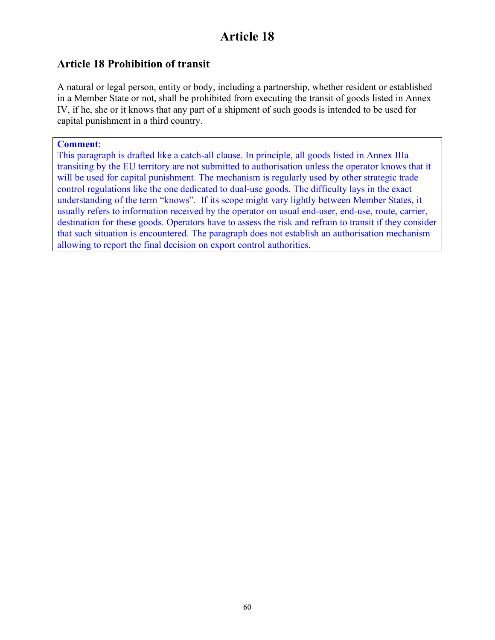### **Article 18 Prohibition of transit**

A natural or legal person, entity or body, including a partnership, whether resident or established in a Member State or not, shall be prohibited from executing the transit of goods listed in Annex IV, if he, she or it knows that any part of a shipment of such goods is intended to be used for capital punishment in a third country.

#### **Comment**:

This paragraph is drafted like a catch-all clause. In principle, all goods listed in Annex IIIa transiting by the EU territory are not submitted to authorisation unless the operator knows that it will be used for capital punishment. The mechanism is regularly used by other strategic trade control regulations like the one dedicated to dual-use goods. The difficulty lays in the exact understanding of the term "knows". If its scope might vary lightly between Member States, it usually refers to information received by the operator on usual end-user, end-use, route, carrier, destination for these goods. Operators have to assess the risk and refrain to transit if they consider that such situation is encountered. The paragraph does not establish an authorisation mechanism allowing to report the final decision on export control authorities.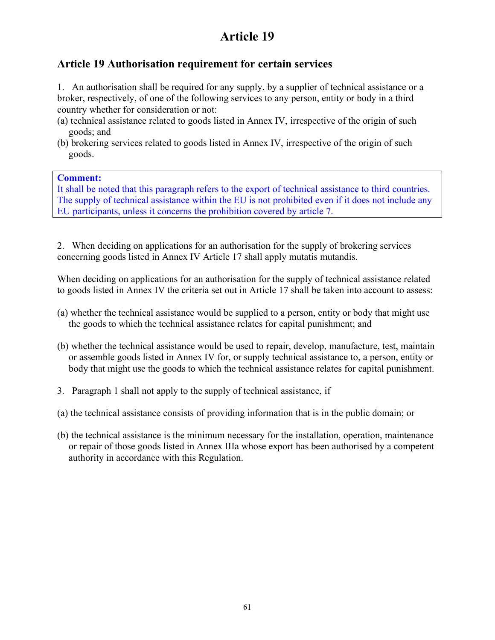### **Article 19 Authorisation requirement for certain services**

1. An authorisation shall be required for any supply, by a supplier of technical assistance or a broker, respectively, of one of the following services to any person, entity or body in a third country whether for consideration or not:

- (a) technical assistance related to goods listed in Annex IV, irrespective of the origin of such goods; and
- (b) brokering services related to goods listed in Annex IV, irrespective of the origin of such goods.

#### **Comment:**

It shall be noted that this paragraph refers to the export of technical assistance to third countries. The supply of technical assistance within the EU is not prohibited even if it does not include any EU participants, unless it concerns the prohibition covered by article 7.

2. When deciding on applications for an authorisation for the supply of brokering services concerning goods listed in Annex IV Article 17 shall apply mutatis mutandis.

When deciding on applications for an authorisation for the supply of technical assistance related to goods listed in Annex IV the criteria set out in Article 17 shall be taken into account to assess:

- (a) whether the technical assistance would be supplied to a person, entity or body that might use the goods to which the technical assistance relates for capital punishment; and
- (b) whether the technical assistance would be used to repair, develop, manufacture, test, maintain or assemble goods listed in Annex IV for, or supply technical assistance to, a person, entity or body that might use the goods to which the technical assistance relates for capital punishment.
- 3. Paragraph 1 shall not apply to the supply of technical assistance, if
- (a) the technical assistance consists of providing information that is in the public domain; or
- (b) the technical assistance is the minimum necessary for the installation, operation, maintenance or repair of those goods listed in Annex IIIa whose export has been authorised by a competent authority in accordance with this Regulation.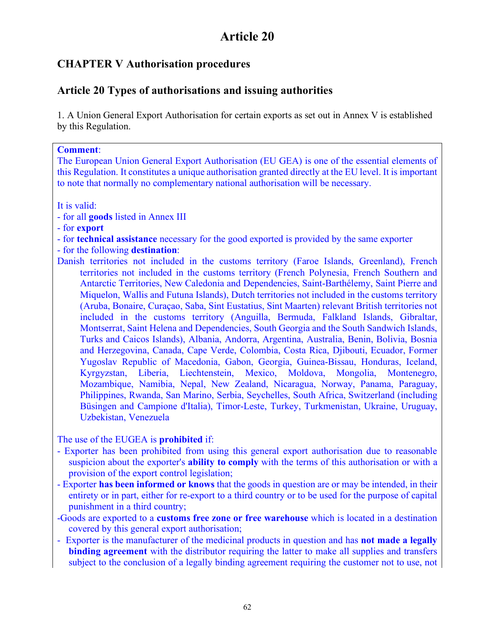### **CHAPTER V Authorisation procedures**

### **Article 20 Types of authorisations and issuing authorities**

1. A Union General Export Authorisation for certain exports as set out in Annex V is established by this Regulation.

### **Comment**:

The European Union General Export Authorisation (EU GEA) is one of the essential elements of this Regulation. It constitutes a unique authorisation granted directly at the EU level. It is important to note that normally no complementary national authorisation will be necessary.

It is valid:

- for all **goods** listed in Annex III

- for **export**
- for **technical assistance** necessary for the good exported is provided by the same exporter
- for the following **destination**:
- Danish territories not included in the customs territory (Faroe Islands, Greenland), French territories not included in the customs territory (French Polynesia, French Southern and Antarctic Territories, New Caledonia and Dependencies, Saint-Barthélemy, Saint Pierre and Miquelon, Wallis and Futuna Islands), Dutch territories not included in the customs territory (Aruba, Bonaire, Curaçao, Saba, Sint Eustatius, Sint Maarten) relevant British territories not included in the customs territory (Anguilla, Bermuda, Falkland Islands, Gibraltar, Montserrat, Saint Helena and Dependencies, South Georgia and the South Sandwich Islands, Turks and Caicos Islands), Albania, Andorra, Argentina, Australia, Benin, Bolivia, Bosnia and Herzegovina, Canada, Cape Verde, Colombia, Costa Rica, Djibouti, Ecuador, Former Yugoslav Republic of Macedonia, Gabon, Georgia, Guinea-Bissau, Honduras, Iceland, Kyrgyzstan, Liberia, Liechtenstein, Mexico, Moldova, Mongolia, Montenegro, Mozambique, Namibia, Nepal, New Zealand, Nicaragua, Norway, Panama, Paraguay, Philippines, Rwanda, San Marino, Serbia, Seychelles, South Africa, Switzerland (including Büsingen and Campione d'Italia), Timor-Leste, Turkey, Turkmenistan, Ukraine, Uruguay, Uzbekistan, Venezuela

The use of the EUGEA is **prohibited** if:

- Exporter has been prohibited from using this general export authorisation due to reasonable suspicion about the exporter's **ability to comply** with the terms of this authorisation or with a provision of the export control legislation;
- Exporter **has been informed or knows** that the goods in question are or may be intended, in their entirety or in part, either for re-export to a third country or to be used for the purpose of capital punishment in a third country;
- -Goods are exported to a **customs free zone or free warehouse** which is located in a destination covered by this general export authorisation;
- Exporter is the manufacturer of the medicinal products in question and has **not made a legally binding agreement** with the distributor requiring the latter to make all supplies and transfers subject to the conclusion of a legally binding agreement requiring the customer not to use, not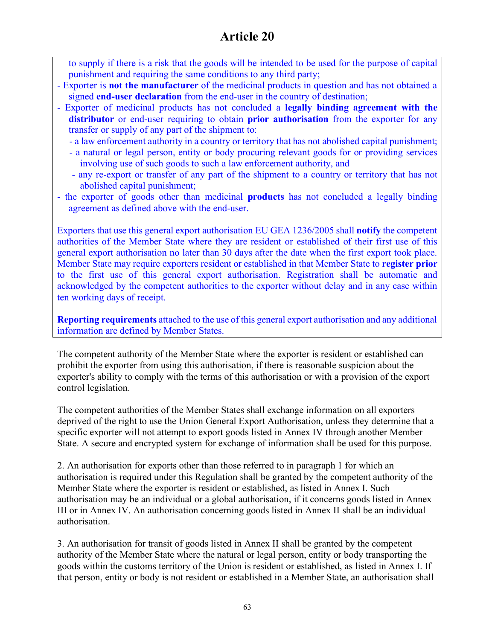to supply if there is a risk that the goods will be intended to be used for the purpose of capital punishment and requiring the same conditions to any third party;

- Exporter is **not the manufacturer** of the medicinal products in question and has not obtained a signed **end-user declaration** from the end-user in the country of destination;
- Exporter of medicinal products has not concluded a **legally binding agreement with the distributor** or end-user requiring to obtain **prior authorisation** from the exporter for any transfer or supply of any part of the shipment to:
	- a law enforcement authority in a country or territory that has not abolished capital punishment;
	- a natural or legal person, entity or body procuring relevant goods for or providing services involving use of such goods to such a law enforcement authority, and
	- any re-export or transfer of any part of the shipment to a country or territory that has not abolished capital punishment;
- the exporter of goods other than medicinal **products** has not concluded a legally binding agreement as defined above with the end-user.

Exporters that use this general export authorisation EU GEA 1236/2005 shall **notify** the competent authorities of the Member State where they are resident or established of their first use of this general export authorisation no later than 30 days after the date when the first export took place. Member State may require exporters resident or established in that Member State to **register prior** to the first use of this general export authorisation. Registration shall be automatic and acknowledged by the competent authorities to the exporter without delay and in any case within ten working days of receipt.

**Reporting requirements** attached to the use of this general export authorisation and any additional information are defined by Member States.

The competent authority of the Member State where the exporter is resident or established can prohibit the exporter from using this authorisation, if there is reasonable suspicion about the exporter's ability to comply with the terms of this authorisation or with a provision of the export control legislation.

The competent authorities of the Member States shall exchange information on all exporters deprived of the right to use the Union General Export Authorisation, unless they determine that a specific exporter will not attempt to export goods listed in Annex IV through another Member State. A secure and encrypted system for exchange of information shall be used for this purpose.

2. An authorisation for exports other than those referred to in paragraph 1 for which an authorisation is required under this Regulation shall be granted by the competent authority of the Member State where the exporter is resident or established, as listed in Annex I. Such authorisation may be an individual or a global authorisation, if it concerns goods listed in Annex III or in Annex IV. An authorisation concerning goods listed in Annex II shall be an individual authorisation.

3. An authorisation for transit of goods listed in Annex II shall be granted by the competent authority of the Member State where the natural or legal person, entity or body transporting the goods within the customs territory of the Union is resident or established, as listed in Annex I. If that person, entity or body is not resident or established in a Member State, an authorisation shall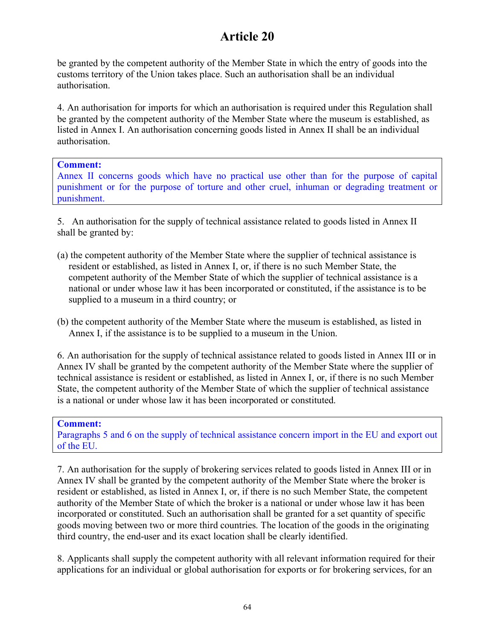be granted by the competent authority of the Member State in which the entry of goods into the customs territory of the Union takes place. Such an authorisation shall be an individual authorisation.

4. An authorisation for imports for which an authorisation is required under this Regulation shall be granted by the competent authority of the Member State where the museum is established, as listed in Annex I. An authorisation concerning goods listed in Annex II shall be an individual authorisation.

#### **Comment:**

Annex II concerns goods which have no practical use other than for the purpose of capital punishment or for the purpose of torture and other cruel, inhuman or degrading treatment or punishment.

5. An authorisation for the supply of technical assistance related to goods listed in Annex II shall be granted by:

- (a) the competent authority of the Member State where the supplier of technical assistance is resident or established, as listed in Annex I, or, if there is no such Member State, the competent authority of the Member State of which the supplier of technical assistance is a national or under whose law it has been incorporated or constituted, if the assistance is to be supplied to a museum in a third country; or
- (b) the competent authority of the Member State where the museum is established, as listed in Annex I, if the assistance is to be supplied to a museum in the Union.

6. An authorisation for the supply of technical assistance related to goods listed in Annex III or in Annex IV shall be granted by the competent authority of the Member State where the supplier of technical assistance is resident or established, as listed in Annex I, or, if there is no such Member State, the competent authority of the Member State of which the supplier of technical assistance is a national or under whose law it has been incorporated or constituted.

#### **Comment:**

Paragraphs 5 and 6 on the supply of technical assistance concern import in the EU and export out of the EU.

7. An authorisation for the supply of brokering services related to goods listed in Annex III or in Annex IV shall be granted by the competent authority of the Member State where the broker is resident or established, as listed in Annex I, or, if there is no such Member State, the competent authority of the Member State of which the broker is a national or under whose law it has been incorporated or constituted. Such an authorisation shall be granted for a set quantity of specific goods moving between two or more third countries. The location of the goods in the originating third country, the end-user and its exact location shall be clearly identified.

8. Applicants shall supply the competent authority with all relevant information required for their applications for an individual or global authorisation for exports or for brokering services, for an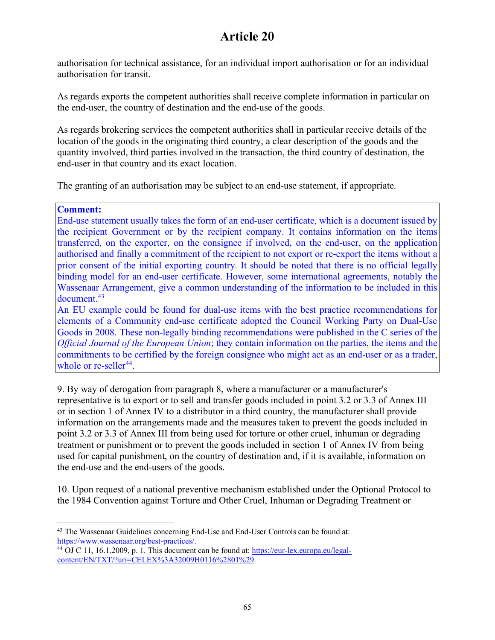authorisation for technical assistance, for an individual import authorisation or for an individual authorisation for transit.

As regards exports the competent authorities shall receive complete information in particular on the end-user, the country of destination and the end-use of the goods.

As regards brokering services the competent authorities shall in particular receive details of the location of the goods in the originating third country, a clear description of the goods and the quantity involved, third parties involved in the transaction, the third country of destination, the end-user in that country and its exact location.

The granting of an authorisation may be subject to an end-use statement, if appropriate.

#### **Comment:**

End-use statement usually takes the form of an end-user certificate, which is a document issued by the recipient Government or by the recipient company. It contains information on the items transferred, on the exporter, on the consignee if involved, on the end-user, on the application authorised and finally a commitment of the recipient to not export or re-export the items without a prior consent of the initial exporting country. It should be noted that there is no official legally binding model for an end-user certificate. However, some international agreements, notably the Wassenaar Arrangement, give a common understanding of the information to be included in this document.43

An EU example could be found for dual-use items with the best practice recommendations for elements of a Community end-use certificate adopted the Council Working Party on Dual-Use Goods in 2008. These non-legally binding recommendations were published in the C series of the *Official Journal of the European Union*; they contain information on the parties, the items and the commitments to be certified by the foreign consignee who might act as an end-user or as a trader, whole or re-seller<sup>44</sup>.

9. By way of derogation from paragraph 8, where a manufacturer or a manufacturer's representative is to export or to sell and transfer goods included in point 3.2 or 3.3 of Annex III or in section 1 of Annex IV to a distributor in a third country, the manufacturer shall provide information on the arrangements made and the measures taken to prevent the goods included in point 3.2 or 3.3 of Annex III from being used for torture or other cruel, inhuman or degrading treatment or punishment or to prevent the goods included in section 1 of Annex IV from being used for capital punishment, on the country of destination and, if it is available, information on the end-use and the end-users of the goods.

10. Upon request of a national preventive mechanism established under the Optional Protocol to the 1984 Convention against Torture and Other Cruel, Inhuman or Degrading Treatment or

 <sup>43</sup> The Wassenaar Guidelines concerning End-Use and End-User Controls can be found at: https://www.wassenaar.org/best-practices/.

<sup>44</sup> OJ C 11, 16.1.2009, p. 1. This document can be found at: https://eur-lex.europa.eu/legalcontent/EN/TXT/?uri=CELEX%3A32009H0116%2801%29.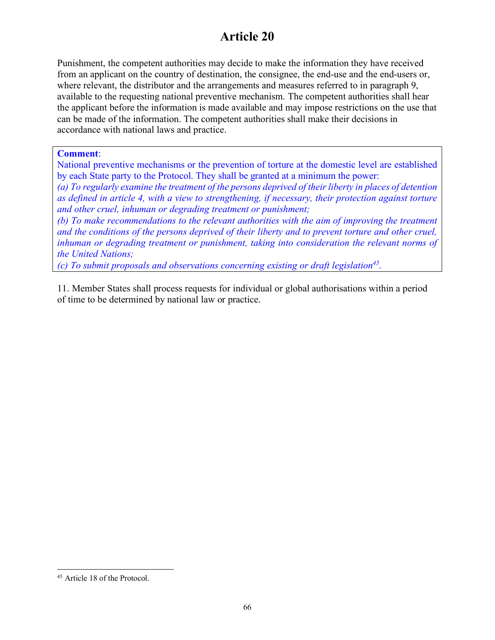Punishment, the competent authorities may decide to make the information they have received from an applicant on the country of destination, the consignee, the end-use and the end-users or, where relevant, the distributor and the arrangements and measures referred to in paragraph 9, available to the requesting national preventive mechanism. The competent authorities shall hear the applicant before the information is made available and may impose restrictions on the use that can be made of the information. The competent authorities shall make their decisions in accordance with national laws and practice.

**Comment**:

National preventive mechanisms or the prevention of torture at the domestic level are established by each State party to the Protocol. They shall be granted at a minimum the power:

*(a) To regularly examine the treatment of the persons deprived of their liberty in places of detention as defined in article 4, with a view to strengthening, if necessary, their protection against torture and other cruel, inhuman or degrading treatment or punishment;* 

*(b) To make recommendations to the relevant authorities with the aim of improving the treatment and the conditions of the persons deprived of their liberty and to prevent torture and other cruel, inhuman or degrading treatment or punishment, taking into consideration the relevant norms of the United Nations;* 

*(c) To submit proposals and observations concerning existing or draft legislation45.* 

11. Member States shall process requests for individual or global authorisations within a period of time to be determined by national law or practice.

 

<sup>45</sup> Article 18 of the Protocol.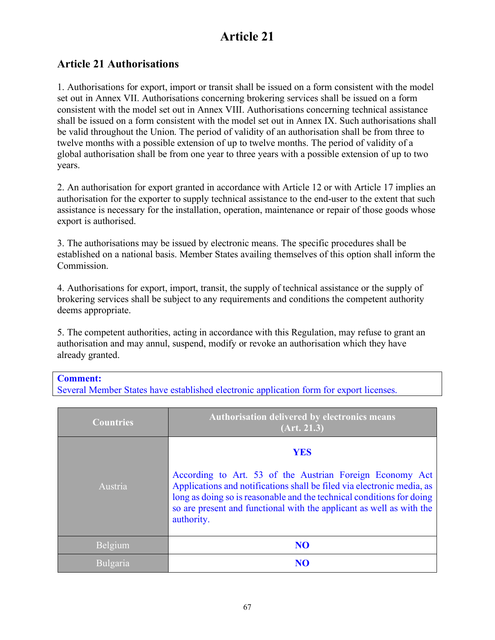### **Article 21 Authorisations**

1. Authorisations for export, import or transit shall be issued on a form consistent with the model set out in Annex VII. Authorisations concerning brokering services shall be issued on a form consistent with the model set out in Annex VIII. Authorisations concerning technical assistance shall be issued on a form consistent with the model set out in Annex IX. Such authorisations shall be valid throughout the Union. The period of validity of an authorisation shall be from three to twelve months with a possible extension of up to twelve months. The period of validity of a global authorisation shall be from one year to three years with a possible extension of up to two years.

2. An authorisation for export granted in accordance with Article 12 or with Article 17 implies an authorisation for the exporter to supply technical assistance to the end-user to the extent that such assistance is necessary for the installation, operation, maintenance or repair of those goods whose export is authorised.

3. The authorisations may be issued by electronic means. The specific procedures shall be established on a national basis. Member States availing themselves of this option shall inform the Commission.

4. Authorisations for export, import, transit, the supply of technical assistance or the supply of brokering services shall be subject to any requirements and conditions the competent authority deems appropriate.

5. The competent authorities, acting in accordance with this Regulation, may refuse to grant an authorisation and may annul, suspend, modify or revoke an authorisation which they have already granted.

### **Comment:** Several Member States have established electronic application form for export licenses.

| <b>Countries</b> | Authorisation delivered by electronics means<br>(Art. 21.3)                                                                                                                                                                                                                                                     |
|------------------|-----------------------------------------------------------------------------------------------------------------------------------------------------------------------------------------------------------------------------------------------------------------------------------------------------------------|
| Austria          | <b>YES</b><br>According to Art. 53 of the Austrian Foreign Economy Act<br>Applications and notifications shall be filed via electronic media, as<br>long as doing so is reasonable and the technical conditions for doing<br>so are present and functional with the applicant as well as with the<br>authority. |
| Belgium          | N <sub>O</sub>                                                                                                                                                                                                                                                                                                  |
| Bulgaria         | <b>NO</b>                                                                                                                                                                                                                                                                                                       |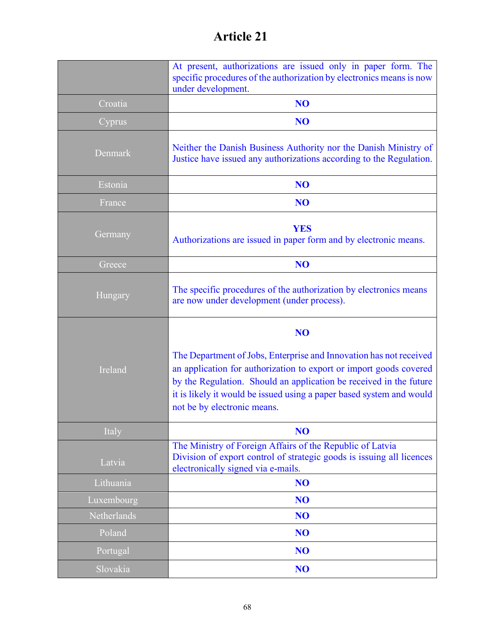|             | At present, authorizations are issued only in paper form. The<br>specific procedures of the authorization by electronics means is now<br>under development.                                                                                                                                                                             |
|-------------|-----------------------------------------------------------------------------------------------------------------------------------------------------------------------------------------------------------------------------------------------------------------------------------------------------------------------------------------|
| Croatia     | N <sub>O</sub>                                                                                                                                                                                                                                                                                                                          |
| Cyprus      | N <sub>O</sub>                                                                                                                                                                                                                                                                                                                          |
| Denmark     | Neither the Danish Business Authority nor the Danish Ministry of<br>Justice have issued any authorizations according to the Regulation.                                                                                                                                                                                                 |
| Estonia     | N <sub>O</sub>                                                                                                                                                                                                                                                                                                                          |
| France      | N <sub>O</sub>                                                                                                                                                                                                                                                                                                                          |
| Germany     | <b>YES</b><br>Authorizations are issued in paper form and by electronic means.                                                                                                                                                                                                                                                          |
| Greece      | N <sub>O</sub>                                                                                                                                                                                                                                                                                                                          |
| Hungary     | The specific procedures of the authorization by electronics means<br>are now under development (under process).                                                                                                                                                                                                                         |
| Ireland     | N <sub>O</sub><br>The Department of Jobs, Enterprise and Innovation has not received<br>an application for authorization to export or import goods covered<br>by the Regulation. Should an application be received in the future<br>it is likely it would be issued using a paper based system and would<br>not be by electronic means. |
| Italy       | N <sub>O</sub>                                                                                                                                                                                                                                                                                                                          |
| Latvia      | The Ministry of Foreign Affairs of the Republic of Latvia<br>Division of export control of strategic goods is issuing all licences<br>electronically signed via e-mails.                                                                                                                                                                |
| Lithuania   | N <sub>O</sub>                                                                                                                                                                                                                                                                                                                          |
| Luxembourg  | N <sub>O</sub>                                                                                                                                                                                                                                                                                                                          |
| Netherlands | N <sub>O</sub>                                                                                                                                                                                                                                                                                                                          |
| Poland      | N <sub>O</sub>                                                                                                                                                                                                                                                                                                                          |
| Portugal    | N <sub>O</sub>                                                                                                                                                                                                                                                                                                                          |
| Slovakia    | N <sub>O</sub>                                                                                                                                                                                                                                                                                                                          |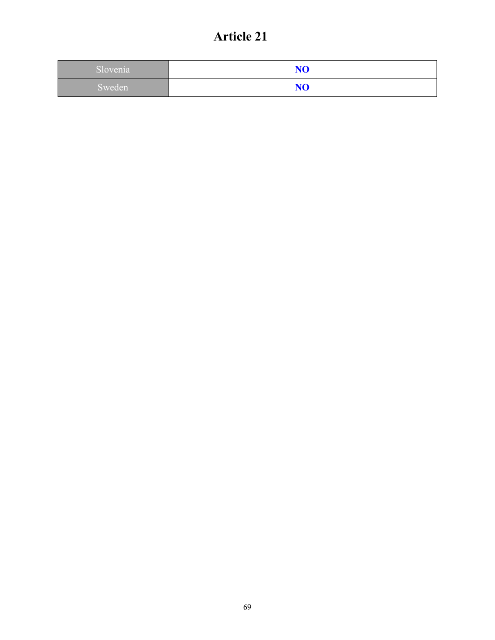| Slovenia | NO                 |
|----------|--------------------|
| Sweden   | $\mathbf{M}$<br>NU |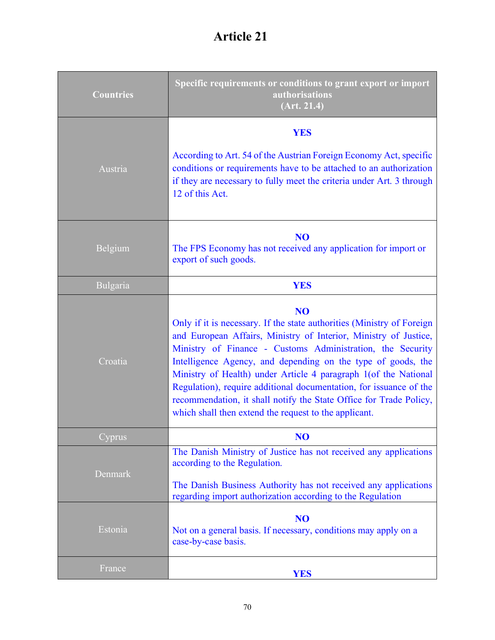| <b>Countries</b> | Specific requirements or conditions to grant export or import<br>authorisations<br>(Art. 21.4)                                                                                                                                                                                                                                                                                                                                                                                                                                                         |
|------------------|--------------------------------------------------------------------------------------------------------------------------------------------------------------------------------------------------------------------------------------------------------------------------------------------------------------------------------------------------------------------------------------------------------------------------------------------------------------------------------------------------------------------------------------------------------|
| Austria          | <b>YES</b><br>According to Art. 54 of the Austrian Foreign Economy Act, specific<br>conditions or requirements have to be attached to an authorization<br>if they are necessary to fully meet the criteria under Art. 3 through<br>12 of this Act.                                                                                                                                                                                                                                                                                                     |
| Belgium          | N <sub>O</sub><br>The FPS Economy has not received any application for import or<br>export of such goods.                                                                                                                                                                                                                                                                                                                                                                                                                                              |
| Bulgaria         | <b>YES</b>                                                                                                                                                                                                                                                                                                                                                                                                                                                                                                                                             |
| Croatia          | NO<br>Only if it is necessary. If the state authorities (Ministry of Foreign<br>and European Affairs, Ministry of Interior, Ministry of Justice,<br>Ministry of Finance - Customs Administration, the Security<br>Intelligence Agency, and depending on the type of goods, the<br>Ministry of Health) under Article 4 paragraph 1(of the National<br>Regulation), require additional documentation, for issuance of the<br>recommendation, it shall notify the State Office for Trade Policy,<br>which shall then extend the request to the applicant. |
| Cyprus           | NO                                                                                                                                                                                                                                                                                                                                                                                                                                                                                                                                                     |
| Denmark          | The Danish Ministry of Justice has not received any applications<br>according to the Regulation.<br>The Danish Business Authority has not received any applications<br>regarding import authorization according to the Regulation                                                                                                                                                                                                                                                                                                                      |
| Estonia          | N <sub>O</sub><br>Not on a general basis. If necessary, conditions may apply on a<br>case-by-case basis.                                                                                                                                                                                                                                                                                                                                                                                                                                               |
| France           | <b>YES</b>                                                                                                                                                                                                                                                                                                                                                                                                                                                                                                                                             |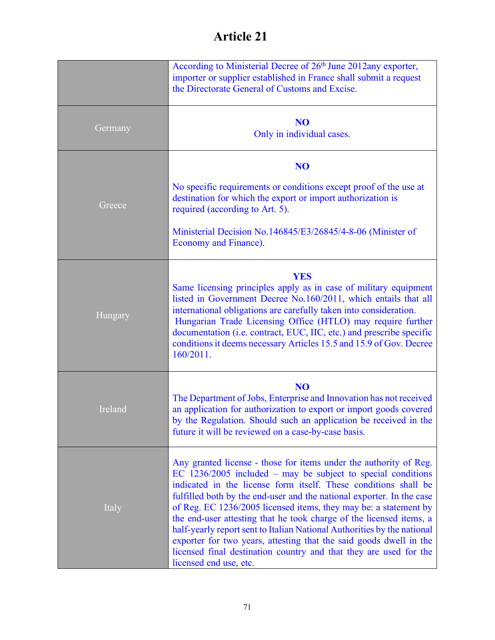|         | According to Ministerial Decree of 26 <sup>th</sup> June 2012any exporter,<br>importer or supplier established in France shall submit a request<br>the Directorate General of Customs and Excise.                                                                                                                                                                                                                                                                                                                                                                                                                                                                          |
|---------|----------------------------------------------------------------------------------------------------------------------------------------------------------------------------------------------------------------------------------------------------------------------------------------------------------------------------------------------------------------------------------------------------------------------------------------------------------------------------------------------------------------------------------------------------------------------------------------------------------------------------------------------------------------------------|
| Germany | N <sub>O</sub><br>Only in individual cases.                                                                                                                                                                                                                                                                                                                                                                                                                                                                                                                                                                                                                                |
|         | N <sub>O</sub>                                                                                                                                                                                                                                                                                                                                                                                                                                                                                                                                                                                                                                                             |
| Greece  | No specific requirements or conditions except proof of the use at<br>destination for which the export or import authorization is<br>required (according to Art. 5).                                                                                                                                                                                                                                                                                                                                                                                                                                                                                                        |
|         | Ministerial Decision No.146845/E3/26845/4-8-06 (Minister of<br>Economy and Finance).                                                                                                                                                                                                                                                                                                                                                                                                                                                                                                                                                                                       |
| Hungary | <b>YES</b><br>Same licensing principles apply as in case of military equipment<br>listed in Government Decree No.160/2011, which entails that all<br>international obligations are carefully taken into consideration.<br>Hungarian Trade Licensing Office (HTLO) may require further<br>documentation (i.e. contract, EUC, IIC, etc.) and prescribe specific<br>conditions it deems necessary Articles 15.5 and 15.9 of Gov. Decree<br>160/2011.                                                                                                                                                                                                                          |
| Ireland | N <sub>O</sub><br>The Department of Jobs, Enterprise and Innovation has not received<br>an application for authorization to export or import goods covered<br>by the Regulation. Should such an application be received in the<br>future it will be reviewed on a case-by-case basis.                                                                                                                                                                                                                                                                                                                                                                                      |
| Italy   | Any granted license - those for items under the authority of Reg.<br>EC $1236/2005$ included – may be subject to special conditions<br>indicated in the license form itself. These conditions shall be<br>fulfilled both by the end-user and the national exporter. In the case<br>of Reg. EC 1236/2005 licensed items, they may be: a statement by<br>the end-user attesting that he took charge of the licensed items, a<br>half-yearly report sent to Italian National Authorities by the national<br>exporter for two years, attesting that the said goods dwell in the<br>licensed final destination country and that they are used for the<br>licensed end use, etc. |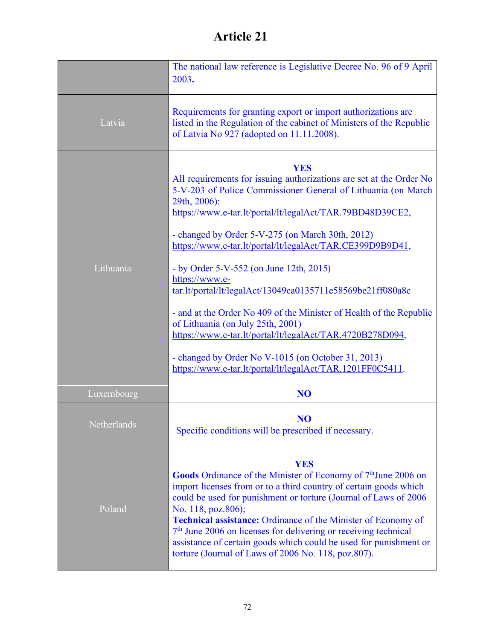|             | The national law reference is Legislative Decree No. 96 of 9 April<br>2003.                                                                                                                                                                                                                                                                                                                                                                                                                                                                                                                                                                                                                                                                                             |  |
|-------------|-------------------------------------------------------------------------------------------------------------------------------------------------------------------------------------------------------------------------------------------------------------------------------------------------------------------------------------------------------------------------------------------------------------------------------------------------------------------------------------------------------------------------------------------------------------------------------------------------------------------------------------------------------------------------------------------------------------------------------------------------------------------------|--|
| Latvia      | Requirements for granting export or import authorizations are<br>listed in the Regulation of the cabinet of Ministers of the Republic<br>of Latvia No 927 (adopted on 11.11.2008).                                                                                                                                                                                                                                                                                                                                                                                                                                                                                                                                                                                      |  |
| Lithuania   | <b>YES</b><br>All requirements for issuing authorizations are set at the Order No<br>5-V-203 of Police Commissioner General of Lithuania (on March<br>29th, 2006):<br>https://www.e-tar.lt/portal/lt/legalAct/TAR.79BD48D39CE2,<br>- changed by Order 5-V-275 (on March 30th, 2012)<br>https://www.e-tar.lt/portal/lt/legalAct/TAR.CE399D9B9D41,<br>- by Order 5-V-552 (on June 12th, 2015)<br>https://www.e-<br>tar.lt/portal/lt/legalAct/13049ca0135711e58569be21ff080a8c<br>- and at the Order No 409 of the Minister of Health of the Republic<br>of Lithuania (on July 25th, 2001)<br>https://www.e-tar.lt/portal/lt/legalAct/TAR.4720B278D094,<br>- changed by Order No V-1015 (on October 31, 2013)<br>https://www.e-tar.lt/portal/lt/legalAct/TAR.1201FF0C5411. |  |
| Luxembourg  | N <sub>O</sub>                                                                                                                                                                                                                                                                                                                                                                                                                                                                                                                                                                                                                                                                                                                                                          |  |
| Netherlands | NO<br>Specific conditions will be prescribed if necessary.                                                                                                                                                                                                                                                                                                                                                                                                                                                                                                                                                                                                                                                                                                              |  |
| Poland      | <b>YES</b><br>Goods Ordinance of the Minister of Economy of 7 <sup>th</sup> June 2006 on<br>import licenses from or to a third country of certain goods which<br>could be used for punishment or torture (Journal of Laws of 2006<br>No. 118, poz.806);<br><b>Technical assistance:</b> Ordinance of the Minister of Economy of<br>7 <sup>th</sup> June 2006 on licenses for delivering or receiving technical<br>assistance of certain goods which could be used for punishment or<br>torture (Journal of Laws of 2006 No. 118, poz.807).                                                                                                                                                                                                                              |  |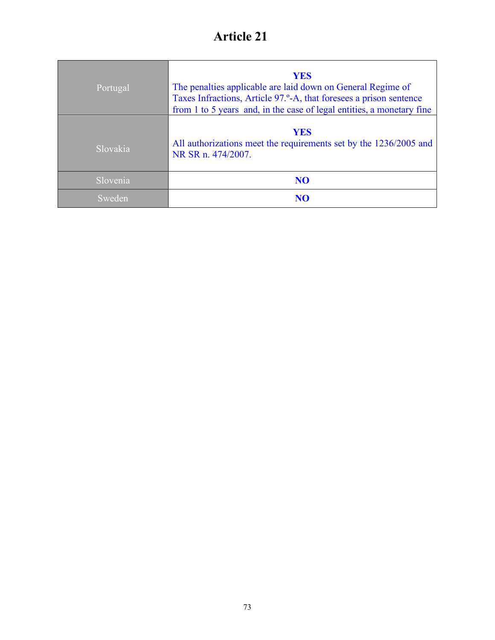| Portugal | <b>YES</b><br>The penalties applicable are laid down on General Regime of<br>Taxes Infractions, Article 97. <sup>o</sup> -A, that foresees a prison sentence<br>from 1 to 5 years and, in the case of legal entities, a monetary fine |
|----------|---------------------------------------------------------------------------------------------------------------------------------------------------------------------------------------------------------------------------------------|
| Slovakia | <b>YES</b><br>All authorizations meet the requirements set by the 1236/2005 and<br>NR SR n. 474/2007.                                                                                                                                 |
| Slovenia | NO <sub>1</sub>                                                                                                                                                                                                                       |
| Sweden   | NO                                                                                                                                                                                                                                    |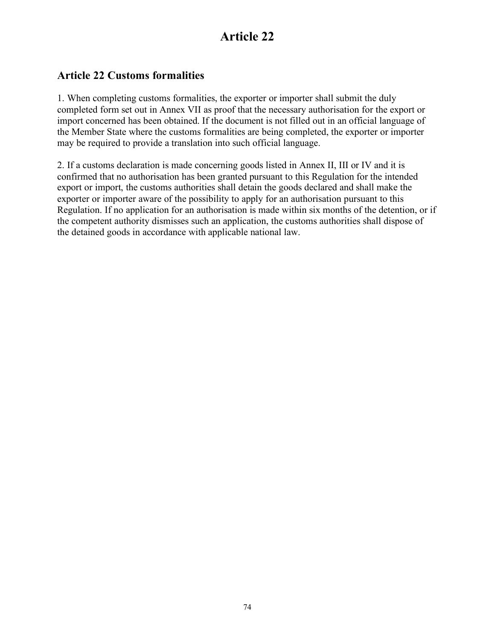#### **Article 22 Customs formalities**

1. When completing customs formalities, the exporter or importer shall submit the duly completed form set out in Annex VII as proof that the necessary authorisation for the export or import concerned has been obtained. If the document is not filled out in an official language of the Member State where the customs formalities are being completed, the exporter or importer may be required to provide a translation into such official language.

2. If a customs declaration is made concerning goods listed in Annex II, III or IV and it is confirmed that no authorisation has been granted pursuant to this Regulation for the intended export or import, the customs authorities shall detain the goods declared and shall make the exporter or importer aware of the possibility to apply for an authorisation pursuant to this Regulation. If no application for an authorisation is made within six months of the detention, or if the competent authority dismisses such an application, the customs authorities shall dispose of the detained goods in accordance with applicable national law.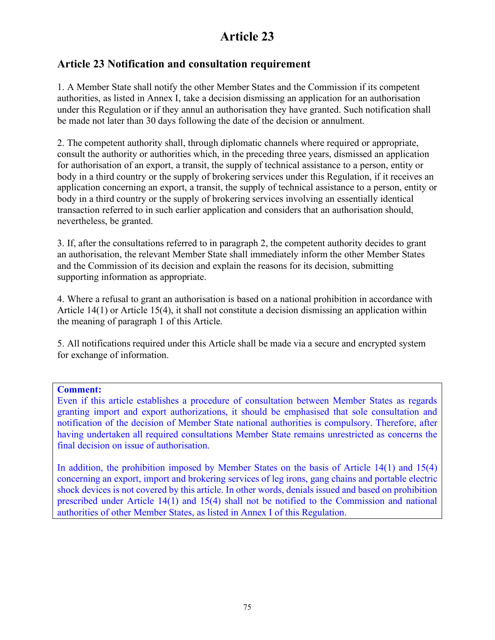### **Article 23 Notification and consultation requirement**

1. A Member State shall notify the other Member States and the Commission if its competent authorities, as listed in Annex I, take a decision dismissing an application for an authorisation under this Regulation or if they annul an authorisation they have granted. Such notification shall be made not later than 30 days following the date of the decision or annulment.

2. The competent authority shall, through diplomatic channels where required or appropriate, consult the authority or authorities which, in the preceding three years, dismissed an application for authorisation of an export, a transit, the supply of technical assistance to a person, entity or body in a third country or the supply of brokering services under this Regulation, if it receives an application concerning an export, a transit, the supply of technical assistance to a person, entity or body in a third country or the supply of brokering services involving an essentially identical transaction referred to in such earlier application and considers that an authorisation should, nevertheless, be granted.

3. If, after the consultations referred to in paragraph 2, the competent authority decides to grant an authorisation, the relevant Member State shall immediately inform the other Member States and the Commission of its decision and explain the reasons for its decision, submitting supporting information as appropriate.

4. Where a refusal to grant an authorisation is based on a national prohibition in accordance with Article 14(1) or Article 15(4), it shall not constitute a decision dismissing an application within the meaning of paragraph 1 of this Article.

5. All notifications required under this Article shall be made via a secure and encrypted system for exchange of information.

#### **Comment:**

Even if this article establishes a procedure of consultation between Member States as regards granting import and export authorizations, it should be emphasised that sole consultation and notification of the decision of Member State national authorities is compulsory. Therefore, after having undertaken all required consultations Member State remains unrestricted as concerns the final decision on issue of authorisation.

In addition, the prohibition imposed by Member States on the basis of Article 14(1) and 15(4) concerning an export, import and brokering services of leg irons, gang chains and portable electric shock devices is not covered by this article. In other words, denials issued and based on prohibition prescribed under Article 14(1) and 15(4) shall not be notified to the Commission and national authorities of other Member States, as listed in Annex I of this Regulation.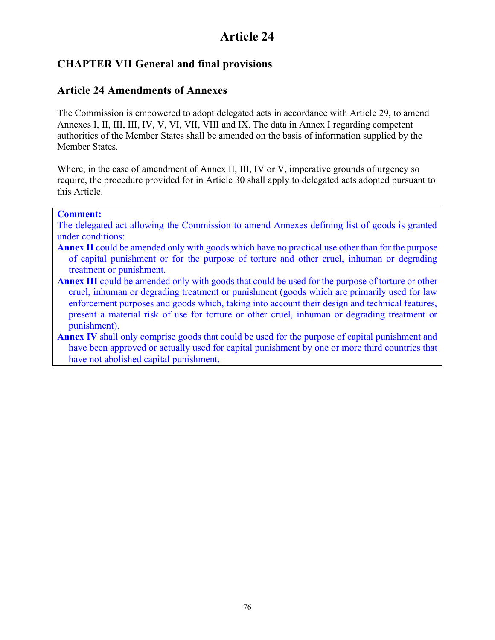### **CHAPTER VII General and final provisions**

### **Article 24 Amendments of Annexes**

The Commission is empowered to adopt delegated acts in accordance with Article 29, to amend Annexes I, II, III, III, IV, V, VI, VII, VIII and IX. The data in Annex I regarding competent authorities of the Member States shall be amended on the basis of information supplied by the Member States.

Where, in the case of amendment of Annex II, III, IV or V, imperative grounds of urgency so require, the procedure provided for in Article 30 shall apply to delegated acts adopted pursuant to this Article.

#### **Comment:**

The delegated act allowing the Commission to amend Annexes defining list of goods is granted under conditions:

- **Annex II** could be amended only with goods which have no practical use other than for the purpose of capital punishment or for the purpose of torture and other cruel, inhuman or degrading treatment or punishment.
- **Annex III** could be amended only with goods that could be used for the purpose of torture or other cruel, inhuman or degrading treatment or punishment (goods which are primarily used for law enforcement purposes and goods which, taking into account their design and technical features, present a material risk of use for torture or other cruel, inhuman or degrading treatment or punishment).

**Annex IV** shall only comprise goods that could be used for the purpose of capital punishment and have been approved or actually used for capital punishment by one or more third countries that have not abolished capital punishment.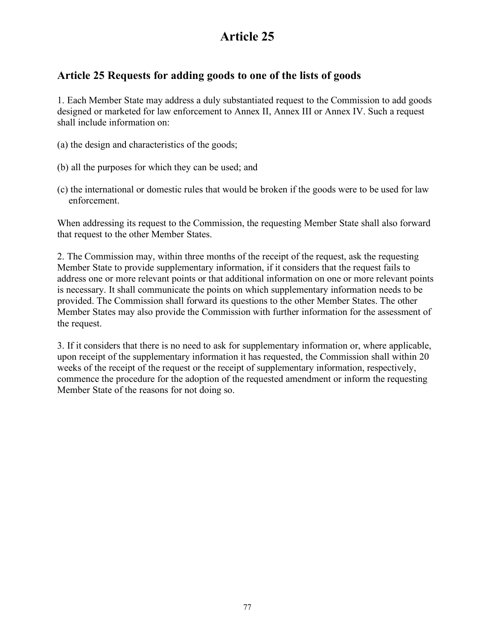### **Article 25 Requests for adding goods to one of the lists of goods**

1. Each Member State may address a duly substantiated request to the Commission to add goods designed or marketed for law enforcement to Annex II, Annex III or Annex IV. Such a request shall include information on:

- (a) the design and characteristics of the goods;
- (b) all the purposes for which they can be used; and
- (c) the international or domestic rules that would be broken if the goods were to be used for law enforcement.

When addressing its request to the Commission, the requesting Member State shall also forward that request to the other Member States.

2. The Commission may, within three months of the receipt of the request, ask the requesting Member State to provide supplementary information, if it considers that the request fails to address one or more relevant points or that additional information on one or more relevant points is necessary. It shall communicate the points on which supplementary information needs to be provided. The Commission shall forward its questions to the other Member States. The other Member States may also provide the Commission with further information for the assessment of the request.

3. If it considers that there is no need to ask for supplementary information or, where applicable, upon receipt of the supplementary information it has requested, the Commission shall within 20 weeks of the receipt of the request or the receipt of supplementary information, respectively, commence the procedure for the adoption of the requested amendment or inform the requesting Member State of the reasons for not doing so.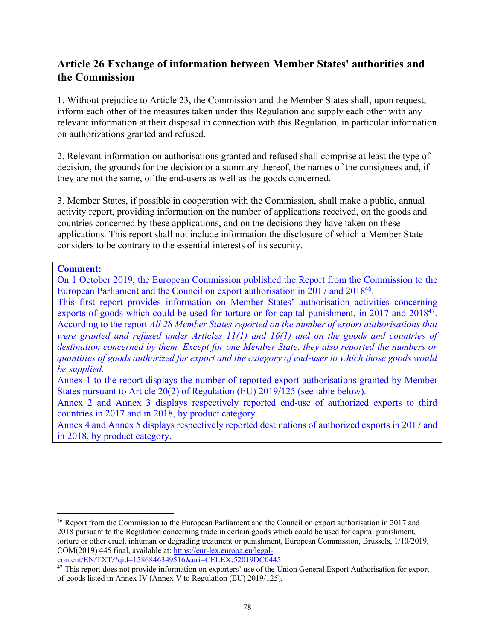#### **Article 26 Exchange of information between Member States' authorities and the Commission**

1. Without prejudice to Article 23, the Commission and the Member States shall, upon request, inform each other of the measures taken under this Regulation and supply each other with any relevant information at their disposal in connection with this Regulation, in particular information on authorizations granted and refused.

2. Relevant information on authorisations granted and refused shall comprise at least the type of decision, the grounds for the decision or a summary thereof, the names of the consignees and, if they are not the same, of the end-users as well as the goods concerned.

3. Member States, if possible in cooperation with the Commission, shall make a public, annual activity report, providing information on the number of applications received, on the goods and countries concerned by these applications, and on the decisions they have taken on these applications. This report shall not include information the disclosure of which a Member State considers to be contrary to the essential interests of its security.

#### **Comment:**

 

On 1 October 2019, the European Commission published the Report from the Commission to the European Parliament and the Council on export authorisation in 2017 and 201846.

This first report provides information on Member States' authorisation activities concerning exports of goods which could be used for torture or for capital punishment, in 2017 and 2018<sup>47</sup>. According to the report *All 28 Member States reported on the number of export authorisations that were granted and refused under Articles 11(1) and 16(1) and on the goods and countries of destination concerned by them. Except for one Member State, they also reported the numbers or quantities of goods authorized for export and the category of end-user to which those goods would be supplied.*

Annex 1 to the report displays the number of reported export authorisations granted by Member States pursuant to Article 20(2) of Regulation (EU) 2019/125 (see table below).

Annex 2 and Annex 3 displays respectively reported end-use of authorized exports to third countries in 2017 and in 2018, by product category.

Annex 4 and Annex 5 displays respectively reported destinations of authorized exports in 2017 and in 2018, by product category.

<sup>46</sup> Report from the Commission to the European Parliament and the Council on export authorisation in 2017 and 2018 pursuant to the Regulation concerning trade in certain goods which could be used for capital punishment, torture or other cruel, inhuman or degrading treatment or punishment, European Commission, Brussels, 1/10/2019, COM(2019) 445 final, available at: https://eur-lex.europa.eu/legalcontent/EN/TXT/?qid=1586846349516&uri=CELEX:52019DC0445.

 $\frac{47}{10}$  This report does not provide information on exporters' use of the Union General Export Authorisation for export of goods listed in Annex IV (Annex V to Regulation (EU) 2019/125).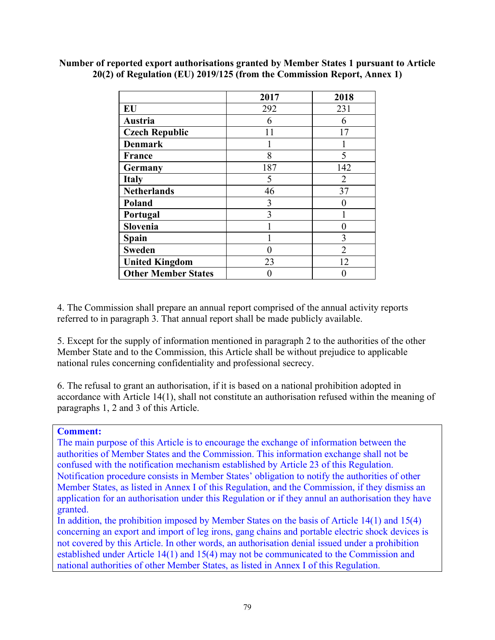|                            | 2017 | 2018           |
|----------------------------|------|----------------|
| EU                         | 292  | 231            |
| Austria                    | 6    | 6              |
| <b>Czech Republic</b>      | 11   | 17             |
| <b>Denmark</b>             |      |                |
| France                     | 8    | 5              |
| Germany                    | 187  | 142            |
| <b>Italy</b>               | 5    | 2              |
| <b>Netherlands</b>         | 46   | 37             |
| Poland                     | 3    |                |
| Portugal                   | 3    |                |
| Slovenia                   |      |                |
| Spain                      |      | 3              |
| <b>Sweden</b>              |      | $\overline{2}$ |
| <b>United Kingdom</b>      | 23   | 12             |
| <b>Other Member States</b> |      |                |

**Number of reported export authorisations granted by Member States 1 pursuant to Article 20(2) of Regulation (EU) 2019/125 (from the Commission Report, Annex 1)**

4. The Commission shall prepare an annual report comprised of the annual activity reports referred to in paragraph 3. That annual report shall be made publicly available.

5. Except for the supply of information mentioned in paragraph 2 to the authorities of the other Member State and to the Commission, this Article shall be without prejudice to applicable national rules concerning confidentiality and professional secrecy.

6. The refusal to grant an authorisation, if it is based on a national prohibition adopted in accordance with Article 14(1), shall not constitute an authorisation refused within the meaning of paragraphs 1, 2 and 3 of this Article.

#### **Comment:**

The main purpose of this Article is to encourage the exchange of information between the authorities of Member States and the Commission. This information exchange shall not be confused with the notification mechanism established by Article 23 of this Regulation. Notification procedure consists in Member States' obligation to notify the authorities of other Member States, as listed in Annex I of this Regulation, and the Commission, if they dismiss an application for an authorisation under this Regulation or if they annul an authorisation they have granted.

In addition, the prohibition imposed by Member States on the basis of Article 14(1) and 15(4) concerning an export and import of leg irons, gang chains and portable electric shock devices is not covered by this Article. In other words, an authorisation denial issued under a prohibition established under Article 14(1) and 15(4) may not be communicated to the Commission and national authorities of other Member States, as listed in Annex I of this Regulation.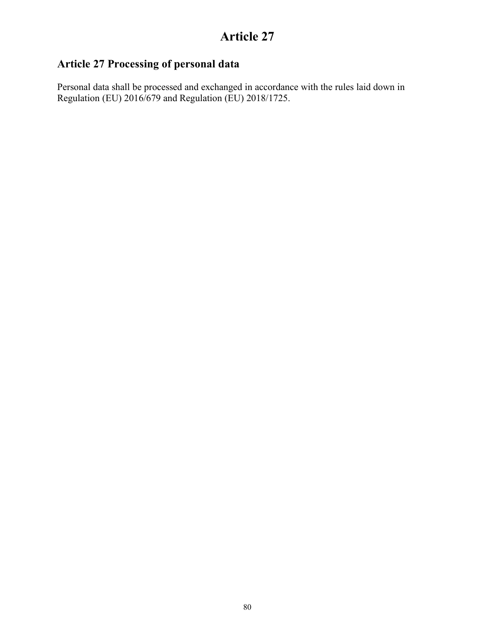### **Article 27 Processing of personal data**

Personal data shall be processed and exchanged in accordance with the rules laid down in Regulation (EU) 2016/679 and Regulation (EU) 2018/1725.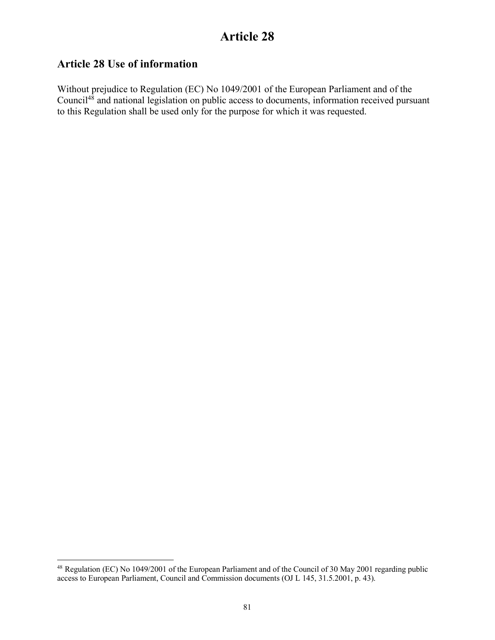### **Article 28 Use of information**

Without prejudice to Regulation (EC) No 1049/2001 of the European Parliament and of the Council48 and national legislation on public access to documents, information received pursuant to this Regulation shall be used only for the purpose for which it was requested.

 <sup>48</sup> Regulation (EC) No 1049/2001 of the European Parliament and of the Council of 30 May 2001 regarding public access to European Parliament, Council and Commission documents (OJ L 145, 31.5.2001, p. 43).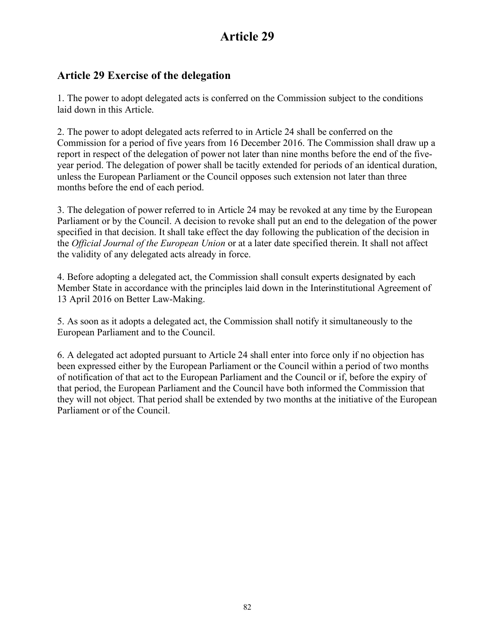#### **Article 29 Exercise of the delegation**

1. The power to adopt delegated acts is conferred on the Commission subject to the conditions laid down in this Article.

2. The power to adopt delegated acts referred to in Article 24 shall be conferred on the Commission for a period of five years from 16 December 2016. The Commission shall draw up a report in respect of the delegation of power not later than nine months before the end of the fiveyear period. The delegation of power shall be tacitly extended for periods of an identical duration, unless the European Parliament or the Council opposes such extension not later than three months before the end of each period.

3. The delegation of power referred to in Article 24 may be revoked at any time by the European Parliament or by the Council. A decision to revoke shall put an end to the delegation of the power specified in that decision. It shall take effect the day following the publication of the decision in the *Official Journal of the European Union* or at a later date specified therein. It shall not affect the validity of any delegated acts already in force.

4. Before adopting a delegated act, the Commission shall consult experts designated by each Member State in accordance with the principles laid down in the Interinstitutional Agreement of 13 April 2016 on Better Law-Making.

5. As soon as it adopts a delegated act, the Commission shall notify it simultaneously to the European Parliament and to the Council.

6. A delegated act adopted pursuant to Article 24 shall enter into force only if no objection has been expressed either by the European Parliament or the Council within a period of two months of notification of that act to the European Parliament and the Council or if, before the expiry of that period, the European Parliament and the Council have both informed the Commission that they will not object. That period shall be extended by two months at the initiative of the European Parliament or of the Council.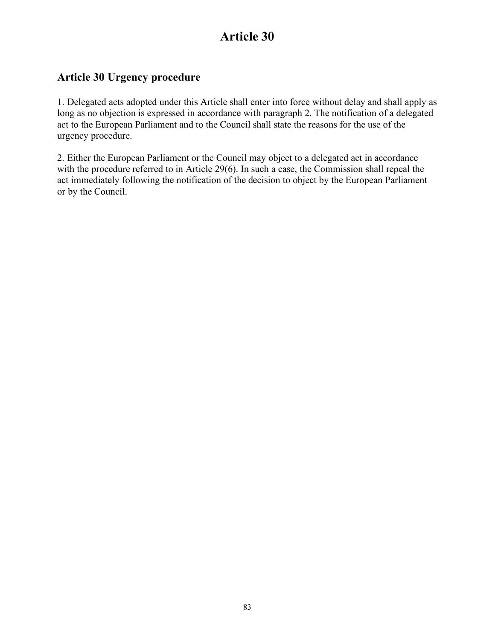### **Article 30 Urgency procedure**

1. Delegated acts adopted under this Article shall enter into force without delay and shall apply as long as no objection is expressed in accordance with paragraph 2. The notification of a delegated act to the European Parliament and to the Council shall state the reasons for the use of the urgency procedure.

2. Either the European Parliament or the Council may object to a delegated act in accordance with the procedure referred to in Article 29(6). In such a case, the Commission shall repeal the act immediately following the notification of the decision to object by the European Parliament or by the Council.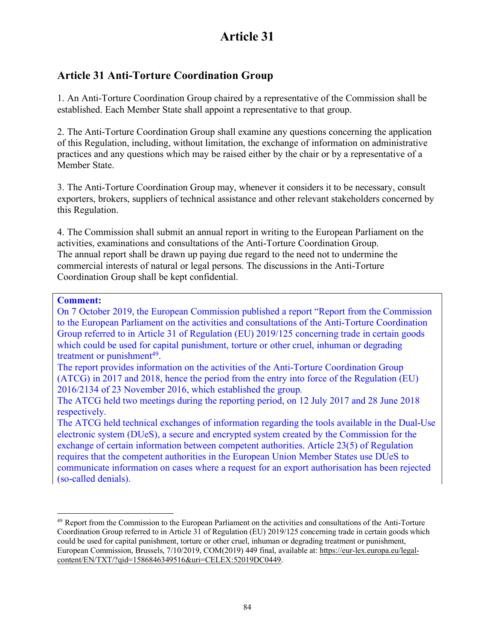### **Article 31 Anti-Torture Coordination Group**

1. An Anti-Torture Coordination Group chaired by a representative of the Commission shall be established. Each Member State shall appoint a representative to that group.

2. The Anti-Torture Coordination Group shall examine any questions concerning the application of this Regulation, including, without limitation, the exchange of information on administrative practices and any questions which may be raised either by the chair or by a representative of a Member State.

3. The Anti-Torture Coordination Group may, whenever it considers it to be necessary, consult exporters, brokers, suppliers of technical assistance and other relevant stakeholders concerned by this Regulation.

4. The Commission shall submit an annual report in writing to the European Parliament on the activities, examinations and consultations of the Anti-Torture Coordination Group. The annual report shall be drawn up paying due regard to the need not to undermine the commercial interests of natural or legal persons. The discussions in the Anti-Torture Coordination Group shall be kept confidential.

#### **Comment:**

 

On 7 October 2019, the European Commission published a report "Report from the Commission to the European Parliament on the activities and consultations of the Anti-Torture Coordination Group referred to in Article 31 of Regulation (EU) 2019/125 concerning trade in certain goods which could be used for capital punishment, torture or other cruel, inhuman or degrading treatment or punishment<sup>49</sup>.

The report provides information on the activities of the Anti-Torture Coordination Group (ATCG) in 2017 and 2018, hence the period from the entry into force of the Regulation (EU) 2016/2134 of 23 November 2016, which established the group.

The ATCG held two meetings during the reporting period, on 12 July 2017 and 28 June 2018 respectively.

The ATCG held technical exchanges of information regarding the tools available in the Dual-Use electronic system (DUeS), a secure and encrypted system created by the Commission for the exchange of certain information between competent authorities. Article 23(5) of Regulation requires that the competent authorities in the European Union Member States use DUeS to communicate information on cases where a request for an export authorisation has been rejected (so-called denials).

<sup>49</sup> Report from the Commission to the European Parliament on the activities and consultations of the Anti-Torture Coordination Group referred to in Article 31 of Regulation (EU) 2019/125 concerning trade in certain goods which could be used for capital punishment, torture or other cruel, inhuman or degrading treatment or punishment, European Commission, Brussels, 7/10/2019, COM(2019) 449 final, available at: https://eur-lex.europa.eu/legalcontent/EN/TXT/?qid=1586846349516&uri=CELEX:52019DC0449.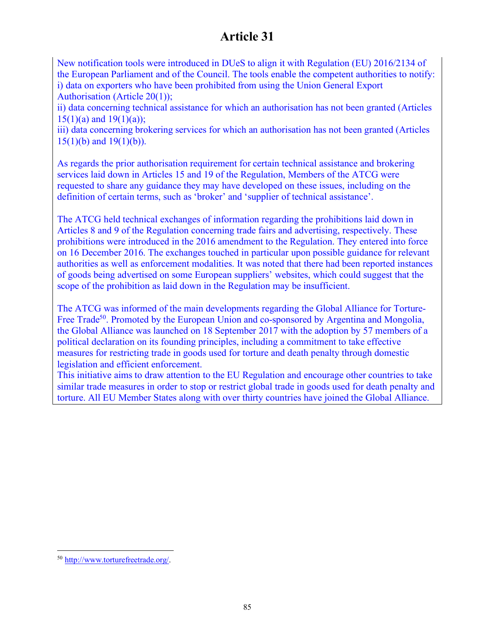New notification tools were introduced in DUeS to align it with Regulation (EU) 2016/2134 of the European Parliament and of the Council. The tools enable the competent authorities to notify: i) data on exporters who have been prohibited from using the Union General Export Authorisation (Article 20(1));

ii) data concerning technical assistance for which an authorisation has not been granted (Articles  $15(1)(a)$  and  $19(1)(a)$ ;

iii) data concerning brokering services for which an authorisation has not been granted (Articles  $15(1)(b)$  and  $19(1)(b)$ ).

As regards the prior authorisation requirement for certain technical assistance and brokering services laid down in Articles 15 and 19 of the Regulation, Members of the ATCG were requested to share any guidance they may have developed on these issues, including on the definition of certain terms, such as 'broker' and 'supplier of technical assistance'.

The ATCG held technical exchanges of information regarding the prohibitions laid down in Articles 8 and 9 of the Regulation concerning trade fairs and advertising, respectively. These prohibitions were introduced in the 2016 amendment to the Regulation. They entered into force on 16 December 2016. The exchanges touched in particular upon possible guidance for relevant authorities as well as enforcement modalities. It was noted that there had been reported instances of goods being advertised on some European suppliers' websites, which could suggest that the scope of the prohibition as laid down in the Regulation may be insufficient.

The ATCG was informed of the main developments regarding the Global Alliance for Torture-Free Trade<sup>50</sup>. Promoted by the European Union and co-sponsored by Argentina and Mongolia, the Global Alliance was launched on 18 September 2017 with the adoption by 57 members of a political declaration on its founding principles, including a commitment to take effective measures for restricting trade in goods used for torture and death penalty through domestic legislation and efficient enforcement.

This initiative aims to draw attention to the EU Regulation and encourage other countries to take similar trade measures in order to stop or restrict global trade in goods used for death penalty and torture. All EU Member States along with over thirty countries have joined the Global Alliance.

 <sup>50</sup> http://www.torturefreetrade.org/.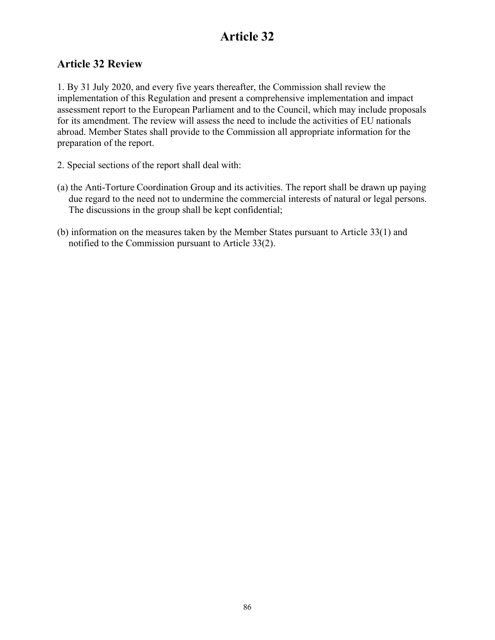#### **Article 32 Review**

1. By 31 July 2020, and every five years thereafter, the Commission shall review the implementation of this Regulation and present a comprehensive implementation and impact assessment report to the European Parliament and to the Council, which may include proposals for its amendment. The review will assess the need to include the activities of EU nationals abroad. Member States shall provide to the Commission all appropriate information for the preparation of the report.

- 2. Special sections of the report shall deal with:
- (a) the Anti-Torture Coordination Group and its activities. The report shall be drawn up paying due regard to the need not to undermine the commercial interests of natural or legal persons. The discussions in the group shall be kept confidential;
- (b) information on the measures taken by the Member States pursuant to Article 33(1) and notified to the Commission pursuant to Article 33(2).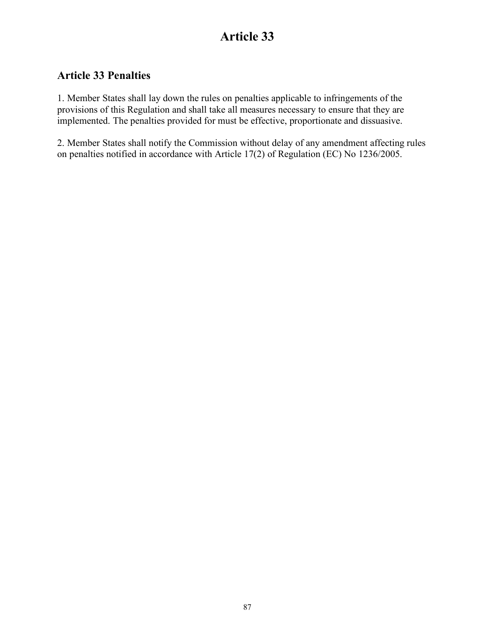#### **Article 33 Penalties**

1. Member States shall lay down the rules on penalties applicable to infringements of the provisions of this Regulation and shall take all measures necessary to ensure that they are implemented. The penalties provided for must be effective, proportionate and dissuasive.

2. Member States shall notify the Commission without delay of any amendment affecting rules on penalties notified in accordance with Article 17(2) of Regulation (EC) No 1236/2005.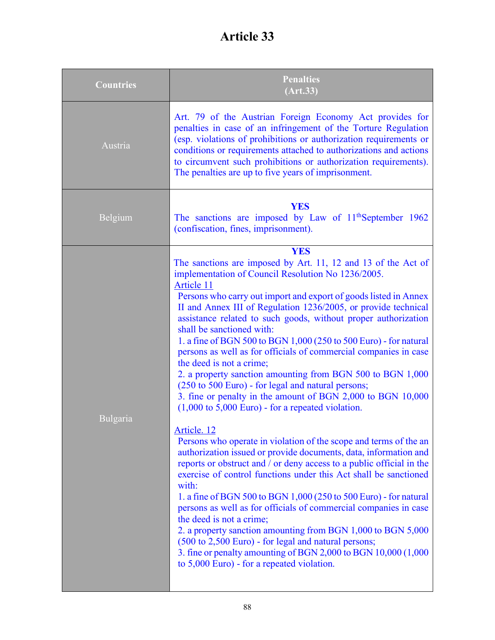| <b>Countries</b> | <b>Penalties</b><br>(Art.33)                                                                                                                                                                                                                                                                                                                                                                                                                                                                                                                                                                                                                                                                                                                                                                                                                                                                                                                                                                                                                                                                                                                                                                                                                                                                                                                                                                                                                                                                                                                                    |
|------------------|-----------------------------------------------------------------------------------------------------------------------------------------------------------------------------------------------------------------------------------------------------------------------------------------------------------------------------------------------------------------------------------------------------------------------------------------------------------------------------------------------------------------------------------------------------------------------------------------------------------------------------------------------------------------------------------------------------------------------------------------------------------------------------------------------------------------------------------------------------------------------------------------------------------------------------------------------------------------------------------------------------------------------------------------------------------------------------------------------------------------------------------------------------------------------------------------------------------------------------------------------------------------------------------------------------------------------------------------------------------------------------------------------------------------------------------------------------------------------------------------------------------------------------------------------------------------|
| Austria          | Art. 79 of the Austrian Foreign Economy Act provides for<br>penalties in case of an infringement of the Torture Regulation<br>(esp. violations of prohibitions or authorization requirements or<br>conditions or requirements attached to authorizations and actions<br>to circumvent such prohibitions or authorization requirements).<br>The penalties are up to five years of imprisonment.                                                                                                                                                                                                                                                                                                                                                                                                                                                                                                                                                                                                                                                                                                                                                                                                                                                                                                                                                                                                                                                                                                                                                                  |
| Belgium          | <b>YES</b><br>The sanctions are imposed by Law of 11 <sup>th</sup> September 1962<br>(confiscation, fines, imprisonment).                                                                                                                                                                                                                                                                                                                                                                                                                                                                                                                                                                                                                                                                                                                                                                                                                                                                                                                                                                                                                                                                                                                                                                                                                                                                                                                                                                                                                                       |
| Bulgaria         | <b>YES</b><br>The sanctions are imposed by Art. 11, 12 and 13 of the Act of<br>implementation of Council Resolution No 1236/2005.<br><b>Article 11</b><br>Persons who carry out import and export of goods listed in Annex<br>II and Annex III of Regulation 1236/2005, or provide technical<br>assistance related to such goods, without proper authorization<br>shall be sanctioned with:<br>1. a fine of BGN 500 to BGN 1,000 (250 to 500 Euro) - for natural<br>persons as well as for officials of commercial companies in case<br>the deed is not a crime;<br>2. a property sanction amounting from BGN 500 to BGN 1,000<br>(250 to 500 Euro) - for legal and natural persons;<br>3. fine or penalty in the amount of BGN 2,000 to BGN 10,000<br>$(1,000 \text{ to } 5,000 \text{ Euro})$ - for a repeated violation.<br><u>Article. 12</u><br>Persons who operate in violation of the scope and terms of the an<br>authorization issued or provide documents, data, information and<br>reports or obstruct and / or deny access to a public official in the<br>exercise of control functions under this Act shall be sanctioned<br>with:<br>1. a fine of BGN 500 to BGN 1,000 (250 to 500 Euro) - for natural<br>persons as well as for officials of commercial companies in case<br>the deed is not a crime;<br>2. a property sanction amounting from BGN 1,000 to BGN 5,000<br>(500 to 2,500 Euro) - for legal and natural persons;<br>3. fine or penalty amounting of BGN 2,000 to BGN 10,000 (1,000)<br>to $5,000$ Euro) - for a repeated violation. |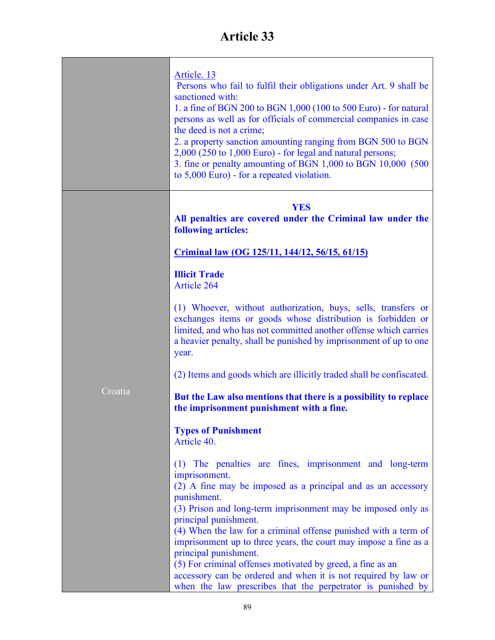|         | Article. 13<br>Persons who fail to fulfil their obligations under Art. 9 shall be<br>sanctioned with:<br>1. a fine of BGN 200 to BGN 1,000 (100 to 500 Euro) - for natural<br>persons as well as for officials of commercial companies in case<br>the deed is not a crime;<br>2. a property sanction amounting ranging from BGN 500 to BGN<br>2,000 (250 to 1,000 Euro) - for legal and natural persons;<br>3. fine or penalty amounting of BGN 1,000 to BGN 10,000 (500)<br>to $5,000$ Euro) - for a repeated violation.                                                                                       |
|---------|-----------------------------------------------------------------------------------------------------------------------------------------------------------------------------------------------------------------------------------------------------------------------------------------------------------------------------------------------------------------------------------------------------------------------------------------------------------------------------------------------------------------------------------------------------------------------------------------------------------------|
|         | <b>YES</b><br>All penalties are covered under the Criminal law under the<br>following articles:                                                                                                                                                                                                                                                                                                                                                                                                                                                                                                                 |
|         | Criminal law (OG 125/11, 144/12, 56/15, 61/15)                                                                                                                                                                                                                                                                                                                                                                                                                                                                                                                                                                  |
|         | <b>Illicit Trade</b><br>Article 264                                                                                                                                                                                                                                                                                                                                                                                                                                                                                                                                                                             |
|         | (1) Whoever, without authorization, buys, sells, transfers or<br>exchanges items or goods whose distribution is forbidden or<br>limited, and who has not committed another offense which carries<br>a heavier penalty, shall be punished by imprisonment of up to one<br>year.                                                                                                                                                                                                                                                                                                                                  |
|         | (2) Items and goods which are illicitly traded shall be confiscated.                                                                                                                                                                                                                                                                                                                                                                                                                                                                                                                                            |
| Croatia | But the Law also mentions that there is a possibility to replace<br>the imprisonment punishment with a fine.                                                                                                                                                                                                                                                                                                                                                                                                                                                                                                    |
|         | <b>Types of Punishment</b><br>Article 40.                                                                                                                                                                                                                                                                                                                                                                                                                                                                                                                                                                       |
|         | (1) The penalties are fines, imprisonment and long-term<br>imprisonment.<br>(2) A fine may be imposed as a principal and as an accessory<br>punishment.<br>(3) Prison and long-term imprisonment may be imposed only as<br>principal punishment.<br>(4) When the law for a criminal offense punished with a term of<br>imprisonment up to three years, the court may impose a fine as a<br>principal punishment.<br>(5) For criminal offenses motivated by greed, a fine as an<br>accessory can be ordered and when it is not required by law or<br>when the law prescribes that the perpetrator is punished by |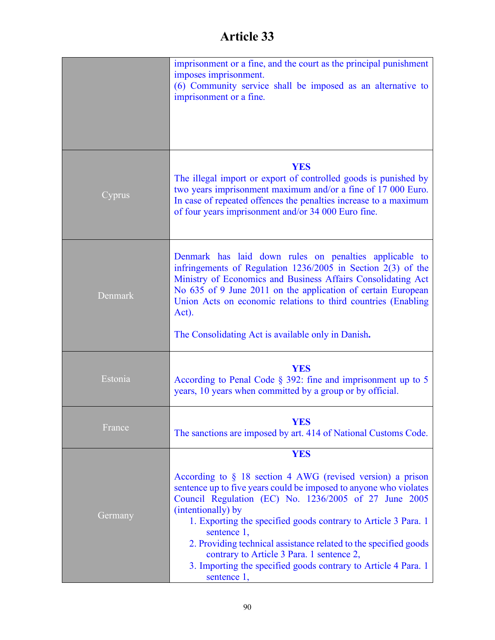|         | imprisonment or a fine, and the court as the principal punishment<br>imposes imprisonment.<br>(6) Community service shall be imposed as an alternative to<br>imprisonment or a fine.                                                                                                                                                                                                                                                                                                                 |
|---------|------------------------------------------------------------------------------------------------------------------------------------------------------------------------------------------------------------------------------------------------------------------------------------------------------------------------------------------------------------------------------------------------------------------------------------------------------------------------------------------------------|
| Cyprus  | <b>YES</b><br>The illegal import or export of controlled goods is punished by<br>two years imprisonment maximum and/or a fine of 17 000 Euro.<br>In case of repeated offences the penalties increase to a maximum<br>of four years imprisonment and/or 34 000 Euro fine.                                                                                                                                                                                                                             |
| Denmark | Denmark has laid down rules on penalties applicable to<br>infringements of Regulation $1236/2005$ in Section 2(3) of the<br>Ministry of Economics and Business Affairs Consolidating Act<br>No 635 of 9 June 2011 on the application of certain European<br>Union Acts on economic relations to third countries (Enabling<br>Act).<br>The Consolidating Act is available only in Danish.                                                                                                             |
| Estonia | <b>YES</b><br>According to Penal Code $\S$ 392: fine and imprisonment up to 5<br>years, 10 years when committed by a group or by official.                                                                                                                                                                                                                                                                                                                                                           |
| France  | <b>YES</b><br>The sanctions are imposed by art. 414 of National Customs Code.                                                                                                                                                                                                                                                                                                                                                                                                                        |
|         | <b>YES</b>                                                                                                                                                                                                                                                                                                                                                                                                                                                                                           |
| Germany | According to $\S$ 18 section 4 AWG (revised version) a prison<br>sentence up to five years could be imposed to anyone who violates<br>Council Regulation (EC) No. 1236/2005 of 27 June 2005<br>(intentionally) by<br>1. Exporting the specified goods contrary to Article 3 Para. 1<br>sentence 1,<br>2. Providing technical assistance related to the specified goods<br>contrary to Article 3 Para. 1 sentence 2,<br>3. Importing the specified goods contrary to Article 4 Para. 1<br>sentence 1, |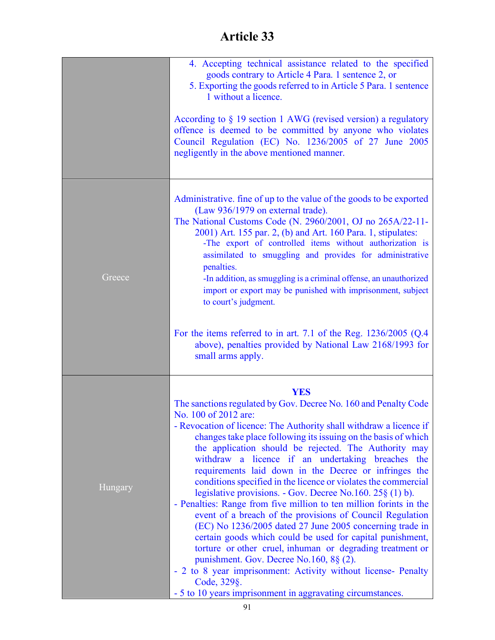|         | 4. Accepting technical assistance related to the specified<br>goods contrary to Article 4 Para. 1 sentence 2, or<br>5. Exporting the goods referred to in Article 5 Para. 1 sentence<br>1 without a licence.<br>According to $\S$ 19 section 1 AWG (revised version) a regulatory<br>offence is deemed to be committed by anyone who violates<br>Council Regulation (EC) No. 1236/2005 of 27 June 2005<br>negligently in the above mentioned manner.                                                                                                                                                                                                                                                                                                                                                                                                                                                                                                                                                                                                                  |
|---------|-----------------------------------------------------------------------------------------------------------------------------------------------------------------------------------------------------------------------------------------------------------------------------------------------------------------------------------------------------------------------------------------------------------------------------------------------------------------------------------------------------------------------------------------------------------------------------------------------------------------------------------------------------------------------------------------------------------------------------------------------------------------------------------------------------------------------------------------------------------------------------------------------------------------------------------------------------------------------------------------------------------------------------------------------------------------------|
| Greece  | Administrative, fine of up to the value of the goods to be exported<br>(Law 936/1979 on external trade).<br>The National Customs Code (N. 2960/2001, OJ no 265A/22-11-<br>2001) Art. 155 par. 2, (b) and Art. 160 Para. 1, stipulates:<br>-The export of controlled items without authorization is<br>assimilated to smuggling and provides for administrative<br>penalties.<br>-In addition, as smuggling is a criminal offense, an unauthorized<br>import or export may be punished with imprisonment, subject<br>to court's judgment.<br>For the items referred to in art. 7.1 of the Reg. 1236/2005 (Q.4)<br>above), penalties provided by National Law 2168/1993 for<br>small arms apply.                                                                                                                                                                                                                                                                                                                                                                        |
| Hungary | <b>YES</b><br>The sanctions regulated by Gov. Decree No. 160 and Penalty Code<br>No. 100 of 2012 are:<br>- Revocation of licence: The Authority shall withdraw a licence if<br>changes take place following its issuing on the basis of which<br>the application should be rejected. The Authority may<br>withdraw a licence if an undertaking breaches the<br>requirements laid down in the Decree or infringes the<br>conditions specified in the licence or violates the commercial<br>legislative provisions. - Gov. Decree No.160. 25§ (1) b).<br>- Penalties: Range from five million to ten million forints in the<br>event of a breach of the provisions of Council Regulation<br>(EC) No 1236/2005 dated 27 June 2005 concerning trade in<br>certain goods which could be used for capital punishment,<br>torture or other cruel, inhuman or degrading treatment or<br>punishment. Gov. Decree No.160, 8§ (2).<br>- 2 to 8 year imprisonment: Activity without license- Penalty<br>Code, 329§.<br>- 5 to 10 years imprisonment in aggravating circumstances. |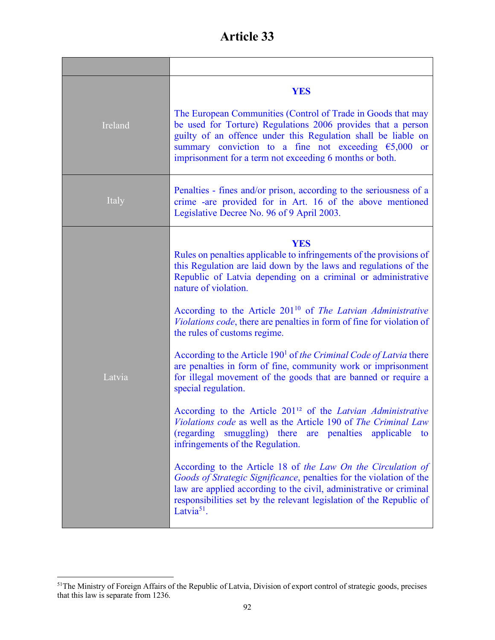|         | <b>YES</b>                                                                                                                                                                                                                                                                                                                           |
|---------|--------------------------------------------------------------------------------------------------------------------------------------------------------------------------------------------------------------------------------------------------------------------------------------------------------------------------------------|
| Ireland | The European Communities (Control of Trade in Goods that may<br>be used for Torture) Regulations 2006 provides that a person<br>guilty of an offence under this Regulation shall be liable on<br>summary conviction to a fine not exceeding $\epsilon$ 5,000<br><b>or</b><br>imprisonment for a term not exceeding 6 months or both. |
| Italy   | Penalties - fines and/or prison, according to the seriousness of a<br>crime -are provided for in Art. 16 of the above mentioned<br>Legislative Decree No. 96 of 9 April 2003.                                                                                                                                                        |
| Latvia  | <b>YES</b><br>Rules on penalties applicable to infringements of the provisions of<br>this Regulation are laid down by the laws and regulations of the<br>Republic of Latvia depending on a criminal or administrative<br>nature of violation.                                                                                        |
|         | According to the Article 201 <sup>10</sup> of <i>The Latvian Administrative</i><br>Violations code, there are penalties in form of fine for violation of<br>the rules of customs regime.                                                                                                                                             |
|         | According to the Article 190 <sup>1</sup> of the Criminal Code of Latvia there<br>are penalties in form of fine, community work or imprisonment<br>for illegal movement of the goods that are banned or require a<br>special regulation.                                                                                             |
|         | According to the Article 201 <sup>12</sup> of the Latvian Administrative<br>Violations code as well as the Article 190 of The Criminal Law<br>(regarding smuggling) there are penalties applicable<br>to<br>infringements of the Regulation.                                                                                         |
|         | According to the Article 18 of the Law On the Circulation of<br>Goods of Strategic Significance, penalties for the violation of the<br>law are applied according to the civil, administrative or criminal<br>responsibilities set by the relevant legislation of the Republic of<br>Latvia <sup>51</sup> .                           |

 

<sup>&</sup>lt;sup>51</sup>The Ministry of Foreign Affairs of the Republic of Latvia, Division of export control of strategic goods, precises that this law is separate from 1236.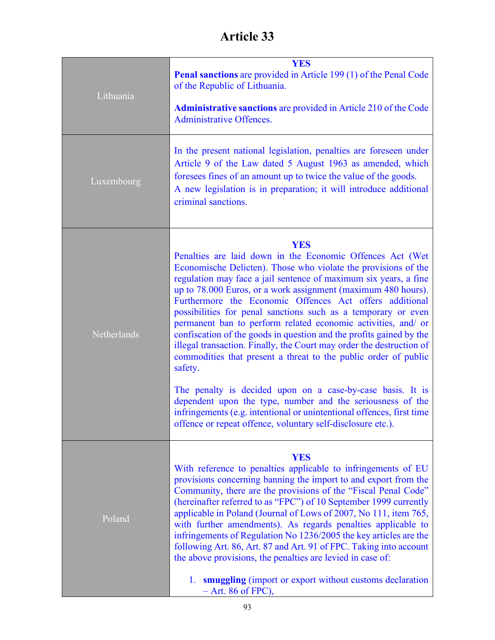|             | <b>YES</b>                                                                                                                                                                                                                                                                                                                                                                                                                                                                                                                                                                                                                                                                                                                                                                                                                           |
|-------------|--------------------------------------------------------------------------------------------------------------------------------------------------------------------------------------------------------------------------------------------------------------------------------------------------------------------------------------------------------------------------------------------------------------------------------------------------------------------------------------------------------------------------------------------------------------------------------------------------------------------------------------------------------------------------------------------------------------------------------------------------------------------------------------------------------------------------------------|
| Lithuania   | Penal sanctions are provided in Article 199 (1) of the Penal Code<br>of the Republic of Lithuania.                                                                                                                                                                                                                                                                                                                                                                                                                                                                                                                                                                                                                                                                                                                                   |
|             | <b>Administrative sanctions</b> are provided in Article 210 of the Code<br><b>Administrative Offences.</b>                                                                                                                                                                                                                                                                                                                                                                                                                                                                                                                                                                                                                                                                                                                           |
| Luxembourg  | In the present national legislation, penalties are foreseen under<br>Article 9 of the Law dated 5 August 1963 as amended, which<br>foresees fines of an amount up to twice the value of the goods.<br>A new legislation is in preparation; it will introduce additional<br>criminal sanctions.                                                                                                                                                                                                                                                                                                                                                                                                                                                                                                                                       |
| Netherlands | <b>YES</b><br>Penalties are laid down in the Economic Offences Act (Wet<br>Economische Delicten). Those who violate the provisions of the<br>regulation may face a jail sentence of maximum six years, a fine<br>up to 78.000 Euros, or a work assignment (maximum 480 hours).<br>Furthermore the Economic Offences Act offers additional<br>possibilities for penal sanctions such as a temporary or even<br>permanent ban to perform related economic activities, and/ or<br>confiscation of the goods in question and the profits gained by the<br>illegal transaction. Finally, the Court may order the destruction of<br>commodities that present a threat to the public order of public<br>safety.<br>The penalty is decided upon on a case-by-case basis. It is<br>dependent upon the type, number and the seriousness of the |
|             | infringements (e.g. intentional or unintentional offences, first time<br>offence or repeat offence, voluntary self-disclosure etc.).                                                                                                                                                                                                                                                                                                                                                                                                                                                                                                                                                                                                                                                                                                 |
| Poland      | <b>YES</b><br>With reference to penalties applicable to infringements of EU<br>provisions concerning banning the import to and export from the<br>Community, there are the provisions of the "Fiscal Penal Code"<br>(hereinafter referred to as "FPC") of 10 September 1999 currently<br>applicable in Poland (Journal of Lows of 2007, No 111, item 765,<br>with further amendments). As regards penalties applicable to<br>infringements of Regulation No 1236/2005 the key articles are the<br>following Art. 86, Art. 87 and Art. 91 of FPC. Taking into account<br>the above provisions, the penalties are levied in case of:                                                                                                                                                                                                   |
|             | 1. <b>smuggling</b> (import or export without customs declaration<br>$-$ Art. 86 of FPC),                                                                                                                                                                                                                                                                                                                                                                                                                                                                                                                                                                                                                                                                                                                                            |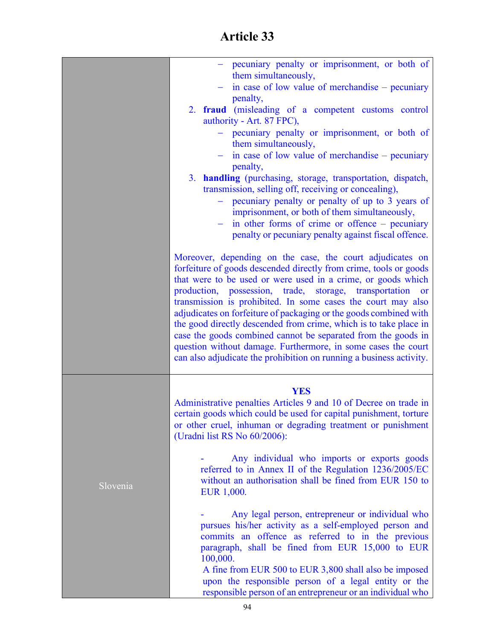|          | - pecuniary penalty or imprisonment, or both of<br>them simultaneously,<br>in case of low value of merchandise – pecuniary<br>penalty,<br>2. <b>fraud</b> (misleading of a competent customs control<br>authority - Art. 87 FPC),<br>- pecuniary penalty or imprisonment, or both of<br>them simultaneously,<br>in case of low value of merchandise $-$ pecuniary<br>penalty,<br>3. handling (purchasing, storage, transportation, dispatch,<br>transmission, selling off, receiving or concealing),<br>pecuniary penalty or penalty of up to 3 years of<br>imprisonment, or both of them simultaneously,<br>in other forms of crime or offence – pecuniary<br>$\rightarrow$<br>penalty or pecuniary penalty against fiscal offence. |
|----------|--------------------------------------------------------------------------------------------------------------------------------------------------------------------------------------------------------------------------------------------------------------------------------------------------------------------------------------------------------------------------------------------------------------------------------------------------------------------------------------------------------------------------------------------------------------------------------------------------------------------------------------------------------------------------------------------------------------------------------------|
|          | Moreover, depending on the case, the court adjudicates on<br>forfeiture of goods descended directly from crime, tools or goods<br>that were to be used or were used in a crime, or goods which<br>production, possession, trade,<br>storage, transportation<br><b>or</b><br>transmission is prohibited. In some cases the court may also<br>adjudicates on forfeiture of packaging or the goods combined with<br>the good directly descended from crime, which is to take place in<br>case the goods combined cannot be separated from the goods in<br>question without damage. Furthermore, in some cases the court<br>can also adjudicate the prohibition on running a business activity.                                          |
|          | <b>YES</b><br>Administrative penalties Articles 9 and 10 of Decree on trade in<br>certain goods which could be used for capital punishment, torture<br>or other cruel, inhuman or degrading treatment or punishment<br>(Uradni list RS No 60/2006):<br>Any individual who imports or exports goods<br>referred to in Annex II of the Regulation 1236/2005/EC                                                                                                                                                                                                                                                                                                                                                                         |
| Slovenia | without an authorisation shall be fined from EUR 150 to<br>EUR 1,000.<br>Any legal person, entrepreneur or individual who<br>pursues his/her activity as a self-employed person and<br>commits an offence as referred to in the previous<br>paragraph, shall be fined from EUR 15,000 to EUR<br>100,000.<br>A fine from EUR 500 to EUR 3,800 shall also be imposed<br>upon the responsible person of a legal entity or the<br>responsible person of an entrepreneur or an individual who                                                                                                                                                                                                                                             |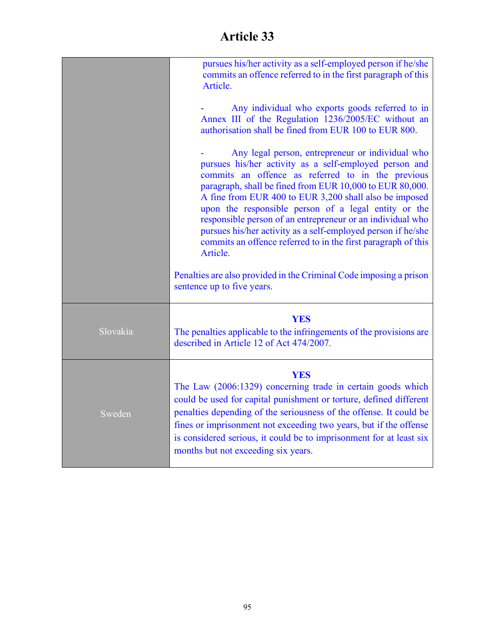|          | pursues his/her activity as a self-employed person if he/she<br>commits an offence referred to in the first paragraph of this<br>Article.                                                                                                                                                                                                                                                                                                                                                                                                                |
|----------|----------------------------------------------------------------------------------------------------------------------------------------------------------------------------------------------------------------------------------------------------------------------------------------------------------------------------------------------------------------------------------------------------------------------------------------------------------------------------------------------------------------------------------------------------------|
|          | Any individual who exports goods referred to in<br>Annex III of the Regulation 1236/2005/EC without an<br>authorisation shall be fined from EUR 100 to EUR 800.                                                                                                                                                                                                                                                                                                                                                                                          |
|          | Any legal person, entrepreneur or individual who<br>pursues his/her activity as a self-employed person and<br>commits an offence as referred to in the previous<br>paragraph, shall be fined from EUR 10,000 to EUR 80,000.<br>A fine from EUR 400 to EUR 3,200 shall also be imposed<br>upon the responsible person of a legal entity or the<br>responsible person of an entrepreneur or an individual who<br>pursues his/her activity as a self-employed person if he/she<br>commits an offence referred to in the first paragraph of this<br>Article. |
|          | Penalties are also provided in the Criminal Code imposing a prison<br>sentence up to five years.                                                                                                                                                                                                                                                                                                                                                                                                                                                         |
| Slovakia | <b>YES</b><br>The penalties applicable to the infringements of the provisions are<br>described in Article 12 of Act 474/2007.                                                                                                                                                                                                                                                                                                                                                                                                                            |
| Sweden   | <b>YES</b><br>The Law (2006:1329) concerning trade in certain goods which<br>could be used for capital punishment or torture, defined different<br>penalties depending of the seriousness of the offense. It could be<br>fines or imprisonment not exceeding two years, but if the offense<br>is considered serious, it could be to imprisonment for at least six<br>months but not exceeding six years.                                                                                                                                                 |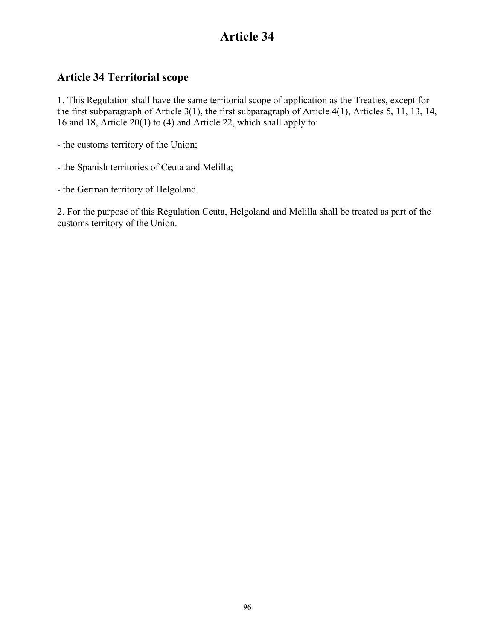### **Article 34 Territorial scope**

1. This Regulation shall have the same territorial scope of application as the Treaties, except for the first subparagraph of Article 3(1), the first subparagraph of Article 4(1), Articles 5, 11, 13, 14, 16 and 18, Article 20(1) to (4) and Article 22, which shall apply to:

- the customs territory of the Union;
- the Spanish territories of Ceuta and Melilla;
- the German territory of Helgoland.

2. For the purpose of this Regulation Ceuta, Helgoland and Melilla shall be treated as part of the customs territory of the Union.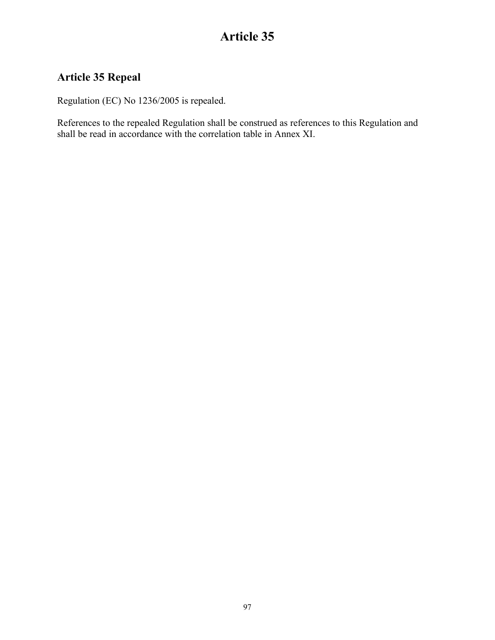### **Article 35 Repeal**

Regulation (EC) No 1236/2005 is repealed.

References to the repealed Regulation shall be construed as references to this Regulation and shall be read in accordance with the correlation table in Annex XI.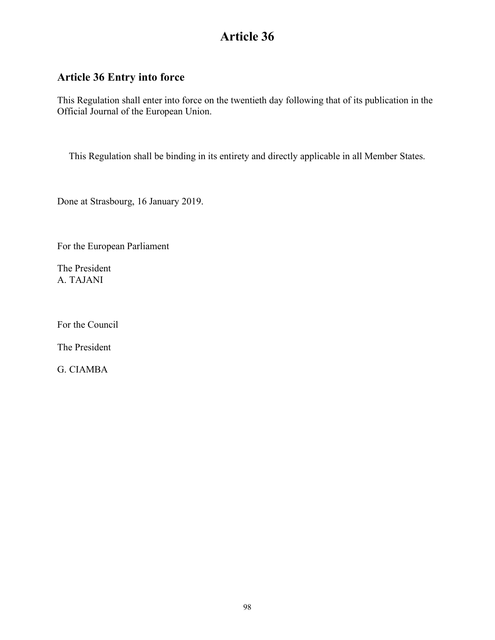### **Article 36 Entry into force**

This Regulation shall enter into force on the twentieth day following that of its publication in the Official Journal of the European Union.

This Regulation shall be binding in its entirety and directly applicable in all Member States.

Done at Strasbourg, 16 January 2019.

For the European Parliament

The President A. TAJANI

For the Council

The President

G. CIAMBA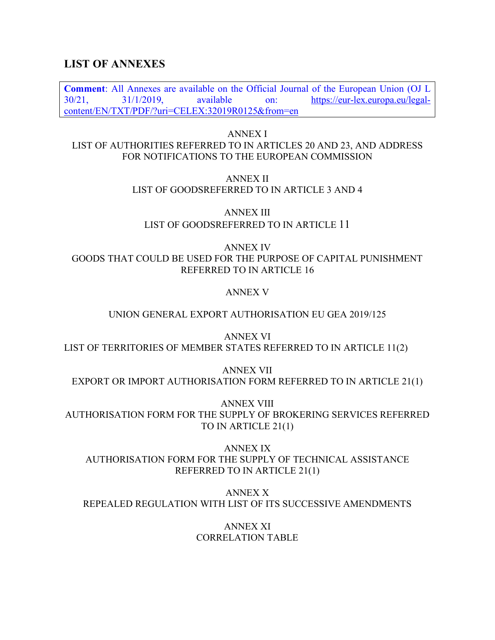#### **LIST OF ANNEXES**

**Comment**: All Annexes are available on the Official Journal of the European Union (OJ L 30/21, 31/1/2019, available on: https://eur-lex.europa.eu/legalcontent/EN/TXT/PDF/?uri=CELEX:32019R0125&from=en

#### ANNEX I

#### LIST OF AUTHORITIES REFERRED TO IN ARTICLES 20 AND 23, AND ADDRESS FOR NOTIFICATIONS TO THE EUROPEAN COMMISSION

ANNEX II LIST OF GOODSREFERRED TO IN ARTICLE 3 AND 4

ANNEX III LIST OF GOODSREFERRED TO IN ARTICLE 11

ANNEX IV GOODS THAT COULD BE USED FOR THE PURPOSE OF CAPITAL PUNISHMENT REFERRED TO IN ARTICLE 16

#### ANNEX V

#### UNION GENERAL EXPORT AUTHORISATION EU GEA 2019/125

ANNEX VI LIST OF TERRITORIES OF MEMBER STATES REFERRED TO IN ARTICLE 11(2)

ANNEX VII EXPORT OR IMPORT AUTHORISATION FORM REFERRED TO IN ARTICLE 21(1)

ANNEX VIII AUTHORISATION FORM FOR THE SUPPLY OF BROKERING SERVICES REFERRED TO IN ARTICLE 21(1)

ANNEX IX AUTHORISATION FORM FOR THE SUPPLY OF TECHNICAL ASSISTANCE REFERRED TO IN ARTICLE 21(1)

ANNEX X REPEALED REGULATION WITH LIST OF ITS SUCCESSIVE AMENDMENTS

> ANNEX XI CORRELATION TABLE